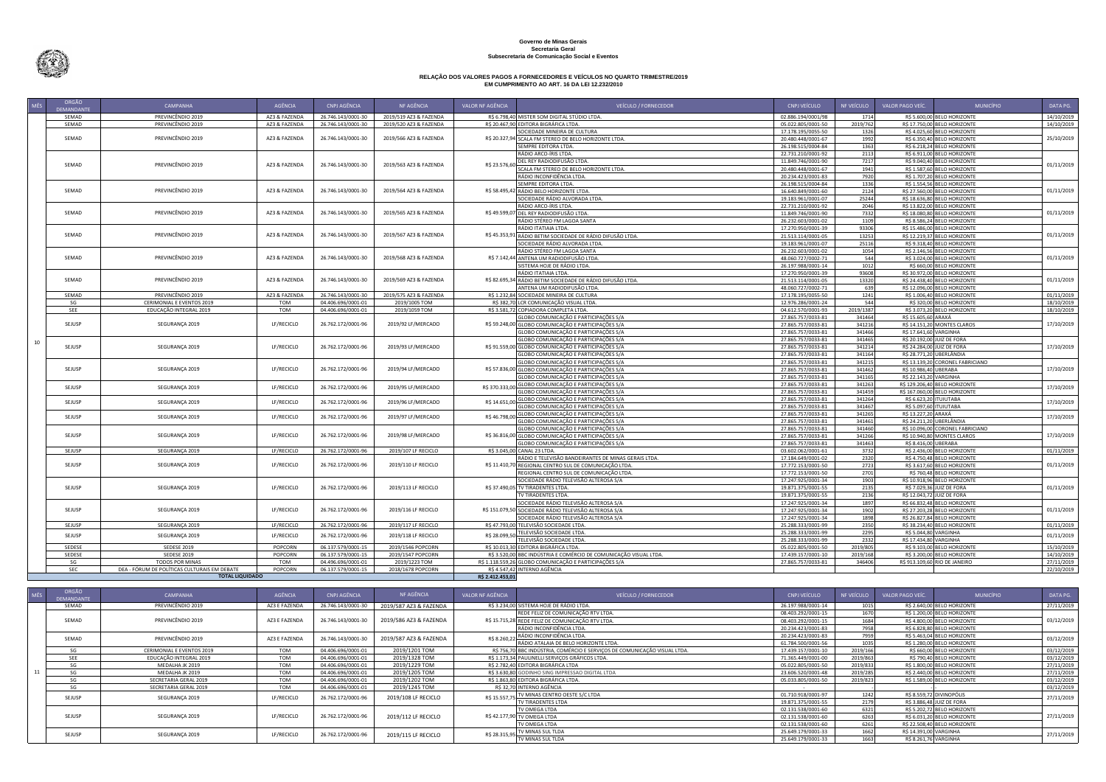**Governo de Minas Gerais Secretaria Geral Subsecretaria de Comunicação Social e Eventos**

## **RELAÇÃO DOS VALORES PAGOS A FORNECEDORES E VEÍCULOS NO QUARTO TRIMESTRE/2019 EM CUMPRIMENTO AO ART. 16 DA LEI 12.232/2010**

| <b>MÊS</b>       | ORGÃO<br><b>DEMANDANTE</b> | CAMPANHA                                                               | AGÊNCIA        | CNPJ AGÊNCIA                             | NF AGÊNCIA                         | VALOR NF AGÊNCIA | <b>VEÍCULO / FORNECEDOR</b>                                                            | CNPJ VEÍCULO                             | NF VEÍCULO       | VALOR PAGO VEÍC.<br><b>MUNICÍPIO</b>                        | DATA PG.   |
|------------------|----------------------------|------------------------------------------------------------------------|----------------|------------------------------------------|------------------------------------|------------------|----------------------------------------------------------------------------------------|------------------------------------------|------------------|-------------------------------------------------------------|------------|
|                  | SEMAD                      | PREVINCÊNDIO 2019                                                      | AZ3 & FAZENDA  | 26.746.143/0001-30                       | 2019/519 AZ3 & FAZENDA             |                  | R\$ 6.798.40 MISTER SOM DIGITAL STÚDIO LTDA.                                           | 02.886.194/0001/98                       | 1714             | R\$ 5.600,00 BELO HORIZONTE                                 | 14/10/2019 |
|                  | SEMAD                      | PREVINCÊNDIO 2019                                                      | AZ3 & FAZENDA  | 26.746.143/0001-30                       | 2019/520 AZ3 & FAZENDA             |                  | R\$ 20.467.90 EDITORA BIGRÁFICA LTDA.                                                  | 05.022.805/0001-50                       | 2019/762         | R\$ 17.750,00 BELO HORIZONTE                                | 14/10/2019 |
|                  |                            |                                                                        |                |                                          |                                    |                  | SOCIEDADE MINEIRA DE CULTURA                                                           | 17.178.195/0055-50                       | 1326             | R\$ 4.025,60 BELO HORIZONTE                                 |            |
|                  | SEMAD                      | PREVINCÊNDIO 2019                                                      | AZ3 & FAZENDA  | 26.746.143/0001-30                       | 2019/566 AZ3 & FAZENDA             |                  | R\$ 20.327,94 SCALA FM STEREO DE BELO HORIZONTE LTDA.                                  | 20.480.448/0001-67                       | 1992             | R\$ 6.350,40 BELO HORIZONTE                                 | 25/10/2019 |
|                  |                            |                                                                        |                |                                          |                                    |                  | SEMPRE EDITORA LTDA.                                                                   | 26.198.515/0004-84                       | 1363             | R\$ 6.218,24 BELO HORIZONTE                                 |            |
|                  |                            |                                                                        |                |                                          |                                    |                  | RÁDIO ARCO-ÍRIS LTDA.                                                                  | 22.731.210/0001-92                       | 2113             | R\$ 6.911,00 BELO HORIZONTE                                 |            |
|                  | SEMAD                      | PREVINCÊNDIO 2019                                                      | AZ3 & FAZENDA  | 26.746.143/0001-30                       | 2019/563 AZ3 & FAZENDA             | R\$ 23.576,60    | DEL REY RADIODIFUSÃO LTDA.                                                             | 11.849.746/0001-90                       | 7217             | R\$ 9.040,40 BELO HORIZONTE                                 | 01/11/2019 |
|                  |                            |                                                                        |                |                                          |                                    |                  | SCALA FM STEREO DE BELO HORIZONTE LTDA.                                                | 20.480.448/0001-67                       | 1941             | R\$ 1.587,60 BELO HORIZONTE                                 |            |
|                  |                            |                                                                        |                |                                          |                                    |                  | RÁDIO INCONFIDÊNCIA LTDA                                                               | 20.234.423/0001-83                       | 7920             | R\$ 1.707,20 BELO HORIZONTE                                 |            |
|                  |                            |                                                                        |                |                                          |                                    |                  | SEMPRE EDITORA LTDA.                                                                   | 26.198.515/0004-84                       | 1336             | R\$ 1.554,56 BELO HORIZONTE                                 |            |
|                  | SEMAD                      | PREVINCÊNDIO 2019                                                      | AZ3 & FAZENDA  | 26.746.143/0001-30                       | 2019/564 AZ3 & FAZENDA             |                  | R\$ 58.495,42 RÁDIO BELO HORIZONTE LTDA.                                               | 16.640.849/0001-60                       | 2124             | R\$ 27.560,00 BELO HORIZONTE                                | 01/11/2019 |
|                  |                            |                                                                        |                |                                          |                                    |                  | SOCIEDADE RÁDIO ALVORADA LTDA.                                                         | 19.183.961/0001-07                       | 25244            | R\$ 18.636,80 BELO HORIZONTE                                |            |
|                  | SEMAD                      | PREVINCÊNDIO 2019                                                      | AZ3 & FAZENDA  | 26.746.143/0001-30                       | 2019/565 AZ3 & FAZENDA             |                  | RÁDIO ARCO-ÍRIS LTDA.                                                                  | 22.731.210/0001-92                       | 2046             | R\$ 13.822,00 BELO HORIZONTE                                | 01/11/2019 |
|                  |                            |                                                                        |                |                                          |                                    |                  | R\$ 49.599,07 DEL REY RADIODIFUSÃO LTDA.                                               | 11.849.746/0001-90                       | 7332             | R\$ 18.080,80 BELO HORIZONTE                                |            |
|                  |                            |                                                                        |                |                                          |                                    |                  | RÁDIO STÉREO FM LAGOA SANTA<br>RÁDIO ITATIAIA LTDA.                                    | 26.232.603/0001-02                       | 1109<br>93306    | R\$ 8.586,24 BELO HORIZONTE<br>R\$ 15.486,00 BELO HORIZONTE |            |
|                  | SEMAD                      | PREVINCÊNDIO 2019                                                      | AZ3 & FAZENDA  | 26.746.143/0001-30                       | 2019/567 AZ3 & FAZENDA             |                  | R\$ 45.353,91 RÁDIO BETIM SOCIEDADE DE RÁDIO DIFUSÃO LTDA                              | 17.270.950/0001-39                       | 13253            |                                                             | 01/11/2019 |
|                  |                            |                                                                        |                |                                          |                                    |                  | SOCIEDADE RÁDIO ALVORADA LTDA.                                                         | 21.513.114/0001-05<br>19.183.961/0001-07 | 25116            | R\$ 12.219,37 BELO HORIZONTE                                |            |
|                  |                            |                                                                        |                |                                          |                                    |                  | RÁDIO STÉREO FM LAGOA SANTA                                                            | 26.232.603/0001-02                       | 1054             | R\$ 9.318,40 BELO HORIZONTE<br>R\$ 2.146,56 BELO HORIZONTE  |            |
|                  | SEMAD                      | PREVINCÊNDIO 2019                                                      | AZ3 & FAZENDA  | 26.746.143/0001-30                       | 2019/568 AZ3 & FAZENDA             |                  | R\$ 7.142,44 ANTENA UM RADIODIFUSÃO LTDA.                                              | 48.060.727/0002-71                       | 544              | R\$ 3.024,00 BELO HORIZONTE                                 | 01/11/2019 |
|                  |                            |                                                                        |                |                                          |                                    |                  | SISTEMA HOJE DE RÁDIO LTDA.                                                            | 26.197.988/0001-14                       | 1012             | R\$ 660,00 BELO HORIZONTE                                   |            |
|                  |                            |                                                                        |                |                                          |                                    |                  | RÁDIO ITATIAIA LTDA.                                                                   | 17.270.950/0001-39                       | 93608            | R\$ 30.972,00 BELO HORIZONTE                                |            |
|                  | SEMAD                      | PREVINCÊNDIO 2019                                                      | AZ3 & FAZENDA  | 26.746.143/0001-30                       | 2019/569 AZ3 & FAZENDA             |                  | R\$ 82.695,34 RÁDIO BETIM SOCIEDADE DE RÁDIO DIFUSÃO LTDA.                             | 21.513.114/0001-05                       | 13320            | R\$ 24.438,40 BELO HORIZONTE                                | 01/11/2019 |
|                  |                            |                                                                        |                |                                          |                                    |                  | ANTENA UM RADIODIFUSÃO LTDA.                                                           | 48.060.727/0002-71                       | 639              | R\$ 12.096,00 BELO HORIZONTE                                |            |
|                  | SEMAD                      | PREVINCÊNDIO 2019                                                      | AZ3 & FAZENDA  | 26.746.143/0001-30                       | 2019/575 AZ3 & FAZENDA             |                  | R\$ 1.232,84 SOCIEDADE MINEIRA DE CULTURA                                              | 17.178.195/0055-50                       | 1241             | R\$ 1.006,40 BELO HORIZONTE                                 | 01/11/2019 |
|                  | SG                         | CERIMONIAL E EVENTOS 2019                                              | TOM            | 04.406.696/0001-01                       | 2019/1005 TOM                      |                  | R\$ 382,70 LCR COMUNICAÇÃO VISUAL LTDA.                                                | 12.976.286/0001-24                       | 544              | R\$ 320,00 BELO HORIZONTE                                   | 18/10/2019 |
|                  | SEE                        | EDUCAÇÃO INTEGRAL 2019                                                 | TOM            | 04.406.696/0001-01                       | 2019/1059 TOM                      |                  | R\$ 3.581,72 COPIADORA COMPLETA LTDA.                                                  | 04.612.570/0001-93                       | 2019/1387        | R\$ 3.073,20 BELO HORIZONTE                                 | 18/10/2019 |
|                  |                            |                                                                        |                |                                          |                                    |                  | GLOBO COMUNICAÇÃO E PARTICIPAÇÕES S/A                                                  | 27.865.757/0033-81                       | 341464           | R\$ 15.605,60 ARAXÁ                                         |            |
|                  | SEJUSP                     | SEGURANÇA 2019                                                         | LF/RECICLO     | 26.762.172/0001-96                       | 2019/92 LF/MERCADO                 |                  | R\$ 59.248,00 GLOBO COMUNICAÇÃO E PARTICIPAÇÕES S/A                                    | 27.865.757/0033-81                       | 341216           | R\$ 14.151,20 MONTES CLAROS                                 | 17/10/2019 |
|                  |                            |                                                                        |                |                                          |                                    |                  | GLOBO COMUNICAÇÃO E PARTICIPAÇÕES S/A                                                  | 27.865.757/0033-81                       | 341466           | R\$ 17.641,60 VARGINHA                                      |            |
| 10 <sup>10</sup> |                            |                                                                        |                |                                          |                                    |                  | GLOBO COMUNICAÇÃO E PARTICIPAÇÕES S/A                                                  | 27.865.757/0033-81                       | 341465           | R\$ 20.192,00 JUIZ DE FORA                                  |            |
|                  | SEJUSP                     | SEGURANÇA 2019                                                         | LF/RECICLO     | 26.762.172/0001-96                       | 2019/93 LF/MERCADO                 |                  | R\$ 91.559,00 GLOBO COMUNICAÇÃO E PARTICIPAÇÕES S/A                                    | 27.865.757/0033-81                       | 341214           | R\$ 24.284,00 JUIZ DE FORA                                  | 17/10/2019 |
|                  |                            |                                                                        |                |                                          |                                    |                  | GLOBO COMUNICAÇÃO E PARTICIPAÇÕES S/A                                                  | 27.865.757/0033-81                       | 341164           | R\$ 28.771,20 UBERLÂNDIA                                    |            |
|                  |                            |                                                                        |                |                                          |                                    |                  | GLOBO COMUNICAÇÃO E PARTICIPAÇÕES S/A                                                  | 27.865.757/0033-81                       | 341215           | R\$ 13.139,20 CORONEL FABRICIANO                            |            |
|                  | SEJUSP                     | SEGURANÇA 2019                                                         | LF/RECICLO     | 26.762.172/0001-96                       | 2019/94 LF/MERCADO                 |                  | R\$ 57.836,00 GLOBO COMUNICAÇÃO E PARTICIPAÇÕES S/A                                    | 27.865.757/0033-81                       | 341462           | R\$ 10.986,40 UBERABA                                       | 17/10/2019 |
|                  |                            |                                                                        |                |                                          |                                    |                  | GLOBO COMUNICAÇÃO E PARTICIPAÇÕES S/A                                                  | 27.865.757/0033-81                       | 341165           | R\$ 22.143,20 VARGINHA                                      |            |
|                  | SEJUSP                     | SEGURANÇA 2019                                                         | LF/RECICLO     | 26.762.172/0001-96                       | 2019/95 LF/MERCADO                 | R\$ 370.333,00   | GLOBO COMUNICAÇÃO E PARTICIPAÇÕES S/A                                                  | 27.865.757/0033-81                       | 341263           | R\$ 129.206,40 BELO HORIZONTE                               | 17/10/2019 |
|                  |                            |                                                                        |                |                                          |                                    |                  | GLOBO COMUNICAÇÃO E PARTICIPAÇÕES S/A                                                  | 27.865.757/0033-81                       | 341459           | R\$ 167.060,00 BELO HORIZONTE                               |            |
|                  | SEJUSP                     | SEGURANÇA 2019                                                         | LF/RECICLO     | 26.762.172/0001-96                       | 2019/96 LF/MERCADO                 | R\$ 14.651,      | GLOBO COMUNICAÇÃO E PARTICIPAÇÕES S/A                                                  | 27.865.757/0033-81                       | 341264           | R\$ 6.623,20 ITUIUTABA                                      | 17/10/2019 |
|                  |                            |                                                                        |                |                                          |                                    |                  | GLOBO COMUNICAÇÃO E PARTICIPAÇÕES S/A<br>GLOBO COMUNICAÇÃO E PARTICIPAÇÕES S/A         | 27.865.757/0033-81                       | 341467           | R\$ 5.097,60 ITUIUTABA<br>R\$ 13.227,20 ARAXÁ               |            |
|                  | SEJUSP                     | SEGURANÇA 2019                                                         | LF/RECICLO     | 26.762.172/0001-96                       | 2019/97 LF/MERCADO                 | R\$ 46.798,00    | GLOBO COMUNICAÇÃO E PARTICIPAÇÕES S/A                                                  | 27.865.757/0033-81<br>27.865.757/0033-81 | 341265<br>341461 | R\$ 24.211,20 UBERLÂNDIA                                    | 17/10/2019 |
|                  |                            |                                                                        |                |                                          |                                    |                  | GLOBO COMUNICAÇÃO E PARTICIPAÇÕES S/A                                                  | 27.865.757/0033-81                       | 341460           | R\$ 10.096,00 CORONEL FABRICIANO                            |            |
|                  | SEJUSP                     | SEGURANÇA 2019                                                         | LF/RECICLO     | 26.762.172/0001-96                       | 2019/98 LF/MERCADO                 |                  | R\$ 36.816,00 GLOBO COMUNICAÇÃO E PARTICIPAÇÕES S/A                                    | 27.865.757/0033-81                       | 341266           | R\$ 10.940,80 MONTES CLAROS                                 | 17/10/2019 |
|                  |                            |                                                                        |                |                                          |                                    |                  | GLOBO COMUNICAÇÃO E PARTICIPAÇÕES S/A                                                  | 27.865.757/0033-81                       | 341463           | R\$ 8.416.00 UBERABA                                        |            |
|                  | SEJUSP                     | SEGURANÇA 2019                                                         | LF/RECICLO     | 26.762.172/0001-96                       | 2019/107 LF RECICLO                |                  | R\$ 3.045,00 CANAL 23 LTDA.                                                            | 03.602.062/0001-61                       | 3732             | R\$ 2.436,00 BELO HORIZONTE                                 | 01/11/2019 |
|                  |                            |                                                                        |                |                                          |                                    |                  | RÁDIO E TELEVISÃO BANDEIRANTES DE MINAS GERAIS LTDA.                                   | 17.184.649/0001-02                       | 2320             | R\$ 4.750,48 BELO HORIZONTE                                 |            |
|                  | SEJUSP                     | SEGURANÇA 2019                                                         | LF/RECICLO     | 26.762.172/0001-96                       | 2019/110 LF RECICLO                |                  | R\$ 11.410,70 REGIONAL CENTRO SUL DE COMUNICAÇÃO LTDA.                                 | 17.772.153/0001-50                       | 2723             | R\$ 3.617,60 BELO HORIZONTE                                 | 01/11/2019 |
|                  |                            |                                                                        |                |                                          |                                    |                  | REGIONAL CENTRO SUL DE COMUNICAÇÃO LTDA                                                | 17.772.153/0001-50                       | 2701             | R\$ 760,48 BELO HORIZONTE                                   |            |
|                  |                            |                                                                        |                |                                          |                                    |                  | SOCIEDADE RÁDIO TELEVISÃO ALTEROSA S/A                                                 | 17.247.925/0001-34                       | 1903             | R\$ 10.918,96 BELO HORIZONTE                                |            |
|                  | SEJUSP                     | SEGURANÇA 2019                                                         | LF/RECICLO     | 26.762.172/0001-96                       | 2019/113 LF RECICLO                |                  | R\$ 37.490,05 TV TIRADENTES LTDA.                                                      | 19.871.375/0001-55                       | 2135             | R\$ 7.029,36 JUIZ DE FORA                                   | 01/11/2019 |
|                  |                            |                                                                        |                |                                          |                                    |                  | TV TIRADENTES LTDA.                                                                    | 19.871.375/0001-55                       | 2136             | R\$ 12.043,72 JUIZ DE FORA                                  |            |
|                  |                            |                                                                        |                |                                          |                                    |                  | SOCIEDADE RÁDIO TELEVISÃO ALTEROSA S/A                                                 | 17.247.925/0001-34                       | 1897             | R\$ 66.832,48 BELO HORIZONTE                                |            |
|                  | SEJUSP                     | SEGURANÇA 2019                                                         | LF/RECICLO     | 26.762.172/0001-96                       | 2019/116 LF RECICLO                |                  | R\$ 151.079,50 SOCIEDADE RÁDIO TELEVISÃO ALTEROSA S/A                                  | 17.247.925/0001-34                       | 1902             | R\$ 27.203,28 BELO HORIZONTE                                | 01/11/2019 |
|                  |                            |                                                                        |                |                                          |                                    |                  | SOCIEDADE RÁDIO TELEVISÃO ALTEROSA S/A                                                 | 17.247.925/0001-34                       | 1898             | R\$ 26.827,84 BELO HORIZONTE                                |            |
|                  | SEJUSP                     | SEGURANÇA 2019                                                         | LF/RECICLO     | 26.762.172/0001-96                       | 2019/117 LF RECICLO                |                  | R\$ 47.793,00 TELEVISÃO SOCIEDADE LTDA.                                                | 25.288.333/0001-99                       | 2350             | R\$ 38.234,40 BELO HORIZONTE                                | 01/11/2019 |
|                  | SEJUSP                     | SEGURANÇA 2019                                                         | LF/RECICLO     | 26.762.172/0001-96                       | 2019/118 LF RECICLO                | R\$ 28.099,50    | TELEVISÃO SOCIEDADE LTDA                                                               | 25.288.333/0001-99                       | 2295             | R\$ 5.044,80 VARGINHA                                       | 01/11/2019 |
|                  |                            |                                                                        |                |                                          |                                    |                  | TELEVISÃO SOCIEDADE LTDA                                                               | 25.288.333/0001-99                       | 2332             | R\$ 17,434.80 VARGINHA                                      |            |
|                  | SEDESE                     | <b>SEDESE 2019</b>                                                     | POPCORN        | 06.137.579/0001-15                       | 2019/1546 POPCORN                  |                  | R\$ 10.013,30 EDITORA BIGRÁFICA LTDA                                                   | 05.022.805/0001-50                       | 2019/805         | R\$ 9.103,00 BELO HORIZONTE                                 | 15/10/2019 |
|                  | SEDESE                     | <b>SEDESE 2019</b>                                                     | POPCORN        | 06.137.579/0001-15                       | 2019/1547 POPCORN                  |                  | R\$ 3.520,00 BBC INDÚSTRIA E COMÉRCIO DE COMUNICAÇÃO VISUAL LTDA.                      | 17.439.157/0001-10                       | 2019/168         | R\$ 3.200,00 BELO HORIZONTE                                 | 14/10/2019 |
|                  | SG<br>SEC.                 | <b>TODOS POR MINAS</b><br>DEA - FÓRUM DE POLÍTICAS CULTURAIS EM DEBATE | TOM<br>POPCORN | 04.496.696/0001-01<br>06.137.579/0001-15 | 2019/1223 TOM<br>2018/1678 POPCORN |                  | R\$ 1.118.559,26 GLOBO COMUNICAÇÃO E PARTICIPAÇÕES S/A<br>R\$ 4.547.42 INTERNO AGÊNCIA | 27.865.757/0033-81                       | 346406           | R\$ 913.109,60 RIO DE JANEIRO                               | 27/11/2019 |
|                  |                            | <b>TOTAL LIQUIDADO</b>                                                 |                |                                          |                                    | R\$ 2.412.453,01 |                                                                                        |                                          |                  |                                                             | 22/10/2019 |
|                  |                            |                                                                        |                |                                          |                                    |                  |                                                                                        |                                          |                  |                                                             |            |
|                  | ORGÃO                      |                                                                        |                |                                          |                                    |                  |                                                                                        |                                          |                  |                                                             |            |

| <b>MÊS</b> | <b>ORGAO</b><br><b>DEMANDANTE</b> | <b>CAMPANHA</b>           | AGÊNCIA       | CNPJ AGÊNCIA       | NF AGÊNCIA             | VALOR NF AGÊNCIA | <b>VEÍCULO / FORNECEDOR</b>                                               | CNPJ VEÍCULO       | NF VEÍCULO | VALOR PAGO VEÍC. | <b>MUNICÍPIO</b>             | DATA PG.   |
|------------|-----------------------------------|---------------------------|---------------|--------------------|------------------------|------------------|---------------------------------------------------------------------------|--------------------|------------|------------------|------------------------------|------------|
|            | SEMAD                             | PREVINCÊNDIO 2019         | AZ3 E FAZENDA | 26.746.143/0001-30 | 2019/587 AZ3 & FAZENDA |                  | RS 3.234.00 SISTEMA HOJE DE RÁDIO LTDA.                                   | 26.197.988/0001-14 | 1015       |                  | R\$ 2.640.00 BELO HORIZONTE  | 27/11/2019 |
|            |                                   |                           |               |                    |                        |                  | REDE FELIZ DE COMUNICAÇÃO RTV LTDA.                                       | 08.403.292/0001-15 |            |                  | R\$ 1,200.00 BELO HORIZONTE  |            |
|            | SEMAD                             |                           |               |                    |                        |                  |                                                                           |                    |            |                  |                              |            |
|            |                                   | PREVINCÊNDIO 2019         | AZ3 E FAZENDA | 26.746.143/0001-30 | 2019/586 AZ3 & FAZENDA |                  | R\$ 15.715,28 REDE FELIZ DE COMUNICAÇÃO RTV LTDA.                         | 08.403.292/0001-15 | 1684       |                  | R\$ 4.800,00 BELO HORIZONTE  | 03/12/2019 |
|            |                                   |                           |               |                    |                        |                  | RÁDIO INCONFIDÊNCIA LTDA.                                                 | 20.234.423/0001-83 | 7958       |                  | R\$ 6.828.80 BELO HORIZONTE  |            |
|            | SEMAD                             | PREVINCÊNDIO 2019         | AZ3 E FAZENDA | 26.746.143/0001-30 | 2019/587 AZ3 & FAZENDA |                  | R\$ 8.260,22 RÁDIO INCONFIDÊNCIA LTDA.                                    | 20.234.423/0001-83 | 7959       |                  | R\$ 5.463.04 BELO HORIZONTE  | 03/12/2019 |
|            |                                   |                           |               |                    |                        |                  | RÁDIO ATALAIA DE BELO HORIZONTE LTDA.                                     | 61.784.500/0001-56 | 1035       |                  | R\$ 1,280.00 BELO HORIZONTE  |            |
|            | SG                                | CERIMONIAL E EVENTOS 2019 | <b>TOM</b>    | 04.406.696/0001-01 | 2019/1201 TOM          |                  | R\$ 756,70 BBC INDÚSTRIA, COMÉRCIO E SERVIÇOS DE COMUNICAÇÃO VISUAL LTDA. | 17.439.157/0001-10 | 2019/166   |                  | R\$ 660.00 BELO HORIZONTE    | 03/12/2019 |
|            | SEE                               | EDUCAÇÃO INTEGRAL 2019    | TOM           | 04.406.696/0001-01 | 2019/1328 TOM          |                  | R\$ 1.173,34 PAULINELLI SERVIÇOS GRÁFICOS LTDA.                           | 71.365.449/0001-00 | 2019/863   |                  | R\$ 790,40 BELO HORIZONTE    | 03/12/2019 |
|            | SG                                | MEDALHA JK 2019           | <b>TOM</b>    | 04.406.696/0001-01 | 2019/1229 TOM          |                  | RS 2.782.40 EDITORA BIGRÁFICA LTDA                                        | 05.022.805/0001-50 | 2019/833   |                  | R\$ 1,800.00 BELO HORIZONTE  | 27/11/2019 |
|            | SG                                | MEDALHA JK 2019           | <b>TOM</b>    | 04.406.696/0001-01 | 2019/1205 TOM          |                  | R\$ 3.630,80 GODINHO SING IMPRESSAO DIGITAL LTDA                          | 23.606.520/0001-48 | 2019/285   |                  | R\$ 2.440,00 BELO HORIZONTE  | 27/11/2019 |
|            | SG                                | SECRETARIA GERAL 2019     | <b>TOM</b>    | 04.406.696/0001-01 | 2019/1202 TOM          |                  | R\$ 1.863,80 EDITORA BIGRÁFICA LTDA.                                      | 05.033.805/0001-50 | 2019/823   |                  | R\$ 1.589.00 BELO HORIZONTE  | 03/12/2019 |
|            | SG                                | SECRETARIA GERAL 2019     | <b>TOM</b>    | 04.406.696/0001-01 | 2019/1245 TOM          |                  | RS 32.70 INTERNO AGÊNCIA                                                  |                    |            |                  |                              | 03/12/2019 |
|            | SEJUSP                            | SEGURANÇA 2019            | LF/RECICLO    | 26.762.172/0001-96 | 2019/108 LF RECICLO    |                  | R\$ 15.557,75 TV MINAS CENTRO OESTE S/C LTDA                              | 01.710.918/0001-97 | 1242       |                  | R\$ 8.559.72 DIVINOPÓLIS     | 27/11/2019 |
|            |                                   |                           |               |                    |                        |                  | TV TIRADENTES LTDA                                                        | 19.871.375/0001-55 | 2179       |                  | R\$ 3,886,48 JUIZ DE FORA    |            |
|            |                                   |                           |               |                    |                        |                  | TV OMEGA LTDA                                                             | 02.131.538/0001-60 | 6321       |                  | R\$ 5.202,72 BELO HORIZONTE  |            |
|            | SEJUSP                            | SEGURANÇA 2019            | LF/RECICLO    | 26.762.172/0001-96 | 2019/112 LF RECICLO    |                  | R\$ 42.177,90 TV OMEGA LTDA                                               | 02.131.538/0001-60 | 6263       |                  | R\$ 6.031,20 BELO HORIZONTE  | 27/11/2019 |
|            |                                   |                           |               |                    |                        |                  | TV OMEGA LTDA                                                             | 02.131.538/0001-60 | 6261       |                  | R\$ 22.508,40 BELO HORIZONTE |            |
|            | SEJUSP                            | SEGURANÇA 2019            | LF/RECICLO    | 26.762.172/0001-96 | 2019/115 LF RECICLO    |                  | R\$ 28.315,95 TV MINAS SUL TLDA                                           | 25.649.179/0001-33 | 1662       |                  | R\$ 14.391,00 VARGINHA       | 27/11/2019 |
|            |                                   |                           |               |                    |                        |                  | TV MINAS SUL TLDA                                                         | 25.649.179/0001-33 | 1663       |                  | R\$ 8.261,76 VARGINHA        |            |

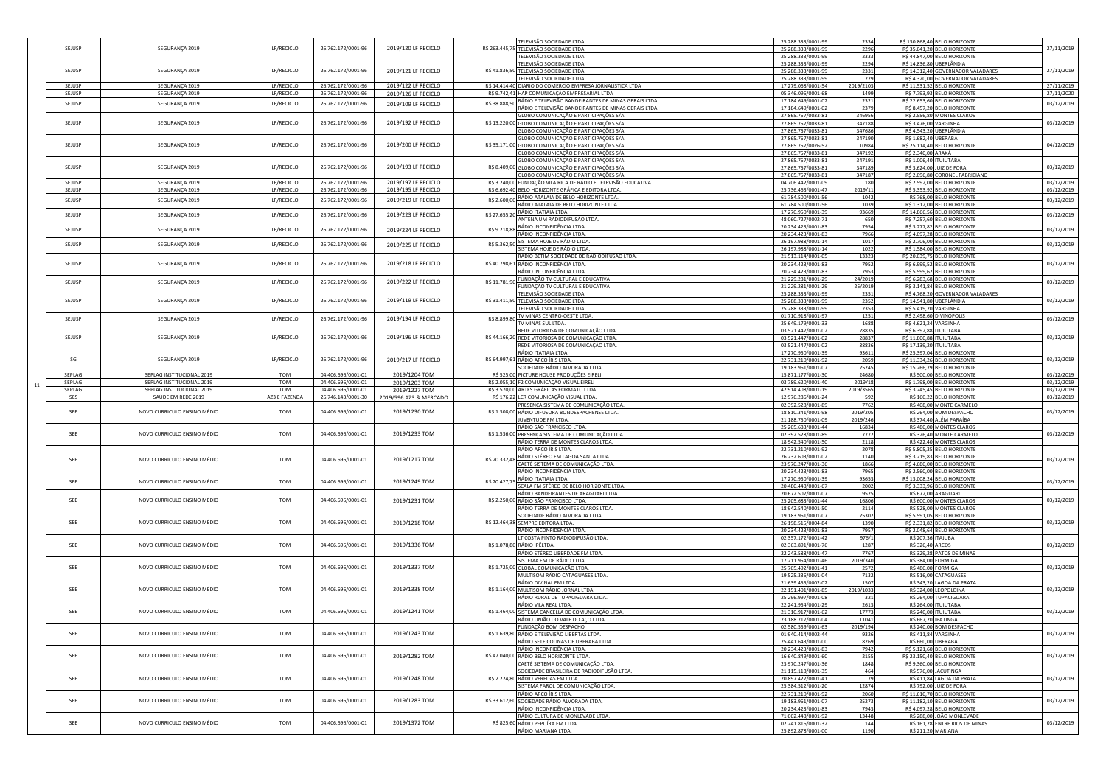|               |                             |               |                    |                        | TELEVISÃO SOCIEDADE LTDA.                                                             | 25.288.333/0001-99<br>2334                              | R\$ 130.868.40 BELO HORIZONTE                        |                                                                                                                                          |
|---------------|-----------------------------|---------------|--------------------|------------------------|---------------------------------------------------------------------------------------|---------------------------------------------------------|------------------------------------------------------|------------------------------------------------------------------------------------------------------------------------------------------|
| SEJUSP        | SEGURANÇA 2019              | LF/RECICLO    | 26.762.172/0001-96 | 2019/120 LF RECICLO    | R\$ 263.445,75 TELEVISÃO SOCIEDADE LTDA.                                              | 25.288.333/0001-99<br>2296                              | R\$ 35.041,20 BELO HORIZONTE                         | 27/11/2019                                                                                                                               |
|               |                             |               |                    |                        | TELEVISÃO SOCIEDADE LTDA.                                                             | 25.288.333/0001-99<br>2333                              | R\$44.847,00 BELO HORIZONTE                          |                                                                                                                                          |
|               |                             |               |                    |                        |                                                                                       | 2294                                                    |                                                      |                                                                                                                                          |
|               |                             |               |                    |                        | TELEVISÃO SOCIEDADE LTDA.                                                             | 25.288.333/0001-99                                      | R\$ 14.836,80 UBERLÂNDIA                             |                                                                                                                                          |
| SEJUSP        | SEGURANÇA 2019              | LF/RECICLO    | 26.762.172/0001-96 | 2019/121 LF RECICLO    | R\$ 41.836,50 TELEVISÃO SOCIEDADE LTDA.                                               | 2331<br>25.288.333/0001-99                              | R\$ 14.312,40 GOVERNADOR VALADARES                   | 27/11/2019                                                                                                                               |
|               |                             |               |                    |                        | TELEVISÃO SOCIEDADE LTDA.                                                             | 25.288.333/0001-99<br>229                               | R\$ 4.320,00 GOVERNADOR VALADARES                    |                                                                                                                                          |
| SEJUSP        | SEGURANÇA 2019              | LF/RECICLO    | 26.762.172/0001-96 | 2019/122 LF RECICLO    | R\$ 14.414,40 DIARIO DO COMERCIO EMPRESA JORNALISTICA LTDA                            | 17.279.068/0001-54<br>2019/2103                         | R\$ 11.531,52 BELO HORIZONTE                         | 27/11/2019                                                                                                                               |
| SEJUSP        | SEGURANÇA 2019              | LF/RECICLO    | 26.762.172/0001-96 | 2019/126 LF RECICLO    | R\$ 9.742,41 HAP COMUNICAÇÃO EMPRESARIAL LTDA                                         | 05.346.096/0001-68<br>1499                              | R\$ 7.793,93 BELO HORIZONTE                          | 27/11/2020                                                                                                                               |
| SEJUSP        | SEGURANÇA 2019              | LF/RECICLO    | 26.762.172/0001-96 | 2019/109 LF RECICLO    | R\$ 38.888,50 RÁDIO E TELEVISÃO BANDEIRANTES DE MINAS GERAIS LTDA.                    | 2321<br>17.184.649/0001-02                              | R\$ 22.653,60 BELO HORIZONTE                         | 03/12/2019                                                                                                                               |
|               |                             |               |                    |                        | RÁDIO E TELEVISÃO BANDEIRANTES DE MINAS GERAIS LTDA.                                  | 17.184.649/0001-02<br>2379                              | R\$ 8.457,20 BELO HORIZONTE                          |                                                                                                                                          |
|               |                             |               |                    |                        | GLOBO COMUNICAÇÃO E PARTICIPAÇÕES S/A                                                 | 27.865.757/0033-81<br>346956                            | R\$ 2.556,80 MONTES CLAROS                           |                                                                                                                                          |
| <b>SEJUSP</b> | SEGURANÇA 2019              | LF/RECICLO    | 26.762.172/0001-96 | 2019/192 LF RECICLO    | R\$ 13.220,00 GLOBO COMUNICAÇÃO E PARTICIPAÇÕES S/A                                   | 27.865.757/0033-81<br>347188                            | R\$ 3.476,00 VARGINHA                                | 03/12/2019                                                                                                                               |
|               |                             |               |                    |                        | GLOBO COMUNICAÇÃO E PARTICIPAÇÕES S/A                                                 | 27.865.757/0033-81<br>347686                            | R\$ 4.543,20 UBERLÂNDIA                              |                                                                                                                                          |
|               |                             |               |                    |                        | GLOBO COMUNICAÇÃO E PARTICIPAÇÕES S/A                                                 | 27.865.757/0033-81<br>347190                            | R\$ 1.682,40 UBERABA                                 |                                                                                                                                          |
| SEJUSP        | SEGURANÇA 2019              | LF/RECICLO    | 26.762.172/0001-96 | 2019/200 LF RECICLO    | R\$ 35.171,00 GLOBO COMUNICAÇÃO E PARTICIPAÇÕES S/A                                   | 27.865.757/0026-52<br>10984                             | R\$ 25.114,40 BELO HORIZONTE                         | 04/12/2019                                                                                                                               |
|               |                             |               |                    |                        |                                                                                       |                                                         |                                                      |                                                                                                                                          |
|               |                             |               |                    |                        | GLOBO COMUNICAÇÃO E PARTICIPAÇÕES S/A                                                 | 27.865.757/0033-81<br>347192                            | R\$ 2.340,00 ARAXÁ                                   |                                                                                                                                          |
|               |                             |               |                    |                        | GLOBO COMUNICAÇÃO E PARTICIPAÇÕES S/A                                                 | 27.865.757/0033-81<br>347191                            | R\$ 1.006,40 ITUIUTABA                               |                                                                                                                                          |
| SEJUSP        | SEGURANÇA 2019              | LF/RECICLO    | 26.762.172/0001-96 | 2019/193 LF RECICLO    | R\$ 8.409,00 GLOBO COMUNICAÇÃO E PARTICIPAÇÕES S/A                                    | 27.865.757/0033-81<br>347189                            | R\$ 3.624,00 JUIZ DE FORA                            | 03/12/2019                                                                                                                               |
|               |                             |               |                    |                        | GLOBO COMUNICAÇÃO E PARTICIPAÇÕES S/A                                                 | 347187<br>27.865.757/0033-81                            | R\$ 2.096,80 CORONEL FABRICIANO                      |                                                                                                                                          |
| SEJUSP        | SEGURANÇA 2019              | LF/RECICLO    | 26.762.172/0001-96 | 2019/197 LF RECICLO    | R\$ 3.240,00 FUNDAÇÃO VILA RICA DE RÁDIO E TELEVISÃO EDUCATIVA                        | 04.706.442/0001-09<br>180                               | R\$ 2.592,00 BELO HORIZONTE                          | 03/12/2019                                                                                                                               |
| SEJUSP        | SEGURANÇA 2019              | LF/RECICLO    | 26.762.172/0001-96 | 2019/195 LF RECICLO    | R\$ 6.692,40 BELO HORIZONTE GRÁFICA E EDITORA LTDA.                                   | 2019/11<br>25.736.463/0001-47                           | R\$ 5.353,92 BELO HORIZONTE                          | 03/12/2019                                                                                                                               |
| SEJUSP        | SEGURANÇA 2019              | LF/RECICLO    | 26.762.172/0001-96 | 2019/219 LF RECICLO    | RÁDIO ATALAIA DE BELO HORIZONTE LTDA.<br>R\$ 2.600,00                                 | 1042<br>61.784.500/0001-56                              | R\$ 768,00 BELO HORIZONTE                            | 03/12/2019                                                                                                                               |
|               |                             |               |                    |                        | RÁDIO ATALAIA DE BELO HORIZONTE LTDA                                                  | 61.784.500/0001-56<br>1039                              | R\$ 1.312,00 BELO HORIZONTE                          |                                                                                                                                          |
|               |                             |               |                    |                        | R\$ 27.655,20 RÁDIO ITATIAIA LTDA.                                                    | 17.270.950/0001-39<br>93669                             | R\$ 14.866,56 BELO HORIZONTE                         |                                                                                                                                          |
| SEJUSP        | SEGURANÇA 2019              | LF/RECICLO    | 26.762.172/0001-96 | 2019/223 LF RECICLO    | ANTENA UM RADIODIFUSÃO LTDA.                                                          | 48.060.727/0002-71<br>650                               | R\$ 7.257,60 BELO HORIZONTE                          | 03/12/2019                                                                                                                               |
|               |                             |               |                    |                        | R\$ 9.218,88 RÁDIO INCONFIDÊNCIA LTDA.                                                | 20.234.423/0001-83<br>7954                              | R\$ 3.277,82 BELO HORIZONTE                          |                                                                                                                                          |
| SEJUSP        | SEGURANÇA 2019              | LF/RECICLO    | 26.762.172/0001-96 | 2019/224 LF RECICLO    | RÁDIO INCONFIDÊNCIA LTDA.                                                             | 20.234.423/0001-83<br>7966                              | R\$ 4.097,28 BELO HORIZONTE                          | 03/12/2019                                                                                                                               |
|               |                             |               |                    |                        |                                                                                       |                                                         |                                                      |                                                                                                                                          |
| SEJUSP        | SEGURANÇA 2019              | LF/RECICLO    | 26.762.172/0001-96 | 2019/225 LF RECICLO    | R\$ 5.362,50 SISTEMA HOJE DE RÁDIO LTDA.                                              | 26.197.988/0001-14<br>1017                              | R\$ 2.706,00 BELO HORIZONTE                          | 03/12/2019                                                                                                                               |
|               |                             |               |                    |                        | SISTEMA HOJE DE RÁDIO LTDA                                                            | 1022<br>26.197.988/0001-14                              | R\$ 1.584,00 BELO HORIZONTE                          |                                                                                                                                          |
|               |                             |               |                    |                        | RÁDIO BETIM SOCIEDADE DE RADIODIFUSÃO LTDA.                                           | 13323<br>21.513.114/0001-05                             | R\$ 20.039,75 BELO HORIZONTE                         |                                                                                                                                          |
| SEJUSP        | SEGURANÇA 2019              | LF/RECICLO    | 26.762.172/0001-96 | 2019/218 LF RECICLO    | R\$ 40.798,61 RÁDIO INCONFIDÊNCIA LTDA.                                               | 20.234.423/0001-83<br>7952                              | R\$ 6.999,52 BELO HORIZONTE                          | 03/12/2019                                                                                                                               |
|               |                             |               |                    |                        | RÁDIO INCONFIDÊNCIA LTDA.                                                             | 7953<br>20.234.423/0001-83                              | R\$ 5.599,62 BELO HORIZONTE                          |                                                                                                                                          |
|               |                             |               |                    |                        | R\$ 11.781,90 FUNDAÇÃO TV CULTURAL E EDUCATIVA                                        | 21.229.281/0001-29<br>24/2019                           | R\$ 6.283,68 BELO HORIZONTE                          |                                                                                                                                          |
| SEJUSP        | SEGURANÇA 2019              | LF/RECICLO    | 26.762.172/0001-96 | 2019/222 LF RECICLO    | FUNDAÇÃO TV CULTURAL E EDUCATIVA                                                      | 21.229.281/0001-29<br>25/2019                           | R\$ 3.141,84 BELO HORIZONTE                          | 03/12/2019                                                                                                                               |
|               |                             |               |                    |                        | TELEVISÃO SOCIEDADE LTDA.                                                             | 25.288.333/0001-99<br>2351                              | R\$ 4.768,20 GOVERNADOR VALADARES                    |                                                                                                                                          |
| SEJUSP        | SEGURANÇA 2019              | LF/RECICLO    | 26.762.172/0001-96 | 2019/119 LF RECICLO    | R\$ 31.411,50 TELEVISÃO SOCIEDADE LTDA.                                               | 2352                                                    | R\$ 14.941,80 UBERLÂNDIA                             | 03/12/2019                                                                                                                               |
|               |                             |               |                    |                        |                                                                                       | 25.288.333/0001-99                                      |                                                      |                                                                                                                                          |
|               |                             |               |                    |                        | TELEVISÃO SOCIEDADE LTDA.                                                             | 2353<br>25.288.333/0001-99                              | R\$ 5.419,20 VARGINHA                                |                                                                                                                                          |
| SEJUSP        | SEGURANÇA 2019              | LF/RECICLO    | 26.762.172/0001-96 | 2019/194 LF RECICLO    | R\$ 8.899,80 TV MINAS CENTRO-OESTE LTDA                                               | 1251<br>01.710.918/0001-97                              | R\$ 2.498,60 DIVINÓPOLIS                             | 03/12/2019                                                                                                                               |
|               |                             |               |                    |                        | TV MINAS SUL LTDA.                                                                    | 25.649.179/0001-33<br>1688                              | R\$ 4.621,24 VARGINHA                                |                                                                                                                                          |
|               |                             |               |                    |                        | REDE VITORIOSA DE COMUNICAÇÃO LTDA.                                                   | 28835<br>03.521.447/0001-02                             | R\$ 6.392,88 ITUIUTABA                               |                                                                                                                                          |
| SEJUSP        | SEGURANÇA 2019              | LF/RECICLO    | 26.762.172/0001-96 | 2019/196 LF RECICLO    | R\$ 44.166,20 REDE VITORIOSA DE COMUNICAÇÃO LTDA.                                     | 03.521.447/0001-02<br>28837                             | R\$ 11.800,88 ITUIUTABA                              | 03/12/2019                                                                                                                               |
|               |                             |               |                    |                        | REDE VITORIOSA DE COMUNICAÇÃO LTDA.                                                   | 03.521.447/0001-02<br>38836                             | R\$ 17.139,20 ITUIUTABA                              |                                                                                                                                          |
|               |                             |               |                    |                        | RÁDIO ITATIAIA LTDA.                                                                  | 17.270.950/0001-39<br>93611                             | R\$ 25.397,04 BELO HORIZONTE                         |                                                                                                                                          |
| SG            | SEGURANÇA 2019              | LF/RECICLO    | 26.762.172/0001-96 | 2019/217 LF RECICLO    | R\$ 64.997,61 RÁDIO ARCO ÍRIS LTDA                                                    | 22.731.210/0001-92<br>2059                              | R\$ 11.334,26 BELO HORIZONTE                         | 03/12/2019                                                                                                                               |
|               |                             |               |                    |                        | SOCIEDADE RÁDIO ALVORADA LTDA.                                                        | 19.183.961/0001-07<br>25245                             | R\$ 15.266,79 BELO HORIZONTE                         |                                                                                                                                          |
| SEPLAG        | SEPLAG INSTITUCIONAL 2019   | TOM           | 04.406.696/0001-01 | 2019/1204 TOM          |                                                                                       | 24680<br>15.871.177/0001-30                             | R\$ 500,00 BELO HORIZONTE                            |                                                                                                                                          |
| SEPLAG        |                             |               |                    |                        | R\$ 525,00 PICTURE HOUSE PRODUÇÕES EIRELI                                             |                                                         |                                                      | 03/12/2019                                                                                                                               |
|               | SEPLAG INSTITUCIONAL 2019   | <b>TOM</b>    | 04.406.696/0001-01 | 2019/1203 TOM          | R\$ 2.055,10 F2 COMUNICAÇÃO VISUAL EIRELI                                             | 03.789.620/0001-40<br>2019/18                           | R\$ 1.798,00 BELO HORIZONTE                          | 03/12/2019                                                                                                                               |
|               |                             |               |                    |                        |                                                                                       |                                                         |                                                      |                                                                                                                                          |
| SEPLAG        | SEPLAG INSTITUCIONAL 2019   | TOM           | 04.406.696/0001-01 | 2019/1227 TOM          | R\$ 3.570,00 ARTES GRÁFICAS FORMATO LTDA.                                             | 2019/3565<br>42.914.408/0001-19                         | R\$ 3.245,45 BELO HORIZONTE                          | 03/12/2019                                                                                                                               |
| SES           | SAÚDE EM REDE 2019          | AZ3 E FAZENDA | 26.746.143/0001-30 | 2019/596 AZ3 & MERCADO | R\$ 176,22 LCR COMUNICAÇÃO VISUAL LTDA.                                               | 12.976.286/0001-24<br>592                               | R\$ 160,22 BELO HORIZONTE                            |                                                                                                                                          |
|               |                             |               |                    |                        |                                                                                       | 02.392.528/0001-89<br>7762                              | R\$ 408,00 MONTE CARMELO                             |                                                                                                                                          |
| SEE           | NOVO CURRICULO ENSINO MÉDIO | <b>TOM</b>    | 04.406.696/0001-01 | 2019/1230 TOM          | PRESENÇA SISTEMA DE COMUNICAÇÃO LTDA.                                                 |                                                         |                                                      |                                                                                                                                          |
|               |                             |               |                    |                        | R\$ 1.308,00 RÁDIO DIFUSORA BONDESPACHENSE LTDA.                                      | 18.810.341/0001-98<br>2019/205                          | R\$ 264,00 BOM DESPACHO                              |                                                                                                                                          |
|               |                             |               |                    |                        | JUVENTUDE FM LTDA.                                                                    | 21.188.750/0001-09<br>2019/246                          | R\$ 374,40 ALÉM PARAÍBA                              |                                                                                                                                          |
|               |                             |               |                    |                        | RÁDIO SÃO FRANCISCO LTDA.                                                             | 16834<br>25.205.683/0001-44                             | R\$ 480,00 MONTES CLAROS                             |                                                                                                                                          |
| SEE           | NOVO CURRICULO ENSINO MÉDIO | <b>TOM</b>    | 04.406.696/0001-01 | 2019/1233 TOM          | R\$ 1.536,00 PRESENÇA SISTEMA DE COMUNICAÇÃO LTDA.                                    | 7772<br>02.392.528/0001-89                              | R\$ 326,40 MONTE CARMELO                             |                                                                                                                                          |
|               |                             |               |                    |                        | RÁDIO TERRA DE MONTES CLAROS LTDA.                                                    | 18.942.540/0001-50<br>2118                              | R\$ 422,40 MONTES CLAROS                             |                                                                                                                                          |
|               |                             |               |                    |                        | RÁDIO ARCO ÍRIS LTDA.                                                                 | 2078<br>22.731.210/0001-92                              | R\$ 5.805,35 BELO HORIZONTE                          |                                                                                                                                          |
| SEE           | NOVO CURRICULO ENSINO MÉDIO | <b>TOM</b>    | 04.406.696/0001-01 | 2019/1217 TOM          |                                                                                       | 1140<br>26.232.603/0001-02                              | R\$ 3.219,83 BELO HORIZONTE                          |                                                                                                                                          |
|               |                             |               |                    |                        | R\$ 20.332,48 RÁDIO STÉREO FM LAGOA SANTA LTDA.<br>CAETÉ SISTEMA DE COMUNICAÇÃO LTDA. | 23.970.247/0001-36<br>1866                              | R\$ 4.680,00 BELO HORIZONTE                          | 03/12/2019                                                                                                                               |
|               |                             |               |                    |                        | RÁDIO INCONFIDÊNCIA LTDA.                                                             | 20.234.423/0001-83<br>7965                              | R\$ 2.560,00 BELO HORIZONTE                          |                                                                                                                                          |
|               |                             |               |                    |                        | RÁDIO ITATIAIA LTDA.                                                                  | 93653<br>17.270.950/0001-39                             | R\$ 13.008,24 BELO HORIZONTE                         |                                                                                                                                          |
| SEE           | NOVO CURRICULO ENSINO MÉDIO | TOM           | 04.406.696/0001-01 | 2019/1249 TOM          | R\$ 20.427,75<br>SCALA FM STÉREO DE BELO HORIZONTE LTDA.                              | 2002<br>20.480.448/0001-67                              | R\$ 3.333,96 BELO HORIZONTE                          |                                                                                                                                          |
|               |                             |               |                    |                        | RÁDIO BANDEIRANTES DE ARAGUARI LTDA.                                                  | 20.672.507/0001-07<br>9525                              | R\$ 672,00 ARAGUARI                                  |                                                                                                                                          |
| SEE           | NOVO CURRICULO ENSINO MÉDIO | <b>TOM</b>    | 04.406.696/0001-01 | 2019/1231 TOM          | R\$ 2.250,00 RÁDIO SÃO FRANCISCO LTDA.                                                | 16806<br>25.205.683/0001-44                             | R\$ 600,00 MONTES CLAROS                             | 03/12/2019                                                                                                                               |
|               |                             |               |                    |                        |                                                                                       | 18.942.540/0001-50<br>2114                              | R\$ 528,00 MONTES CLAROS                             |                                                                                                                                          |
|               |                             |               |                    |                        | RÁDIO TERRA DE MONTES CLAROS LTDA.<br>SOCIEDADE RÁDIO ALVORADA LTDA.                  | 25302<br>19.183.961/0001-07                             | R\$ 5.591,05 BELO HORIZONTE                          |                                                                                                                                          |
|               |                             | <b>TOM</b>    |                    |                        |                                                                                       |                                                         |                                                      |                                                                                                                                          |
| SEE           | NOVO CURRICULO ENSINO MÉDIO |               | 04.406.696/0001-01 | 2019/1218 TOM          | R\$ 12.464,38 SEMPRE EDITORA LTDA.                                                    | 26.198.515/0004-84<br>1390                              | R\$ 2.331,82 BELO HORIZONTE                          | 03/12/2019                                                                                                                               |
|               |                             |               |                    |                        | RÁDIO INCONFIDÊNCIA LTDA.                                                             | 20.234.423/0001-83<br>7957                              | R\$ 2.048,64 BELO HORIZONTE                          |                                                                                                                                          |
|               |                             |               |                    |                        | LT COSTA PINTO RADIODIFUSÃO LTDA.                                                     | 976/1<br>02.357.172/0001-42                             | R\$ 207,36 ITAJUBÁ                                   |                                                                                                                                          |
| SEE           | NOVO CURRICULO ENSINO MÉDIO | <b>TOM</b>    | 04.406.696/0001-01 | 2019/1336 TOM          | R\$ 1.078,80 RÁDIO IPÊLTDA.                                                           | 1287<br>02.363.891/0001-76                              | R\$ 326,40 ARCOS                                     |                                                                                                                                          |
|               |                             |               |                    |                        | RÁDIO STÉREO LIBERDADE FM LTDA.                                                       | 7767<br>22.243.588/0001-47                              | R\$ 329,28 PATOS DE MINAS                            |                                                                                                                                          |
|               |                             |               |                    |                        | SISTEMA FM DE RÁDIO LTDA.                                                             | 2019/340<br>17.211.954/0001-46                          | R\$ 384,00 FORMIGA                                   |                                                                                                                                          |
| SEE           | NOVO CURRICULO ENSINO MÉDIO | <b>TOM</b>    | 04.406.696/0001-01 | 2019/1337 TOM          | R\$ 1.725,00 GLOBAL COMUNICAÇÃO LTDA                                                  | 2572<br>25.705.492/0001-41                              | R\$ 480,00 FORMIGA                                   |                                                                                                                                          |
|               |                             |               |                    |                        | MULTISOM RÁDIO CATAGUASES LTDA.                                                       | 7132<br>19.525.336/0001-04                              | R\$ 516,00 CATAGUASES                                |                                                                                                                                          |
|               |                             |               |                    |                        | RÁDIO DIVINAL FM LTDA.                                                                | 1507<br>21.639.455/0002-02                              | R\$ 343,20 LAGOA DA PRATA                            |                                                                                                                                          |
| SEE           | NOVO CURRICULO ENSINO MÉDIO | TOM           | 04.406.696/0001-01 | 2019/1338 TOM          | R\$ 1.164,00 MULTISOM RÁDIO JORNAL LTDA.                                              | 22.151.401/0001-85<br>2019/1033                         | R\$ 324,00 LEOPOLDINA                                |                                                                                                                                          |
|               |                             |               |                    |                        | RÁDIO RURAL DE TUPACIGUARA LTDA.                                                      |                                                         |                                                      |                                                                                                                                          |
|               |                             |               |                    |                        |                                                                                       | 25.296.997/0001-08<br>321<br>2613                       | R\$ 264,00 TUPACIGUARA                               |                                                                                                                                          |
|               |                             | <b>TOM</b>    |                    |                        | RÁDIO VILA REAL LTDA.                                                                 | 22.241.954/0001-29                                      | R\$ 264,00 ITUIUTABA                                 |                                                                                                                                          |
| SEE           | NOVO CURRICULO ENSINO MÉDIO |               | 04.406.696/0001-01 | 2019/1241 TOM          | R\$ 1.464,00 SISTEMA CANCELLA DE COMUNICAÇÃO LTDA.                                    | 21.310.917/0001-62<br>17773                             | R\$ 240,00 ITUIUTABA                                 | 03/12/2019                                                                                                                               |
|               |                             |               |                    |                        | RÁDIO UNIÃO DO VALE DO AÇO LTDA.                                                      | 23.188.717/0001-04<br>11041                             | R\$ 667,20 IPATINGA                                  |                                                                                                                                          |
|               |                             |               |                    |                        | JNDACÃO BOM DESPACH                                                                   | 2019/194<br>02.580.559/0001-6                           | R\$ 240,0<br>M DESPAC                                |                                                                                                                                          |
| SEE           | NOVO CURRICULO ENSINO MÉDIO | TOM           | 04.406.696/0001-01 | 2019/1243 TOM          | R\$ 1.639,80 RÁDIO E TELEVISÃO LIBERTAS LTDA.                                         | 01.940.414/0002-44<br>9326                              | R\$ 411,84 VARGINHA                                  |                                                                                                                                          |
|               |                             |               |                    |                        | RÁDIO SETE COLINAS DE UBERABA LTDA.                                                   | 25.441.643/0001-00<br>8269                              | R\$ 660,00 UBERABA                                   |                                                                                                                                          |
|               |                             |               |                    |                        | RÁDIO INCONFIDÊNCIA LTDA.                                                             | 20.234.423/0001-83<br>7942                              | R\$ 5.121,60 BELO HORIZONTE                          |                                                                                                                                          |
| SEE           | NOVO CURRICULO ENSINO MÉDIO | <b>TOM</b>    | 04.406.696/0001-01 | 2019/1282 TOM          | R\$ 47.040,00 RÁDIO BELO HORIZONTE LTDA.                                              | 16.640.849/0001-60<br>2155                              | R\$ 23.150,40 BELO HORIZONTE                         |                                                                                                                                          |
|               |                             |               |                    |                        | CAETÉ SISTEMA DE COMUNICAÇÃO LTDA.                                                    | 23.970.247/0001-36<br>1848                              | R\$ 9.360,00 BELO HORIZONTE                          |                                                                                                                                          |
|               |                             |               |                    |                        | SOCIEDADE BRASILEIRA DE RADIODIFUSÃO LTDA.                                            | 21.115.118/0001-35<br>464                               | R\$ 576,00 JACUTINGA                                 |                                                                                                                                          |
| SEE           | NOVO CURRICULO ENSINO MÉDIO | TOM           | 04.406.696/0001-01 | 2019/1248 TOM          | R\$ 2.224,80 RÁDIO VEREDAS FM LTDA.                                                   | 20.897.427/0001-41<br>79                                | R\$ 411,84 LAGOA DA PRATA                            | 03/12/2019<br>03/12/2019<br>03/12/2019<br>03/12/2019<br>03/12/2019<br>03/12/2019<br>03/12/2019<br>03/12/2019<br>03/12/2019<br>03/12/2019 |
|               |                             |               |                    |                        |                                                                                       |                                                         |                                                      |                                                                                                                                          |
|               |                             |               |                    |                        | SISTEMA FAROL DE COMUNICAÇÃO LTDA.                                                    | 25.384.512/0001-20<br>12874                             | R\$ 792,00 JUIZ DE FORA                              |                                                                                                                                          |
|               |                             |               |                    |                        | RÁDIO ARCO ÍRIS LTDA.                                                                 | 2060<br>22.731.210/0001-92                              | R\$ 11.610,70 BELO HORIZONTE                         |                                                                                                                                          |
| SEE           | NOVO CURRICULO ENSINO MÉDIO | TOM           | 04.406.696/0001-01 | 2019/1283 TOM          | R\$ 33.612,60 SOCIEDADE RÁDIO ALVORADA LTDA.                                          | 19.183.961/0001-07<br>25273                             | R\$ 11.182,10 BELO HORIZONTE                         |                                                                                                                                          |
|               |                             |               |                    |                        | RÁDIO INCONFIDÊNCIA LTDA.                                                             | 20.234.423/0001-83<br>7943                              | R\$ 4.097,28 BELO HORIZONTE                          |                                                                                                                                          |
|               |                             |               |                    |                        | RÁDIO CULTURA DE MONLEVADE LTDA.                                                      | 71.002.448/0001-92<br>13448                             | R\$ 288,00 JOÃO MONLEVADE                            | 03/12/2019                                                                                                                               |
| SEE           | NOVO CURRICULO ENSINO MÉDIO | TOM           | 04.406.696/0001-01 | 2019/1372 TOM          | R\$ 825,60 RÁDIO PEPUÍRA FM LTDA.<br>RÁDIO MARIANA LTDA.                              | 02.241.816/0001-32<br>144<br>1190<br>25.892.878/0001-00 | R\$ 161,28 ENTRE RIOS DE MINAS<br>R\$ 211,20 MARIANA | 03/12/2019                                                                                                                               |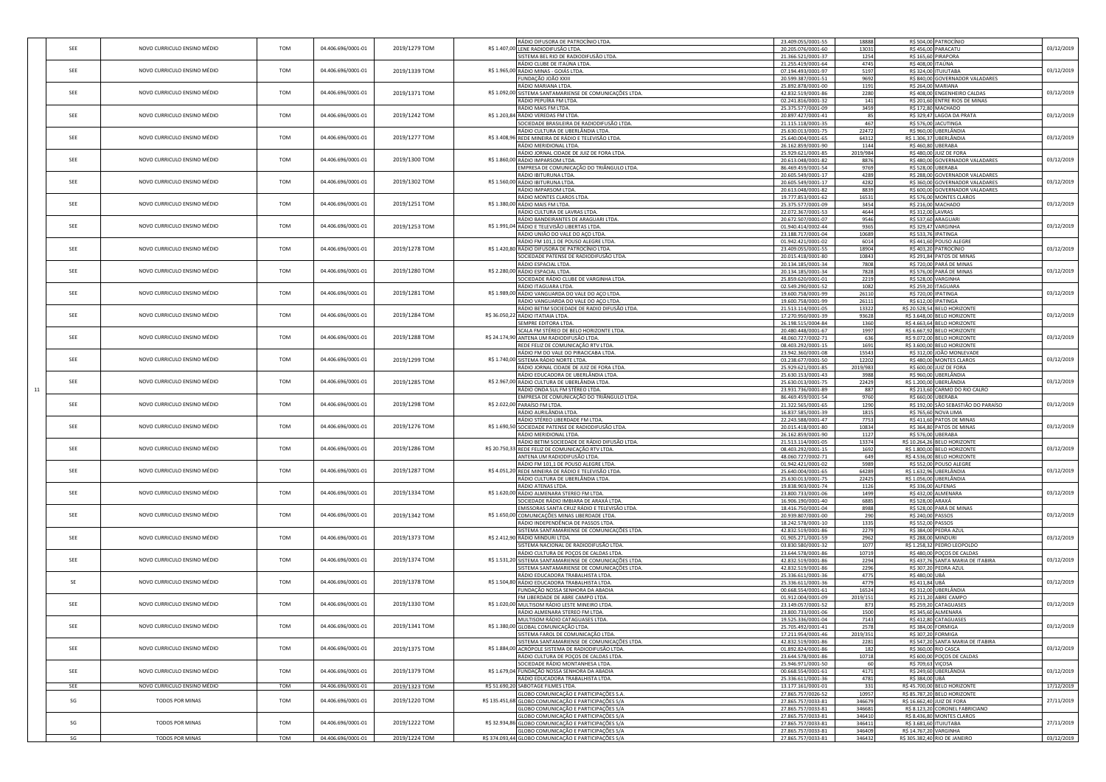|    | SEE         | NOVO CURRICULO ENSINO MÉDIO | TOM        | 04.406.696/0001-01 | 2019/1279 TOM | RÁDIO DIFUSORA DE PATROCÍNIO LTDA.<br>R\$ 1.407,00 LENE RADIODIFUSÃO LTDA.            | 23.409.055/0001-55<br>20.205.076/0001-60 | 18888<br>13031 |                                        | R\$ 504,00 PATROCÍNIO                                      | 03/12/2019 |
|----|-------------|-----------------------------|------------|--------------------|---------------|---------------------------------------------------------------------------------------|------------------------------------------|----------------|----------------------------------------|------------------------------------------------------------|------------|
|    |             |                             |            |                    |               | SISTEMA BEL RIO DE RADIODIFUSÃO LTDA.                                                 | 21.366.521/0001-37                       | 1254           |                                        | R\$456,00 PARACATU<br>R\$ 165,60 PIRAPORA                  |            |
|    |             |                             |            |                    |               | RÁDIO CLUBE DE ITAÚNA LTDA.                                                           | 21.255.419/0001-64                       | 4745           |                                        | R\$ 408,00 ITAÚNA                                          |            |
|    | SEE         | NOVO CURRICULO ENSINO MÉDIO | <b>TOM</b> | 04.406.696/0001-01 | 2019/1339 TOM | R\$ 1.965,00 RÁDIO MINAS - GOIÁS LTDA.                                                | 07.194.493/0001-97                       | 5197           |                                        | R\$ 324,00 ITUIUTABA                                       | 03/12/2019 |
|    |             |                             |            |                    |               | FUNDAÇÃO JOÃO XXIII                                                                   | 20.599.387/0001-51                       | 9692           |                                        | R\$ 840,00 GOVERNADOR VALADARES                            |            |
|    |             |                             |            |                    |               | RÁDIO MARIANA LTDA.                                                                   | 25.892.878/0001-00                       | 1191           |                                        | R\$ 264,00 MARIANA                                         |            |
|    | SEE         | NOVO CURRICULO ENSINO MÉDIO | TOM        | 04.406.696/0001-01 | 2019/1371 TOM | R\$ 1.092,00 SISTEMA SANTAMARIENSE DE COMUNICAÇÕES LTDA.                              | 42.832.519/0001-86                       | 2280           |                                        | R\$ 408,00 ENGENHEIRO CALDAS                               | 03/12/2019 |
|    |             |                             |            |                    |               | RÁDIO PEPUÍRA FM LTDA.                                                                | 02.241.816/0001-32                       | 141            |                                        | R\$ 201,60 ENTRE RIOS DE MINAS                             |            |
|    | SEE         | NOVO CURRICULO ENSINO MÉDIO | <b>TOM</b> | 04.406.696/0001-01 | 2019/1242 TOM | RÁDIO MAIS FM LTDA.<br>R\$ 1.203,84 RÁDIO VEREDAS FM LTDA.                            | 25.375.577/0001-09                       | 3459           |                                        | R\$ 172,80 MACHADO                                         | 03/12/2019 |
|    |             |                             |            |                    |               | SOCIEDADE BRASILEIRA DE RADIODIFUSÃO LTDA.                                            | 20.897.427/0001-41<br>21.115.118/0001-35 | 85<br>467      |                                        | R\$ 329,47 LAGOA DA PRATA<br>R\$ 576,00 JACUTINGA          |            |
|    |             |                             |            |                    |               | RÁDIO CULTURA DE UBERLÂNDIA LTDA.                                                     | 25.630.013/0001-75                       | 22472          |                                        | R\$ 960,00 UBERLÂNDIA                                      |            |
|    | SEE         | NOVO CURRICULO ENSINO MÉDIO | <b>TOM</b> | 04.406.696/0001-01 | 2019/1277 TOM | R\$ 3.408,96 REDE MINEIRA DE RÁDIO E TELEVISÃO LTDA.                                  | 25.640.004/0001-65                       | 64312          |                                        | R\$ 1.306,37 UBERLÂNDIA                                    | 03/12/2019 |
|    |             |                             |            |                    |               | RÁDIO MERIDIONAL LTDA                                                                 | 26.162.859/0001-90                       | 1144           |                                        | R\$ 460,80 UBERABA                                         |            |
|    |             |                             |            |                    |               | RÁDIO JORNAL CIDADE DE JUIZ DE FORA LTDA.                                             | 25.929.621/0001-85                       | 2019/984       |                                        | R\$ 480,00 JUIZ DE FORA                                    |            |
|    | SEE         | NOVO CURRICULO ENSINO MÉDIO | <b>TOM</b> | 04.406.696/0001-01 | 2019/1300 TOM | R\$ 1.860,00 RÁDIO IMPARSOM LTDA.                                                     | 20.613.048/0001-82                       | 8876           |                                        | R\$ 480,00 GOVERNADOR VALADARES                            | 03/12/2019 |
|    |             |                             |            |                    |               | EMPRESA DE COMUNICAÇÃO DO TRIÂNGULO LTDA.                                             | 86.469.459/0001-54                       | 9769           |                                        | R\$ 528,00 UBERABA                                         |            |
|    |             |                             |            |                    |               | <u>RÁDIO IBITURUNA LTDA</u>                                                           | 20.605.549/0001-17                       | 4289           |                                        | R\$ 288,00 GOVERNADOR VALADARES                            |            |
|    | SEE         | NOVO CURRICULO ENSINO MÉDIO | <b>TOM</b> | 04.406.696/0001-01 | 2019/1302 TOM | R\$ 1.560,00 RÁDIO IBITURUNA LTDA.                                                    | 20.605.549/0001-17                       | 4282           |                                        | R\$ 360,00 GOVERNADOR VALADARES                            | 03/12/2019 |
|    |             |                             |            |                    |               | RÁDIO IMPARSOM LTDA.                                                                  | 20.613.048/0001-82                       | 8839           |                                        | R\$ 600,00 GOVERNADOR VALADARES                            |            |
|    | SEE         | NOVO CURRICULO ENSINO MÉDIO | TOM        | 04.406.696/0001-01 | 2019/1251 TOM | RÁDIO MONTES CLAROS LTDA.<br>R\$ 1.380,00 RÁDIO MAIS FM LTDA.                         | 19.777.853/0001-62<br>25.375.577/0001-09 | 16531<br>3454  |                                        | R\$ 576,00 MONTES CLAROS<br>R\$ 216,00 MACHADO             | 03/12/2019 |
|    |             |                             |            |                    |               | RÁDIO CULTURA DE LAVRAS LTDA.                                                         | 22.072.367/0001-53                       | 4644           | R\$ 312,00 LAVRAS                      |                                                            |            |
|    |             |                             |            |                    |               | RÁDIO BANDEIRANTES DE ARAGUARI LTDA.                                                  | 20.672.507/0001-07                       | 9546           |                                        | R\$ 537,60 ARAGUARI                                        |            |
|    | SEE         | NOVO CURRICULO ENSINO MÉDIO | <b>TOM</b> | 04.406.696/0001-01 | 2019/1253 TOM | R\$ 1.991,04 RÁDIO E TELEVISÃO LIBERTAS LTDA.                                         | 01.940.414/0002-44                       | 9365           |                                        | R\$ 329,47 VARGINHA                                        | 03/12/2019 |
|    |             |                             |            |                    |               | RÁDIO UNIÃO DO VALE DO AÇO LTDA.                                                      | 23.188.717/0001-04                       | 10689          |                                        | R\$ 533,76 IPATINGA                                        |            |
|    |             |                             |            |                    |               | RÁDIO FM 101,1 DE POUSO ALEGRE LTDA.                                                  | 01.942.421/0001-02                       | 6014           |                                        | R\$ 441,60 POUSO ALEGRE                                    |            |
|    | SEE         | NOVO CURRICULO ENSINO MÉDIO | TOM        | 04.406.696/0001-01 | 2019/1278 TOM | R\$ 1.420,80 RÁDIO DIFUSORA DE PATROCÍNIO LTDA.                                       | 23.409.055/0001-55                       | 18904          |                                        | R\$ 403,20 PATROCÍNIO                                      | 03/12/2019 |
|    |             |                             |            |                    |               | SOCIEDADE PATENSE DE RADIODIFUSÃO LTDA.                                               | 20.015.418/0001-80                       | 10843          |                                        | R\$ 291,84 PATOS DE MINAS                                  |            |
|    |             |                             | TOM        |                    |               | RÁDIO ESPACIAL LTDA                                                                   | 20.134.185/0001-34                       | 7808           |                                        | R\$ 720,00 PARÁ DE MINAS                                   |            |
|    | SEE         | NOVO CURRICULO ENSINO MÉDIO |            | 04.406.696/0001-01 | 2019/1280 TOM | R\$ 2.280,00 RÁDIO ESPACIAL LTDA<br>SOCIEDADE RÁDIO CLUBE DE VARGINHA LTDA.           | 20.134.185/0001-34                       | 7828           |                                        | R\$ 576,00 PARÁ DE MINAS                                   | 03/12/2019 |
|    |             |                             |            |                    |               |                                                                                       | 25.859.620/0001-01                       | 2219           |                                        | R\$ 528,00 VARGINHA                                        |            |
|    | SEE         | NOVO CURRICULO ENSINO MÉDIO | TOM        | 04.406.696/0001-01 | 2019/1281 TOM | RÁDIO ITAGUARA LTDA.<br>R\$ 1.989,00 RÁDIO VANGUARDA DO VALE DO AÇO LTDA.             | 02.549.290/0001-52<br>19.600.758/0001-99 | 1082<br>26110  |                                        | R\$ 259,20 ITAGUARA<br>R\$ 720,00 IPATINGA                 | 03/12/2019 |
|    |             |                             |            |                    |               | RÁDIO VANGUARDA DO VALE DO AÇO LTDA.                                                  | 19.600.758/0001-99                       | 26111          |                                        | R\$ 612,00 IPATINGA                                        |            |
|    |             |                             |            |                    |               | RÁDIO BETIM SOCIEDADE DE RADIO DIFUSÃO LTDA.                                          | 21.513.114/0001-05                       | 13322          |                                        | R\$ 20.528,54 BELO HORIZONTE                               |            |
|    | SEE         | NOVO CURRICULO ENSINO MÉDIO | TOM        | 04.406.696/0001-01 | 2019/1284 TOM | R\$ 36.050,22 RÁDIO ITATIAIA LTDA.                                                    | 17.270.950/0001-39                       | 93628          |                                        | R\$ 3.648,00 BELO HORIZONTE                                | 03/12/2019 |
|    |             |                             |            |                    |               | SEMPRE EDITORA LTDA                                                                   | 26.198.515/0004-84                       | 1360           |                                        | R\$ 4.663,64 BELO HORIZONTE                                |            |
|    |             |                             |            |                    |               | SCALA FM STÉREO DE BELO HORIZONTE LTDA.                                               | 20.480.448/0001-67                       | 1997           |                                        | R\$ 6.667,92 BELO HORIZONTE                                |            |
|    | SEE         | NOVO CURRICULO ENSINO MÉDIO | TOM        | 04.406.696/0001-01 | 2019/1288 TOM | R\$ 24.174,90 ANTENA UM RADIODIFUSÃO LTDA.                                            | 48.060.727/0002-71                       | 636            |                                        | R\$ 9.072,00 BELO HORIZONTE                                | 03/12/2019 |
|    |             |                             |            |                    |               | REDE FELIZ DE COMUNICAÇÃO RTV LTDA.                                                   | 08.403.292/0001-15                       | 1691           |                                        | R\$ 3.600,00 BELO HORIZONTE                                |            |
|    |             |                             |            |                    |               | RÁDIO FM DO VALE DO PIRACICABA LTDA.                                                  | 23.942.360/0001-08                       | 15543          |                                        | R\$ 312,00 JOÃO MONLEVADE                                  |            |
|    | SEE         | NOVO CURRICULO ENSINO MÉDIO | TOM        | 04.406.696/0001-01 | 2019/1299 TOM | R\$ 1.740,00 SISTEMA RÁDIO NORTE LTDA.                                                | 03.238.677/0001-50                       | 12202          |                                        | R\$ 480,00 MONTES CLAROS                                   | 03/12/2019 |
|    |             |                             |            |                    |               | RÁDIO JORNAL CIDADE DE JUIZ DE FORA LTDA.                                             | 25.929.621/0001-85<br>25.630.153/0001-43 | 2019/983       |                                        | R\$ 600,00 JUIZ DE FORA                                    |            |
|    | SEE         | NOVO CURRICULO ENSINO MÉDIO | <b>TOM</b> | 04.406.696/0001-01 | 2019/1285 TOM | RÁDIO EDUCADORA DE UBERLÂNDIA LTDA.<br>R\$ 2.967,00 RÁDIO CULTURA DE UBERLÂNDIA LTDA. | 25.630.013/0001-75                       | 3988<br>22429  |                                        | R\$ 960,00 UBERLÂNDIA<br>R\$ 1.200,00 UBERLÂNDIA           | 03/12/2019 |
| 11 |             |                             |            |                    |               | RÁDIO ONDA SUL FM STÉREO LTDA.                                                        | 23.931.736/0001-89                       | 887            |                                        | R\$ 213,60 CARMO DO RIO CALRO                              |            |
|    |             |                             |            |                    |               | EMPRESA DE COMUNICAÇÃO DO TRIÂNGULO LTDA.                                             | 86.469.459/0001-54                       | 9760           |                                        | R\$ 660,00 UBERABA                                         |            |
|    | SEE         | NOVO CURRICULO ENSINO MÉDIO | <b>TOM</b> | 04.406.696/0001-01 | 2019/1298 TOM | R\$ 2.022,00 PARAÍSO FM LTDA.                                                         | 21.322.565/0001-65                       | 1290           |                                        | R\$ 192,00 SÃO SEBASTIÃO DO PARAÍSO                        | 03/12/2019 |
|    |             |                             |            |                    |               | RÁDIO AURILÂNDIA LTDA.                                                                | 16.837.585/0001-39                       | 1815           |                                        | R\$ 765,60 NOVA LIMA                                       |            |
|    |             |                             |            |                    |               | RÁDIO STÉREO LIBERDADE FM LTDA.                                                       | 22.243.588/0001-47                       | 7753           |                                        | R\$ 411,60 PATOS DE MINAS                                  |            |
|    | SEE         | NOVO CURRICULO ENSINO MÉDIO | TOM        | 04.406.696/0001-01 | 2019/1276 TOM | R\$ 1.690,50 SOCIEDADE PATENSE DE RADIODIFUSÃO LTDA.                                  | 20.015.418/0001-80                       | 10834          |                                        | R\$ 364,80 PATOS DE MINAS                                  | 03/12/2019 |
|    |             |                             |            |                    |               | RÁDIO MERIDIONAL LTDA.                                                                | 26.162.859/0001-90                       | 1127           |                                        | R\$ 576,00 UBERABA                                         |            |
|    |             |                             |            |                    |               | RÁDIO BETIM SOCIEDADE DE RÁDIO DIFUSÃO LTDA.                                          | 21.513.114/0001-05                       | 13374          |                                        | R\$ 10.264,26 BELO HORIZONTE                               |            |
|    | ${\sf SEE}$ | NOVO CURRICULO ENSINO MÉDIO | TOM        | 04.406.696/0001-01 | 2019/1286 TOM | R\$ 20.750,33 REDE FELIZ DE COMUNICAÇÃO RTV LTDA.<br>ANTENA UM RADIODIFUSÃO LTDA.     | 08.403.292/0001-15                       | 1692<br>649    |                                        | R\$ 1.800,00 BELO HORIZONTE<br>R\$ 4.536,00 BELO HORIZONTE | 03/12/2019 |
|    |             |                             |            |                    |               | RÁDIO FM 101,1 DE POUSO ALEGRE LTDA.                                                  | 48.060.727/0002-71<br>01.942.421/0001-02 | 5989           |                                        | R\$ 552,00 POUSO ALEGRE                                    |            |
|    | SEE         | NOVO CURRICULO ENSINO MÉDIO | TOM        | 04.406.696/0001-01 | 2019/1287 TOM | R\$ 4.051,20 REDE MINEIRA DE RÁDIO E TELEVISÃO LTDA.                                  | 25.640.004/0001-65                       | 64289          |                                        | R\$ 1.632,96 UBERLÂNDIA                                    | 03/12/2019 |
|    |             |                             |            |                    |               | RÁDIO CULTURA DE UBERLÂNDIA LTDA.                                                     | 25.630.013/0001-75                       | 22425          |                                        | R\$ 1.056,00 UBERLÂNDIA                                    |            |
|    |             |                             |            |                    |               | RÁDIO ATENAS LTDA.                                                                    | 19.838.903/0001-74                       | 1126           |                                        | R\$ 336,00 ALFENAS                                         |            |
|    | SEE         | NOVO CURRICULO ENSINO MÉDIO | <b>TOM</b> | 04.406.696/0001-01 | 2019/1334 TOM | R\$ 1.620,00 RÁDIO ALMENARA STEREO FM LTDA.                                           | 23.800.733/0001-06                       | 1499           |                                        | R\$ 432,00 ALMENARA                                        | 03/12/2019 |
|    |             |                             |            |                    |               | SOCIEDADE RÁDIO IMBIARA DE ARAXÁ LTDA.                                                | 16.906.190/0001-40                       | 6885           | R\$ 528,00 ARAXÁ                       |                                                            |            |
|    |             |                             |            |                    |               | EMISSORAS SANTA CRUZ RÁDIO E TELEVISÃO LTDA.                                          | 18.416.750/0001-04                       | 8988           |                                        | R\$ 528,00 PARÁ DE MINAS                                   |            |
|    | SEE         | NOVO CURRICULO ENSINO MÉDIO | TOM        | 04.406.696/0001-01 | 2019/1342 TOM | R\$ 1.650,00 COMUNICAÇÕES MINAS LIBERDADE LTDA.                                       | 20.939.807/0001-00                       | 290            | R\$ 240,00 PASSOS<br>R\$ 552,00 PASSOS |                                                            | 03/12/2019 |
|    |             |                             |            |                    |               | RÁDIO INDEPENDÊNCIA DE PASSOS LTDA.<br>SISTEMA SANTAMARIENSE DE COMUNICAÇÕES LTDA.    | 18.242.578/0001-10<br>42.832.519/0001-86 | 1335<br>2279   |                                        | R\$ 384,00 PEDRA AZUL                                      |            |
|    | SEE         | NOVO CURRICULO ENSINO MÉDIO | <b>TOM</b> | 04.406.696/0001-01 | 2019/1373 TOM | R\$ 2.412,90 RÁDIO MINDURI LTDA.                                                      | 01.905.271/0001-59                       | 2962           |                                        | R\$ 288,00 MINDURI                                         | 03/12/2019 |
|    |             |                             |            |                    |               | SISTEMA NACIONAL DE RADIODIFUSÃO LTDA.                                                | 03.830.580/0001-32                       | 1077           |                                        | R\$ 1.258,32 PEDRO LEOPOLDO                                |            |
|    |             |                             |            |                    |               | RÁDIO CULTURA DE POÇOS DE CALDAS LTDA.                                                | 23.644.578/0001-86                       | 10719          |                                        | R\$ 480,00 POÇOS DE CALDAS                                 |            |
|    | SEE         | NOVO CURRICULO ENSINO MÉDIO | TOM        | 04.406.696/0001-01 | 2019/1374 TOM | R\$ 1.531,20 SISTEMA SANTAMARIENSE DE COMUNICAÇÕES LTDA.                              | 42.832.519/0001-86                       | 2294           |                                        | R\$ 437,76 SANTA MARIA DE ITABIRA                          | 03/12/2019 |
|    |             |                             |            |                    |               | SISTEMA SANTAMARIENSE DE COMUNICAÇÕES LTDA.                                           | 42.832.519/0001-86                       | 2296           |                                        | R\$ 307,20 PEDRA AZUL                                      |            |
|    |             |                             |            |                    |               | RÁDIO EDUCADORA TRABALHISTA LTDA                                                      | 25.336.611/0001-36                       | 4775           | R\$ 480,00 UBÁ                         |                                                            |            |
|    | SE          | NOVO CURRICULO ENSINO MÉDIO | TOM        | 04.406.696/0001-01 | 2019/1378 TOM | R\$ 1.504,80 RÁDIO EDUCADORA TRABALHISTA LTDA                                         | 25.336.611/0001-36                       | 4779           | R\$ 411,84 UBÁ                         |                                                            | 03/12/2019 |
|    |             |                             |            |                    |               | FUNDAÇÃO NOSSA SENHORA DA ABADIA                                                      | 00.668.554/0001-61                       | 16524          |                                        | R\$ 312,00 UBERLÂNDIA                                      |            |
|    | SEE         | NOVO CURRICULO ENSINO MÉDIO | <b>TOM</b> | 04.406.696/0001-01 | 2019/1330 TOM | FM LIBERDADE DE ABRE CAMPO LTDA.                                                      | 01.912.004/0001-09                       | 2019/151       |                                        | R\$ 211,20 ABRE CAMPO                                      | 03/12/2019 |
|    |             |                             |            |                    |               | R\$ 1.020,00 MULTISOM RÁDIO LESTE MINEIRO LTDA.<br>RÁDIO ALMENARA STEREO FM LTDA.     | 23.149.057/0001-52<br>23.800.733/0001-06 | 873<br>1500    |                                        | R\$ 259,20 CATAGUASES<br>R\$ 345,60 ALMENARA               |            |
|    |             |                             |            |                    |               | MULTISOM RÁDIO CATAGUASES LTDA.                                                       | 19.525.336/0001-04                       | 7143           |                                        | R\$ 412,80 CATAGUASES                                      |            |
|    |             | NOVO CURRICULO ENSINO MÉDIO | TOM        | 04.406.696/0001-01 | 2019/1341 TOM | R\$ 1.380,00<br>IGLOBAL COMUNICAÇÃO LI DA.                                            | 25.705.492/0001-41                       | 2578           |                                        | R\$ 384,00 FORMIGA                                         | 03/12/2019 |
|    |             |                             |            |                    |               | SISTEMA FAROL DE COMUNICAÇÃO LTDA.                                                    | 17.211.954/0001-46                       | 2019/351       |                                        | R\$ 307,20 FORMIGA                                         |            |
|    |             |                             |            |                    |               | SISTEMA SANTAMARIENSE DE COMUNICAÇÕES LTDA.                                           | 42.832.519/0001-86                       | 2281           |                                        | R\$ 547,20 SANTA MARIA DE ITABIRA                          |            |
|    | SEE         | NOVO CURRICULO ENSINO MÉDIO | TOM        | 04.406.696/0001-01 | 2019/1375 TOM | R\$ 1.884,00 ACRÓPOLE SISTEMA DE RADIODIFUSÃO LTDA                                    | 01.892.824/0001-86                       | 182            |                                        | R\$ 360,00 RIO CASCA                                       | 03/12/2019 |
|    |             |                             |            |                    |               | RÁDIO CULTURA DE POÇOS DE CALDAS LTDA.                                                | 23.644.578/0001-86                       | 10718          |                                        | R\$ 600,00 POÇOS DE CALDAS                                 |            |
|    |             |                             |            |                    |               | SOCIEDADE RÁDIO MONTANHESA LTDA.                                                      | 25.946.971/0001-50                       | 60             | R\$ 709,63 VIÇOSA                      |                                                            |            |
|    | SEE         | NOVO CURRICULO ENSINO MÉDIO | TOM        | 04.406.696/0001-01 | 2019/1379 TOM | R\$ 1.679,04 FUNDAÇÃO NOSSA SENHORA DA ABADIA<br>RÁDIO EDUCADORA TRABALHISTA LTDA.    | 00.668.554/0001-61<br>25.336.611/0001-36 | 4171<br>4781   |                                        | R\$ 249,60 UBERLÂNDIA                                      | 03/12/2019 |
|    | SEE         | NOVO CURRICULO ENSINO MÉDIO | TOM        | 04.406.696/0001-01 | 2019/1323 TOM | R\$ 51.690,20 SABOTAGE FILMES LTDA.                                                   | 13.177.161/0001-01                       | 331            | R\$ 384,00 UBÁ                         | R\$ 45.700,00 BELO HORIZONTE                               | 17/12/2019 |
|    |             |                             |            |                    |               | GLOBO COMUNICAÇÃO E PARTICIPAÇÕES S.A.                                                | 27.865.757/0026-52                       | 10957          |                                        | R\$ 85.787,20 BELO HORIZONTE                               |            |
|    | SG          | TODOS POR MINAS             | TOM        | 04.406.696/0001-01 | 2019/1220 TOM | R\$ 135.451,68 GLOBO COMUNICAÇÃO E PARTICIPAÇÕES S/A                                  | 27.865.757/0033-81                       | 346679         |                                        | R\$ 16.662,40 JUIZ DE FORA                                 | 27/11/2019 |
|    |             |                             |            |                    |               | GLOBO COMUNICAÇÃO E PARTICIPAÇÕES S/A                                                 | 27.865.757/0033-81                       | 346681         |                                        | R\$ 8.123,20 CORONEL FABRICIANO                            |            |
|    |             |                             |            |                    |               | GLOBO COMUNICAÇÃO E PARTICIPAÇÕES S/A                                                 | 27.865.757/0033-81                       | 346410         |                                        | R\$ 8.436,80 MONTES CLAROS                                 |            |
|    | SG          | <b>TODOS POR MINAS</b>      | <b>TOM</b> | 04.406.696/0001-01 | 2019/1222 TOM | R\$ 32.934,86 GLOBO COMUNICAÇÃO E PARTICIPAÇÕES S/A                                   | 27.865.757/0033-81                       | 346411         |                                        | R\$ 3.681,60 ITUIUTABA                                     | 27/11/2019 |
|    |             |                             |            |                    |               | GLOBO COMUNICAÇÃO E PARTICIPAÇÕES S/A                                                 | 27.865.757/0033-81                       | 346409         | R\$ 14.767,20 VARGINHA                 |                                                            |            |
|    | SG          | TODOS POR MINAS             | TOM        | 04.406.696/0001-01 | 2019/1224 TOM | R\$ 374.093,44 GLOBO COMUNICAÇÃO E PARTICIPAÇÕES S/A                                  | 27.865.757/0033-81                       | 346432         |                                        | R\$ 305.382,40 RIO DE JANEIRO                              | 03/12/2019 |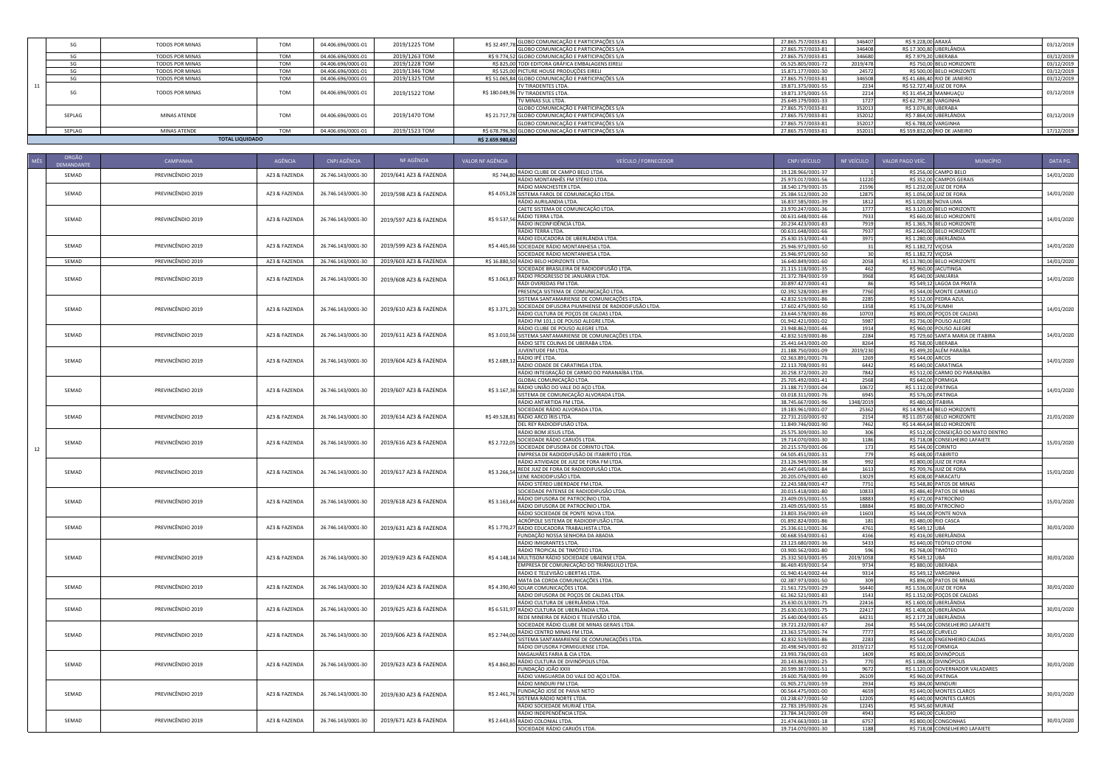|        | <b>TOTAL LIQUIDADO</b> |            |                    |               | R\$ 2.659,980.62 |                                                     |                    |          |                        |                               |            |
|--------|------------------------|------------|--------------------|---------------|------------------|-----------------------------------------------------|--------------------|----------|------------------------|-------------------------------|------------|
| SEPLAG | MINAS ATENDE           | <b>TOM</b> | 04.406.696/0001-01 | 2019/1523 TOM |                  | RS 678.796.30 GLOBO COMUNICAÇÃO E PARTICIPAÇÕES S/A | 27.865.757/0033-81 | 352011   |                        | R\$ 559.832,00 RIO DE JANEIRO | 17/12/2019 |
|        |                        |            |                    |               |                  | GLOBO COMUNICAÇÃO E PARTICIPAÇÕES S/A               | 27.865.757/0033-81 | 352017   |                        | R\$ 6.788,00 VARGINHA         |            |
| SEPLAG | MINAS ATENDE           | <b>TOM</b> | 04.406.696/0001-01 | 2019/1470 TOM |                  | R\$ 21.717,78 GLOBO COMUNICAÇÃO E PARTICIPAÇÕES S/A | 27.865.757/0033-81 | 352012   |                        | R\$ 7.864,00 UBERLÂNDIA       | 03/12/2019 |
|        |                        |            |                    |               |                  | GLOBO COMUNICAÇÃO E PARTICIPAÇÕES S/A               | 27.865.757/0033-81 | 352013   |                        | R\$ 3.076,80 UBERABA          |            |
|        |                        |            |                    |               |                  | TV MINAS SUL LTDA.                                  | 25.649.179/0001-33 | 1727     | R\$ 62.797,80 VARGINHA |                               |            |
| SG     | TODOS POR MINAS        | <b>TOM</b> | 04.406.696/0001-01 | 2019/1522 TOM |                  | R\$ 180.049,96 TV TIRADENTES LTDA.                  | 19.871.375/0001-55 | 2214     |                        | R\$ 31.454,28 MANHUAÇU        | 03/12/2019 |
|        |                        |            |                    |               |                  | TV TIRADENTES LTDA.                                 | 19.871.375/0001-55 | 2234     |                        | R\$ 52,727.48 JUIZ DE FORA    |            |
| SG     | TODOS POR MINAS        | <b>TOM</b> | 04.406.696/0001-01 | 2019/1325 TOM |                  | R\$ 51.065,84 GLOBO COMUNICAÇÃO E PARTICIPAÇÕES S/A | 27.865.757/0033-81 | 346508   |                        | R\$ 41,686,40 RIO DE JANEIRO  | 03/12/2019 |
| SG     | TODOS POR MINAS        | <b>TOM</b> | 04.406.696/0001-01 | 2019/1346 TOM |                  | R\$ 525,00 PICTURE HOUSE PRODUÇÕES EIRELI           | 15.871.177/0001-30 | 24572    |                        | R\$ 500.00 BELO HORIZONTE     | 03/12/2019 |
| SG     | TODOS POR MINAS        | <b>TOM</b> | 04.406.696/0001-01 | 2019/1228 TOM |                  | RS 825.00 TODI EDITORA GRÁFICA EMBALAGENS EIRELI    | 05.525.805/0001-72 | 2019/478 |                        | R\$ 750,00 BELO HORIZONTE     | 03/12/2019 |
| SG     | TODOS POR MINAS        | <b>TOM</b> | 04.406.696/0001-01 | 2019/1263 TOM |                  | R\$ 9.774,52 GLOBO COMUNICAÇÃO E PARTICIPAÇÕES S/A  | 27.865.757/0033-81 | 346680   |                        | R\$ 7.979,20 UBERABA          | 03/12/2019 |
|        |                        |            |                    |               |                  | GLOBO COMUNICAÇÃO E PARTICIPAÇÕES S/A               | 27.865.757/0033-81 | 346408   |                        | R\$ 17.300,80 UBERLÂNDIA      |            |
| SG     | TODOS POR MINAS        | <b>TOM</b> | 04.406.696/0001-01 | 2019/1225 TOM |                  | R\$ 32.497,78 GLOBO COMUNICAÇÃO E PARTICIPAÇÕES S/A | 27.865.757/0033-81 | 346407   | R\$ 9.228,00 ARAXÁ     |                               | 03/12/2019 |

| MÊS | ORGÃO<br>DEMANDANT | CAMPANHA          | AGÊNCIA       | CNPJ AGÊNCIA       | NF AGÊNCIA             | VALOR NF AGÊNCIA | <b>VEÍCULO / FORNECEDOR</b>                                                                | CNPJ VEÍCULO                             | NF VEÍCULO       | VALOR PAGO VEÍC.<br><b>MUNICÍPIO</b>                                   | DATA PG.   |
|-----|--------------------|-------------------|---------------|--------------------|------------------------|------------------|--------------------------------------------------------------------------------------------|------------------------------------------|------------------|------------------------------------------------------------------------|------------|
|     | SEMAD              | PREVINCÊNDIO 2019 | AZ3 & FAZENDA | 26.746.143/0001-30 | 2019/641 AZ3 & FAZENDA |                  | R\$ 744,80 RÁDIO CLUBE DE CAMPO BELO LTDA.                                                 | 19.128.966/0001-37                       |                  | R\$ 256,00 CAMPO BELO                                                  | 14/01/2020 |
|     |                    |                   |               |                    |                        |                  | RÁDIO MONTANHÊS FM STÉREO LTDA.                                                            | 25.973.017/0001-56                       | 11220            | R\$ 352,00 CAMPOS GERAIS                                               |            |
|     |                    |                   |               |                    |                        |                  | RÁDIO MANCHESTER LTDA.                                                                     | 18.540.179/0001-35                       | 21596            | R\$ 1.232,00 JUIZ DE FORA                                              |            |
|     | SEMAD              | PREVINCÊNDIO 2019 | AZ3 & FAZENDA | 26.746.143/0001-30 | 2019/598 AZ3 & FAZENDA |                  | R\$ 4.053,28 SISTEMA FAROL DE COMUNICAÇÃO LTDA.<br>RÁDIO AURILANDIA LTDA.                  | 25.384.512/0001-20                       | 12875<br>1812    | R\$ 1.056,00 JUIZ DE FORA<br>R\$ 1.020,80 NOVA LIMA                    | 14/01/2020 |
|     |                    |                   |               |                    |                        |                  | CAETE SISTEMA DE COMUNICAÇÃO LTDA.                                                         | 16.837.585/0001-39<br>23.970.247/0001-36 | 1777             | R\$ 3.120,00 BELO HORIZONTE                                            |            |
|     |                    |                   |               |                    |                        |                  | R\$ 9.537,56 RÁDIO TERRA LTDA.                                                             | 00.631.648/0001-66                       | 7933             | R\$ 660,00 BELO HORIZONTE                                              |            |
|     | SEMAD              | PREVINCÊNDIO 2019 | AZ3 & FAZENDA | 26.746.143/0001-30 | 2019/597 AZ3 & FAZENDA |                  | RÁDIO INCONFIDÊNCIA LTDA.                                                                  | 20.234.423/0001-83                       | 7919             | R\$ 1.365,76 BELO HORIZONTE                                            | 14/01/2020 |
|     |                    |                   |               |                    |                        |                  | RÁDIO TERRA LTDA.                                                                          | 00.631.648/0001-66                       | 7937             | R\$ 2.640,00 BELO HORIZONTE                                            |            |
|     |                    |                   |               |                    |                        |                  | RÁDIO EDUCADORA DE UBERLÂNDIA LTDA.                                                        | 25.630.153/0001-43                       | 3971             | R\$ 1.280,00 UBERLÂNDIA                                                |            |
|     | SEMAD              | PREVINCÊNDIO 2019 | AZ3 & FAZENDA | 26.746.143/0001-30 | 2019/599 AZ3 & FAZENDA |                  | R\$ 4.465,66 SOCIEDADE RÁDIO MONTANHESA LTDA                                               | 25.946.971/0001-50                       | 31               | R\$ 1.182,72 VIÇOSA                                                    | 14/01/2020 |
|     | SEMAD              | PREVINCÊNDIO 2019 | AZ3 & FAZENDA | 26.746.143/0001-30 | 2019/603 AZ3 & FAZENDA |                  | SOCIEDADE RÁDIO MONTANHESA LTDA.<br>R\$ 16.880,50 RÁDIO BELO HORIZONTE LTDA.               | 25.946.971/0001-50<br>16.640.849/0001-60 | 30<br>2058       | R\$ 1.182,72 VIÇOSA<br>R\$ 13.780,00 BELO HORIZONTE                    | 14/01/2020 |
|     |                    |                   |               |                    |                        |                  | SOCIEDADE BRASILEIRA DE RADIODIFUSÃO LTDA.                                                 | 21.115.118/0001-35                       | 462              | R\$ 960,00 JACUTINGA                                                   |            |
|     |                    |                   |               |                    |                        |                  |                                                                                            | 21.372.784/0001-59                       | 3968             | RS 640.00 JANUÁRIA                                                     |            |
|     | SEMAD              | PREVINCÊNDIO 2019 | AZ3 & FAZENDA | 26.746.143/0001-30 | 2019/608 AZ3 & FAZENDA |                  | R\$ 3.063,87 RÁDIO PROGRESSO DE JANUÁRIA LTDA                                              | 20.897.427/0001-41                       | 86               | R\$ 549,12 LAGOA DA PRATA                                              | 14/01/2020 |
|     |                    |                   |               |                    |                        |                  | PRESENÇA SISTEMA DE COMUNICAÇÃO LTDA.                                                      | 02.392.528/0001-89                       | 7760             | R\$ 544,00 MONTE CARMELO                                               |            |
|     |                    |                   |               |                    |                        |                  | SISTEMA SANTAMARIENSE DE COMUNICAÇÕES LTDA.                                                | 42.832.519/0001-86                       | 2285             | R\$ 512,00 PEDRA AZUL                                                  |            |
|     | SEMAD              | PREVINCÊNDIO 2019 | AZ3 & FAZENDA | 26.746.143/0001-30 | 2019/610 AZ3 & FAZENDA | R\$ 3.371,20     | SOCIEDADE DIFUSORA PIUMHIENSE DE RADIODIFUSÃO LTDA.                                        | 17.602.475/0001-50                       | 1358             | R\$ 176,00 PIUMHI                                                      | 14/01/2020 |
|     |                    |                   |               |                    |                        |                  | RÁDIO CULTURA DE POÇOS DE CALDAS LTDA.<br>RÁDIO FM 101,1 DE POUSO ALEGRE LTDA.             | 23.644.578/0001-86<br>01.942.421/0001-02 | 10703<br>5987    | R\$ 800,00 POÇOS DE CALDAS<br>R\$ 736,00 POUSO ALEGRE                  |            |
|     |                    |                   |               |                    |                        |                  | RÁDIO CLUBE DE POUSO ALEGRE LTDA.                                                          | 23.948.862/0001-46                       | 1914             | R\$ 960,00 POUSO ALEGRE                                                |            |
|     | SEMAD              | PREVINCÊNDIO 2019 | AZ3 & FAZENDA | 26.746.143/0001-30 | 2019/611 AZ3 & FAZENDA |                  | R\$ 3.010,56 SISTEMA SANTAMARIENSE DE COMUNICAÇÕES LTDA.                                   | 42.832.519/0001-86                       | 2284             | R\$ 729,60 SANTA MARIA DE ITABIRA                                      | 14/01/2020 |
|     |                    |                   |               |                    |                        |                  | RÁDIO SETE COLINAS DE UBERABA LTDA.                                                        | 25.441.643/0001-00                       | 8264             | R\$ 768,00 UBERABA                                                     |            |
|     |                    |                   |               |                    |                        |                  | JUVENTUDE FM LTDA.                                                                         | 21.188.750/0001-09                       | 2019/230         | R\$ 499,20 ALÉM PARAÍBA                                                |            |
|     | SEMAD              | PREVINCÊNDIO 2019 | AZ3 & FAZENDA | 26.746.143/0001-30 | 2019/604 AZ3 & FAZENDA |                  | R\$ 2.689,12 RÁDIO IPÊ LTDA.<br>R\$ 2.689,12 RÁDIO CIDADE DE CARATINGA LTDA.               | 02.363.891/0001-76                       | 1269             | R\$ 544,00 ARCOS                                                       | 14/01/2020 |
|     |                    |                   |               |                    |                        |                  |                                                                                            | 22.113.708/0001-91                       | 6442             | R\$ 640,00 CARATINGA                                                   |            |
|     |                    |                   |               |                    |                        |                  | RÁDIO INTEGRAÇÃO DE CARMO DO PARANAÍBA LTDA.                                               | 20.258.372/0001-20<br>25.705.492/0001-41 | 7842             | R\$ 512,00 CARMO DO PARANAÍBA                                          |            |
|     |                    |                   |               |                    |                        |                  | GLOBAL COMUNICAÇÃO LTDA<br>R\$ 3.167,36 RÁDIO UNIÃO DO VALE DO AÇO LTDA.                   | 23.188.717/0001-04                       | 2568<br>10672    | R\$ 640,00 FORMIGA<br>R\$ 1.112,00 IPATINGA                            |            |
|     | SEMAD              | PREVINCÊNDIO 2019 | AZ3 & FAZENDA | 26.746.143/0001-30 | 2019/607 AZ3 & FAZENDA |                  | SISTEMA DE COMUNICAÇÃO ALVORADA LTDA.                                                      | 03.018.311/0001-76                       | 6945             | R\$ 576,00 IPATINGA                                                    | 14/01/2020 |
|     |                    |                   |               |                    |                        |                  | RÁDIO ANTARTIDA FM LTDA.                                                                   | 38.745.667/0001-96                       | 1348/2019        | R\$ 480,00 ITABIRA                                                     |            |
|     |                    |                   |               |                    |                        |                  | SOCIEDADE RÁDIO ALVORADA LTDA.                                                             | 19.183.961/0001-07                       | 25362            | R\$ 14.909,44 BELO HORIZONTE                                           |            |
|     | SEMAD              | PREVINCÊNDIO 2019 | AZ3 & FAZENDA | 26.746.143/0001-30 | 2019/614 AZ3 & FAZENDA |                  | R\$ 49.528,81 RÁDIO ARCO ÍRIS LTDA.                                                        | 22.731.210/0001-92                       | 2154             | R\$ 11.057,60 BELO HORIZONTE                                           | 21/01/2020 |
|     |                    |                   |               |                    |                        |                  | DEL REY RADIODIFUSÃO LTDA.                                                                 | 11.849.746/0001-90                       | 7462             | R\$ 14.464,64 BELO HORIZONTE                                           |            |
|     |                    |                   |               |                    |                        |                  | RÁDIO BOM JESUS LTDA.                                                                      | 25.575.309/0001-30<br>19.714.070/0001-30 | 306<br>1186      | R\$ 512,00 CONSEIÇÃO DO MATO DENTRO<br>R\$ 718,08 CONSELHEIRO LAFAIETE |            |
|     | SEMAD              | PREVINCÊNDIO 2019 | AZ3 & FAZENDA | 26.746.143/0001-30 | 2019/616 AZ3 & FAZENDA |                  | R\$ 2.722,05 SOCIEDADE RÁDIO CARIJÓS LTDA.<br>SOCIEDADE DIFUSORA DE CORINTO LTDA.          | 20.215.570/0001-06                       | 173              | R\$ 544,00 CORINTO                                                     | 15/01/2020 |
| 12  |                    |                   |               |                    |                        |                  | EMPRESA DE RADIODIFUSÃO DE ITABIRITO LTDA                                                  | 04.505.451/0001-31                       | 779              | R\$ 448,00 ITABIRITO                                                   |            |
|     |                    |                   |               |                    |                        |                  | RÁDIO ATIVIDADE DE JUIZ DE FORA FM LTDA.                                                   | 23.126.949/0001-38                       | 992              | R\$ 800.00 JUIZ DE FORA                                                |            |
|     | SEMAD              | PREVINCÊNDIO 2019 | AZ3 & FAZENDA | 26.746.143/0001-30 | 2019/617 AZ3 & FAZENDA |                  | R\$ 3.266,54 REDE JUIZ DE FORA DE RADIODIFUSÃO LTDA.                                       | 20.447.645/0001-84                       | 1613             | R\$ 709,76 JUIZ DE FORA                                                | 15/01/2020 |
|     |                    |                   |               |                    |                        |                  | LENE RADIODIFUSÃO LTDA.                                                                    | 20.205.076/0001-60                       | 13029            | R\$ 608,00 PARACATU                                                    |            |
|     |                    |                   |               |                    |                        |                  | RÁDIO STÉREO LIBERDADE FM LTDA.                                                            | 22.243.588/0001-47                       | 7751             | R\$ 548,80 PATOS DE MINAS                                              |            |
|     |                    |                   |               |                    |                        |                  | SOCIEDADE PATENSE DE RADIODIFUSÃO LTDA.<br>R\$ 3.163,44 RÁDIO DIFUSORA DE PATROCÍNIO LTDA. | 20.015.418/0001-80<br>23.409.055/0001-55 | 10833<br>18883   | R\$ 486,40 PATOS DE MINAS<br>R\$ 672,00 PATROCÍNIO                     |            |
|     | SEMAD              | PREVINCÊNDIO 2019 | AZ3 & FAZENDA | 26.746.143/0001-30 | 2019/618 AZ3 & FAZENDA |                  | RÁDIO DIFUSORA DE PATROCÍNIO LTDA.                                                         | 23.409.055/0001-55                       | 18884            | R\$ 880,00 PATROCÍNIO                                                  | 15/01/2020 |
|     |                    |                   |               |                    |                        |                  | RÁDIO SOCIEDADE DE PONTE NOVA LTDA.                                                        | 23.803.356/0001-69                       | 11603            | R\$ 544,00 PONTE NOVA                                                  |            |
|     |                    |                   |               |                    |                        |                  | ACRÓPOLE SISTEMA DE RADIODIFUSÃO LTDA                                                      | 01.892.824/0001-86                       | 181              | R\$ 480,00 RIO CASCA                                                   |            |
|     | SEMAD              | PREVINCÊNDIO 2019 | AZ3 & FAZENDA | 26.746.143/0001-30 | 2019/631 AZ3 & FAZENDA |                  | R\$ 1.770,27 RÁDIO EDUCADORA TRABALHISTA LTDA.                                             | 25.336.611/0001-36                       | 4761             | R\$ 549,12 UBÁ                                                         | 30/01/2020 |
|     |                    |                   |               |                    |                        |                  | FUNDAÇÃO NOSSA SENHORA DA ABADIA                                                           | 00.668.554/0001-61                       | 4166             | R\$ 416,00 UBERLÂNDIA                                                  |            |
|     |                    |                   |               |                    |                        |                  | RÁDIO IMIGRANTES LTDA.                                                                     | 23.123.680/0001-36                       | 5433             | R\$ 640,00 TEÓFILO OTONI                                               |            |
|     | SEMAD              | PREVINCÊNDIO 2019 | AZ3 & FAZENDA | 26.746.143/0001-30 | 2019/619 AZ3 & FAZENDA |                  | RÁDIO TROPICAL DE TIMÓTEO LTDA<br>R\$ 4.148,14 MULTISOM RÁDIO SOCIEDADE UBAENSE LTDA       | 03.900.562/0001-80<br>25.332.503/0001-95 | 596<br>2019/1058 | R\$ 768,00 TIMÓTEO<br>R\$ 549,12 UBÁ                                   | 30/01/2020 |
|     |                    |                   |               |                    |                        |                  | EMPRESA DE COMUNICAÇÃO DO TRIÂNGULO LTDA.                                                  | 86.469.459/0001-54                       | 9734             | R\$ 880,00 UBERABA                                                     |            |
|     |                    |                   |               |                    |                        |                  | RÁDIO E TELEVISÃO LIBERTAS LTDA.                                                           | 01.940.414/0002-44                       | 9314             | R\$ 549,12 VARGINHA                                                    |            |
|     |                    |                   |               |                    |                        |                  | MATA DA CORDA COMUNICAÇÕES LTDA.                                                           | 02.387.973/0001-50                       | 309              | R\$ 896,00 PATOS DE MINAS                                              |            |
|     | SEMAD              | PREVINCÊNDIO 2019 | AZ3 & FAZENDA | 26.746.143/0001-30 | 2019/624 AZ3 & FAZENDA |                  | R\$ 4.390,40 SOLAR COMUNICAÇÕES LTDA.                                                      | 21.561.725/0001-29                       | 56440            | R\$ 1.536,00 JUIZ DE FORA                                              | 30/01/2020 |
|     |                    |                   |               |                    |                        |                  | RÁDIO DIFUSORA DE POÇOS DE CALDAS LTDA.                                                    | 61.362.521/0001-83                       | 1543             | R\$ 1.152,00 POÇOS DE CALDAS                                           |            |
|     | SEMAD              | PREVINCÊNDIO 2019 |               |                    |                        |                  | RÁDIO CULTURA DE UBERLÂNDIA LTDA.                                                          | 25.630.013/0001-75                       | 22416            | R\$ 1.600,00 UBERLÂNDIA                                                |            |
|     |                    |                   | AZ3 & FAZENDA | 26.746.143/0001-30 | 2019/625 AZ3 & FAZENDA |                  | R\$ 6.531,97 RÁDIO CULTURA DE UBERLÂNDIA LTDA.<br>REDE MINEIRA DE RÁDIO E TELEVISÃO LTDA   | 25.630.013/0001-75<br>25.640.004/0001-65 | 22417<br>64231   | R\$ 1.408,00 UBERLÂNDIA<br>R\$ 2.177,28 UBERLÂNDIA                     | 30/01/2020 |
|     |                    |                   |               |                    |                        |                  | SOCIEDADE RÁDIO CLUBE DE MINAS GERAIS LTDA.                                                | 19.721.232/0001-67                       | 264              | R\$ 544,00 CONSELHEIRO LAFAIETE                                        |            |
|     |                    |                   |               |                    |                        |                  | R\$ 2.744,00 RÁDIO CENTRO MINAS FM LTDA.                                                   | 23.363.575/0001-74                       | 7777             | R\$ 640,00 CURVELO                                                     |            |
|     | SEMAD              | PREVINCÊNDIO 2019 | AZ3 & FAZENDA | 26.746.143/0001-30 | 2019/606 AZ3 & FAZENDA |                  | SISTEMA SANTAMARIENSE DE COMUNICAÇÕES LTDA.                                                | 42.832.519/0001-86                       | 2283             | R\$ 544,00 ENGENHEIRO CALDAS                                           | 30/01/2020 |
|     |                    |                   |               |                    |                        |                  | RÁDIO DIFUSORA FORMIGUENSE LTDA                                                            | 20.498.945/0001-92                       | 2019/217         | R\$ 512,00 FORMIGA                                                     |            |
|     |                    |                   |               |                    |                        |                  | MAGALHÃES FARIA & CIA LTDA.                                                                | 23.993.736/0001-03                       | 1409             | R\$ 800,00 DIVINÓPOLIS                                                 |            |
|     | SEMAD              | PREVINCÊNDIO 2019 | AZ3 & FAZENDA | 26.746.143/0001-30 | 2019/623 AZ3 & FAZENDA | R\$4.860,80      | RÁDIO CULTURA DE DIVINÓPOLIS LTDA.                                                         | 20.143.863/0001-25                       | 770              | R\$ 1.088,00 DIVINÓPOLIS                                               | 30/01/2020 |
|     |                    |                   |               |                    |                        |                  | FUNDAÇÃO JOÃO XXIII<br>RÁDIO VANGUARDA DO VALE DO AÇO LTDA.                                | 20.599.387/0001-51                       | 9672             | R\$ 1.120,00 GOVERNADOR VALADARES<br>R\$ 960,00 IPATINGA               |            |
|     |                    |                   |               |                    |                        |                  | RÁDIO MINDURI FM LTDA.                                                                     | 19.600.758/0001-99<br>01.905.271/0001-59 | 26109<br>2934    | R\$ 384,00 MINDURI                                                     |            |
|     |                    |                   |               |                    |                        |                  | R\$ 2.461,76 FUNDAÇÃO JOSÉ DE PAIVA NETO                                                   | 00.564.475/0001-00                       | 4659             | R\$ 640,00 MONTES CLAROS                                               |            |
|     | SEMAD              | PREVINCÊNDIO 2019 | AZ3 & FAZENDA | 26.746.143/0001-30 | 2019/630 AZ3 & FAZENDA |                  | SISTEMA RÁDIO NORTE LTDA.                                                                  | 03.238.677/0001-50                       | 12205            | R\$ 640,00 MONTES CLAROS                                               | 30/01/2020 |
|     |                    |                   |               |                    |                        |                  | RÁDIO SOCIEDADE MURIAÉ LTDA                                                                | 22.783.195/0001-26                       | 12245            | R\$ 345,60 MURIAÉ                                                      |            |
|     |                    |                   |               |                    |                        |                  | RÁDIO INDEPENDÊNCIA LTDA.                                                                  | 23.784.341/0001-09                       | 4943             | R\$ 640,00 CLÁUDIO                                                     |            |
|     | SEMAD              | PREVINCÊNDIO 2019 | AZ3 & FAZENDA | 26.746.143/0001-30 | 2019/671 AZ3 & FAZENDA |                  | R\$ 2.643,65 RÁDIO COLONIAL LTDA.                                                          | 21.474.663/0001-18                       | 6757             | R\$ 800,00 CONGONHAS                                                   | 30/01/2020 |
|     |                    |                   |               |                    |                        |                  | SOCIEDADE RÁDIO CARIJÓS LTDA.                                                              | 19.714.070/0001-30                       | 1188             | R\$ 718,08 CONSELHEIRO LAFAIETE                                        |            |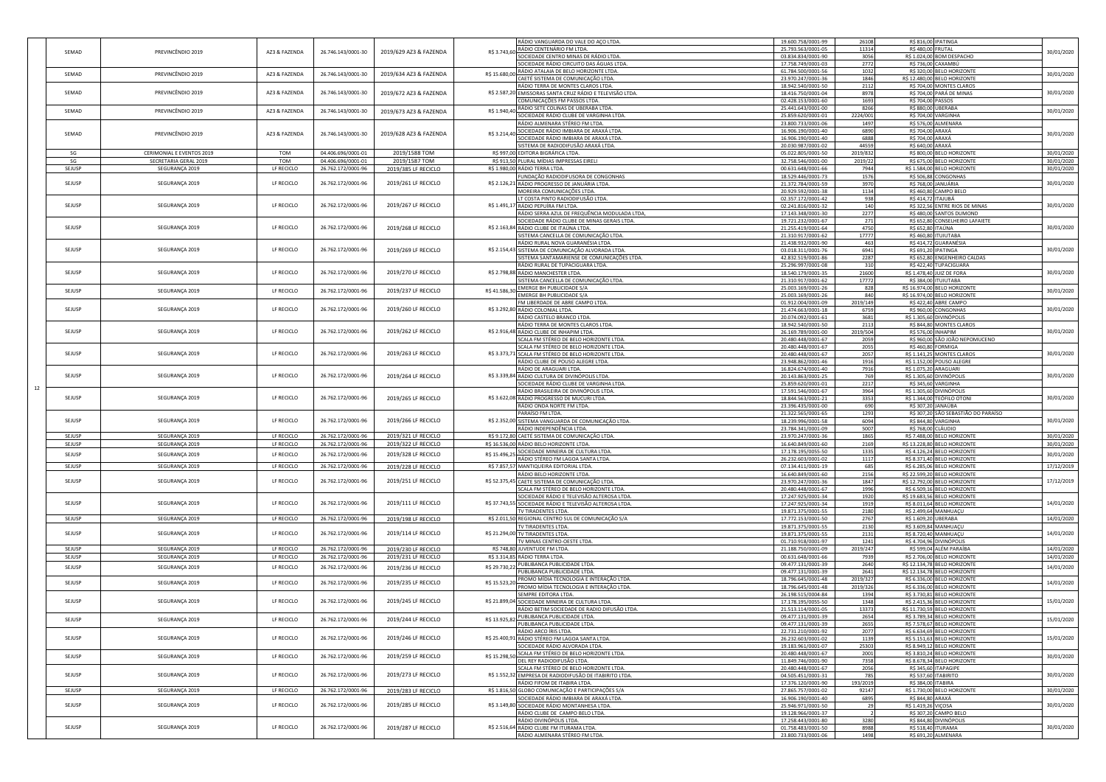|        |                           |               |                    |                        |               | RÁDIO VANGUARDA DO VALE DO AÇO LTDA.                      | 19.600.758/0001-99 | 26108          |                     | R\$ 816,00 IPATINGA                 |            |
|--------|---------------------------|---------------|--------------------|------------------------|---------------|-----------------------------------------------------------|--------------------|----------------|---------------------|-------------------------------------|------------|
| SEMAD  | PREVINCÊNDIO 2019         | AZ3 & FAZENDA | 26.746.143/0001-30 | 2019/629 AZ3 & FAZENDA | R\$ 3.743,60  | RÁDIO CENTENÁRIO FM LTDA.                                 | 25.793.563/0001-05 | 11314          |                     | R\$ 480,00 FRUTAL                   | 30/01/2020 |
|        |                           |               |                    |                        |               | SOCIEDADE CENTRO MINAS DE RÁDIO LTDA.                     | 03.834.834/0001-90 | 3056           |                     | R\$ 1.024,00 BOM DESPACHO           |            |
|        |                           |               |                    |                        |               | SOCIEDADE RÁDIO CIRCUITO DAS ÁGUAS LTDA.                  | 17.758.749/0001-03 | 2772           |                     | R\$ 736,00 CAXAMBÚ                  |            |
| SEMAD  | PREVINCÊNDIO 2019         | AZ3 & FAZENDA | 26.746.143/0001-30 |                        | R\$ 15.680,00 | RÁDIO ATALAIA DE BELO HORIZONTE LTDA.                     | 61.784.500/0001-56 | 1032           |                     | R\$ 320,00 BELO HORIZONTE           | 30/01/2020 |
|        |                           |               |                    | 2019/634 AZ3 & FAZENDA |               | CAETÉ SISTEMA DE COMUNICAÇÃO LTDA.                        | 23.970.247/0001-36 | 1846           |                     | R\$ 12.480,00 BELO HORIZONTE        |            |
|        |                           |               |                    |                        |               | RÁDIO TERRA DE MONTES CLAROS LTDA.                        | 18.942.540/0001-50 | 2112           |                     | R\$ 704,00 MONTES CLAROS            |            |
| SEMAD  | PREVINCÊNDIO 2019         | AZ3 & FAZENDA | 26.746.143/0001-30 | 2019/672 AZ3 & FAZENDA |               | R\$ 2.587,20 EMISSORAS SANTA CRUZ RÁDIO E TELEVISÃO LTDA. | 18.416.750/0001-04 | 8978           |                     | R\$ 704,00 PARÁ DE MINAS            | 30/01/2020 |
|        |                           |               |                    |                        |               | COMUNICAÇÕES FM PASSOS LTDA.                              | 02.428.153/0001-60 | 1693           |                     | R\$ 704,00 PASSOS                   |            |
|        |                           |               |                    |                        |               | RÁDIO SETE COLINAS DE UBERABA LTDA.                       | 25.441.643/0001-00 | 8266           |                     | R\$ 880,00 UBERABA                  |            |
| SEMAD  | PREVINCÊNDIO 2019         | AZ3 & FAZENDA | 26.746.143/0001-30 | 2019/673 AZ3 & FAZENDA | R\$ 1.940,40  | SOCIEDADE RÁDIO CLUBE DE VARGINHA LTDA.                   | 25.859.620/0001-01 | 2224/001       |                     | R\$ 704,00 VARGINHA                 | 30/01/2020 |
|        |                           |               |                    |                        |               |                                                           |                    |                |                     |                                     |            |
|        |                           |               |                    |                        |               | RÁDIO ALMENARA STÉREO FM LTDA.                            | 23.800.733/0001-06 | 1497           |                     | R\$ 576,00 ALMENARA                 |            |
| SEMAD  | PREVINCÊNDIO 2019         | AZ3 & FAZENDA | 26.746.143/0001-30 | 2019/628 AZ3 & FAZENDA |               | R\$ 3.214,40 SOCIEDADE RÁDIO IMBIARA DE ARAXÁ LTDA.       | 16.906.190/0001-40 | 6890           |                     | R\$ 704,00 ARAXÁ                    | 30/01/2020 |
|        |                           |               |                    |                        |               | SOCIEDADE RÁDIO IMBIARA DE ARAXÁ LTDA                     | 16.906.190/0001-40 | 6888           | R\$ 704,00 ARAXÁ    |                                     |            |
|        |                           |               |                    |                        |               | SISTEMA DE RADIODIFUSÃO ARAXÁ LTDA.                       | 20.030.987/0001-02 | 44559          | R\$ 640,00 ARAXÁ    |                                     |            |
| SG     | CERIMONIAL E EVENTOS 2019 | TOM           | 04.406.696/0001-01 | 2019/1588 TOM          |               | R\$ 997,00 EDITORA BIGRÁFICA LTDA.                        | 05.022.805/0001-50 | 2019/832       |                     | R\$ 800,00 BELO HORIZONTE           | 30/01/2020 |
| SG     | SECRETARIA GERAL 2019     | TOM           | 04.406.696/0001-01 | 2019/1587 TOM          |               | R\$ 913,50 PLURAL MÍDIAS IMPRESSAS EIRELI                 | 32.758.546/0001-00 | 2019/22        |                     | R\$ 675,00 BELO HORIZONTE           | 30/01/2020 |
| SEJUSP | SEGURANÇA 2019            | LF RECICLO    | 26.762.172/0001-96 | 2019/385 LF RECICLO    |               | R\$ 1.980,00 RÁDIO TERRA LTDA.                            | 00.631.648/0001-66 | 7944           |                     | R\$ 1.584,00 BELO HORIZONTE         | 30/01/2020 |
|        |                           |               |                    |                        |               |                                                           |                    |                |                     |                                     |            |
|        |                           |               |                    |                        |               | FUNDAÇÃO RADIODIFUSORA DE CONGONHAS                       | 18.529.446/0001-73 | 1576           |                     | R\$ 506,88 CONGONHAS                |            |
| SEJUSP | SEGURANÇA 2019            | LF RECICLO    | 26.762.172/0001-96 | 2019/261 LF RECICLO    |               | R\$ 2.126,21 RÁDIO PROGRESSO DE JANUÁRIA LTDA.            | 21.372.784/0001-59 | 3970           |                     | R\$ 768,00 JANUÁRIA                 | 30/01/2020 |
|        |                           |               |                    |                        |               | MOREIRA COMUNICAÇÕES LTDA.                                | 20.929.592/0001-38 | 1134           |                     | R\$ 460,80 CAMPO BELO               |            |
|        |                           |               |                    |                        |               | LT COSTA PINTO RADIODIFUSÃO LTDA                          | 02.357.172/0001-42 | 938            |                     | R\$ 414,72 ITAJUBÁ                  |            |
| SEJUSP | SEGURANÇA 2019            | LF RECICLO    | 26.762.172/0001-96 | 2019/267 LF RECICLO    |               | R\$ 1.491,17 RÁDIO PEPUÍRA FM LTDA.                       | 02.241.816/0001-32 | 140            |                     | R\$ 322,56 ENTRE RIOS DE MINAS      | 30/01/2020 |
|        |                           |               |                    |                        |               | RÁDIO SERRA AZUL DE FREQUÊNCIA MODULADA LTDA,             | 17.143.348/0001-30 | 2277           |                     | R\$480,00 SANTOS DUMOND             |            |
|        |                           |               |                    |                        |               | SOCIEDADE RÁDIO CLUBE DE MINAS GERAIS LTDA.               | 19.721.232/0001-67 | 271            |                     | R\$ 652,80 CONSELHEIRO LAFAIETE     |            |
| SEJUSP | SEGURANÇA 2019            | LF RECICLO    | 26.762.172/0001-96 | 2019/268 LF RECICLO    |               | R\$ 2.163,84 RÁDIO CLUBE DE ITAÚNA LTDA.                  | 21.255.419/0001-64 | 4750           |                     | R\$ 652,80 ITAÚNA                   | 30/01/2020 |
|        |                           |               |                    |                        |               | SISTEMA CANCELLA DE COMUNICAÇÃO LTDA.                     | 21.310.917/0001-62 | 17777          |                     | R\$460,80 ITUIUTABA                 |            |
|        |                           |               |                    |                        |               | RÁDIO RURAL NOVA GUARANÉSIA LTDA                          | 21.438.932/0001-90 | 463            |                     | R\$ 414,72 GUARANÉSIA               |            |
|        |                           |               |                    |                        |               |                                                           |                    |                |                     |                                     |            |
| SEJUSP | SEGURANÇA 2019            | LF RECICLO    | 26.762.172/0001-96 | 2019/269 LF RECICLO    |               | R\$ 2.154,43 SISTEMA DE COMUNICAÇÃO ALVORADA LTDA.        | 03.018.311/0001-76 | 6941           |                     | R\$ 691,20 IPATINGA                 | 30/01/2020 |
|        |                           |               |                    |                        |               | SISTEMA SANTAMARIENSE DE COMUNICAÇÕES LTDA.               | 42.832.519/0001-86 | 2287           |                     | R\$ 652,80 ENGENHEIRO CALDAS        |            |
|        |                           |               |                    |                        |               | RÁDIO RURAL DE TUPACIGUARA LTDA.                          | 25.296.997/0001-08 | 310            |                     | R\$ 422,40 TUPACIGUARA              |            |
| SEJUSP | SEGURANÇA 2019            | LF RECICLO    | 26.762.172/0001-96 | 2019/270 LF RECICLO    |               | R\$ 2.798,88 RÁDIO MANCHESTER LTDA.                       | 18.540.179/0001-35 | 21600          |                     | R\$ 1.478,40 JUIZ DE FORA           | 30/01/2020 |
|        |                           |               |                    |                        |               | SISTEMA CANCELLA DE COMUNICAÇÃO LTDA.                     | 21.310.917/0001-62 | 17772          |                     | R\$ 384,00 ITUIUTABA                |            |
|        |                           |               |                    |                        |               | R\$ 41.586,30 EMERGE BH PUBLICIDADE S/A                   | 25.003.169/0001-26 | 828            |                     | R\$ 16.974,00 BELO HORIZONTE        |            |
| SEJUSP | SEGURANÇA 2019            | LF RECICLO    | 26.762.172/0001-96 | 2019/237 LF RECICLO    |               | EMERGE BH PUBLICIDADE S/A                                 | 25.003.169/0001-26 | 840            |                     | R\$ 16.974,00 BELO HORIZONTE        | 30/01/2020 |
|        |                           |               |                    |                        |               | FM LIBERDADE DE ABRE CAMPO LTDA                           |                    |                |                     | R\$ 422,40 ABRE CAMPO               |            |
| SEJUSP | SEGURANÇA 2019            | LF RECICLO    | 26.762.172/0001-96 |                        |               |                                                           | 01.912.004/0001-09 | 2019/149       |                     |                                     | 30/01/2020 |
|        |                           |               |                    | 2019/260 LF RECICLO    |               | R\$ 3.292,80 RÁDIO COLONIAL LTDA.                         | 21.474.663/0001-18 | 6759           |                     | R\$ 960,00 CONGONHAS                |            |
|        |                           |               |                    |                        |               | RÁDIO CASTELO BRANCO LTDA.                                | 20.074.092/0001-61 | 3681           |                     | R\$ 1.305,60 DIVINÓPOLIS            |            |
|        |                           |               |                    |                        |               | RÁDIO TERRA DE MONTES CLAROS LTDA.                        | 18.942.540/0001-50 | 2113           |                     | R\$ 844,80 MONTES CLAROS            |            |
| SEJUSP | SEGURANÇA 2019            | LF RECICLO    | 26.762.172/0001-96 | 2019/262 LF RECICLO    |               | R\$ 2.916,48 RÁDIO CLUBE DE INHAPIM LTDA.                 | 26.169.789/0001-00 | 2019/504       |                     | R\$ 576,00 INHAPIM                  | 30/01/2020 |
|        |                           |               |                    |                        |               | SCALA FM STÉREO DE BELO HORIZONTE LTDA                    | 20.480.448/0001-67 | 2059           |                     | R\$ 960,00 SÃO JOÃO NEPOMUCENO      |            |
|        |                           |               |                    |                        |               | SCALA FM STÉREO DE BELO HORIZONTE LTDA                    | 20.480.448/0001-67 | 2055           |                     | R\$460,80 FORMIGA                   |            |
| SEJUSP | SEGURANÇA 2019            | LF RECICLO    | 26.762.172/0001-96 | 2019/263 LF RECICLO    |               | R\$ 3.373,71 SCALA FM STÉREO DE BELO HORIZONTE LTDA.      | 20.480.448/0001-67 | 2057           |                     | R\$ 1.141,25 MONTES CLAROS          | 30/01/2020 |
|        |                           |               |                    |                        |               | RÁDIO CLUBE DE POUSO ALEGRE LTDA.                         | 23.948.862/0001-46 | 1916           |                     | R\$ 1.152,00 POUSO ALEGRE           |            |
|        |                           |               |                    |                        |               | RÁDIO DE ARAGUARI LTDA.                                   | 16.824.674/0001-40 | 7916           |                     | R\$ 1.075,20 ARAGUARI               |            |
|        |                           |               |                    |                        |               |                                                           |                    |                |                     |                                     |            |
| SEJUSP | SEGURANÇA 2019            | LF RECICLO    | 26.762.172/0001-96 | 2019/264 LF RECICLO    |               | R\$ 3.339,84 RÁDIO CULTURA DE DIVINÓPOLIS LTDA.           | 20.143.863/0001-25 | 769            |                     | R\$ 1.305,60 DIVINÓPOLIS            | 30/01/2020 |
|        |                           |               |                    |                        |               | SOCIEDADE RÁDIO CLUBE DE VARGINHA LTDA.                   | 25.859.620/0001-01 | 2217           |                     | R\$ 345,60 VARGINHA                 |            |
|        |                           |               |                    |                        |               | RÁDIO BRASILEIRA DE DIVINÓPOLIS LTDA.                     | 17.591.546/0001-67 | 3964           |                     | R\$ 1.305,60 DIVINÓPOLIS            |            |
| SEJUSP | SEGURANÇA 2019            | LF RECICLO    | 26.762.172/0001-96 | 2019/265 LF RECICLO    |               | R\$ 3.622,08 RÁDIO PROGRESSO DE MUCURI LTDA.              | 18.844.563/0001-21 | 3353           |                     | R\$ 1.344,00 TEÓFILO OTONI          | 30/01/2020 |
|        |                           |               |                    |                        |               | RÁDIO ONDA NORTE FM LTDA.                                 | 23.396.435/0001-00 | 690            |                     | R\$307,20 JANAÚBA                   |            |
|        |                           |               |                    |                        |               | PARAÍSO FM LTDA.                                          | 21.322.565/0001-65 | 1293           |                     | R\$ 307,20 SÃO SEBASTIÃO DO PARAÍSO |            |
| SEJUSP | SEGURANÇA 2019            | LF RECICLO    | 26.762.172/0001-96 | 2019/266 LF RECICLO    |               | R\$ 2.352,00 SISTEMA VANGUARDA DE COMUNICAÇÃO LTDA.       | 18.239.996/0001-58 | 6094           |                     | R\$ 844,80 VARGINHA                 | 30/01/2020 |
|        |                           |               |                    |                        |               |                                                           |                    | 5007           |                     |                                     |            |
|        |                           |               |                    |                        |               | RÁDIO INDEPENDÊNCIA LTDA.                                 | 23.784.341/0001-09 |                |                     | R\$ 768,00 CLÁUDIO                  |            |
| SEJUSP | SEGURANÇA 2019            | LF RECICLO    | 26.762.172/0001-96 | 2019/321 LF RECICLO    |               | R\$ 9.172,80 CAETÉ SISTEMA DE COMUNICAÇÃO LTDA.           | 23.970.247/0001-36 | 1865           |                     | R\$ 7.488,00 BELO HORIZONTE         | 30/01/2020 |
| SEJUSP | SEGURANÇA 2019            | LF RECICLO    | 26.762.172/0001-96 | 2019/322 LF RECICLO    |               | R\$ 16.536,00 RÁDIO BELO HORIZONTE LTDA.                  | 16.640.849/0001-60 | 2169           |                     | R\$ 13.228,80 BELO HORIZONTE        | 30/01/2020 |
| SEJUSP | SEGURANÇA 2019            | LF RECICLO    | 26.762.172/0001-96 | 2019/328 LF RECICLO    |               | R\$ 15.496,25 SOCIEDADE MINEIRA DE CULTURA LTDA.          | 17.178.195/0055-50 | 1335           |                     | R\$ 4.126,24 BELO HORIZONTE         | 30/01/2020 |
|        |                           |               |                    |                        |               | RÁDIO STÉREO FM LAGOA SANTA LTDA.                         | 26.232.603/0001-02 | 1117           |                     | R\$ 8.371,40 BELO HORIZONTE         |            |
| SEJUSP | SEGURANÇA 2019            | LF RECICLO    | 26.762.172/0001-96 | 2019/228 LF RECICLO    |               | R\$ 7.857,57 MANTIQUEIRA EDITORIAL LTDA.                  | 07.134.411/0001-19 | 685            |                     | R\$ 6.285,06 BELO HORIZONTE         | 17/12/2019 |
|        |                           |               |                    |                        |               | <u>RÁDIO BELO HORIZONTE LTDA.</u>                         | 16.640.849/0001-60 | 2156           |                     | R\$ 22.599,20 BELO HORIZONTE        |            |
| SEJUSP | SEGURANÇA 2019            | LF RECICLO    | 26.762.172/0001-96 | 2019/251 LF RECICLO    |               | R\$ 52.375,45 CAETE SISTEMA DE COMUNICAÇÃO LTDA.          |                    | 1847           |                     |                                     | 17/12/2019 |
|        |                           |               |                    |                        |               |                                                           | 23.970.247/0001-36 |                |                     | R\$ 12.792,00 BELO HORIZONTE        |            |
|        |                           |               |                    |                        |               | SCALA FM STÉREO DE BELO HORIZONTE LTDA                    | 20.480.448/0001-67 | 1996           |                     | R\$ 6.509,16 BELO HORIZONTE         |            |
|        |                           |               |                    |                        |               | SOCIEDADE RÁDIO E TELEVISÃO ALTEROSA LTDA                 | 17.247.925/0001-34 | 1920           |                     | R\$ 19.683,56 BELO HORIZONTE        |            |
| SEJUSP | SEGURANÇA 2019            | LF RECICLO    | 26.762.172/0001-96 | 2019/111 LF RECICLO    |               | R\$ 37.743,55 SOCIEDADE RÁDIO E TELEVISÃO ALTEROSA LTDA   | 17.247.925/0001-34 | 1919           |                     | R\$ 8.011,64 BELO HORIZONTE         | 14/01/2020 |
|        |                           |               |                    |                        |               | TV TIRADENTES LTDA.                                       | 19.871.375/0001-55 | 2180           |                     | R\$ 2.499,64 MANHUAÇU               |            |
| SEJUSP | SEGURANÇA 2019            | LF RECICLO    | 26.762.172/0001-96 | 2019/198 LF RECICLO    |               | R\$ 2.011,50 REGIONAL CENTRO SUL DE COMUNICAÇÃO S/A       | 17.772.153/0001-50 | 2767           |                     | R\$ 1.609,20 UBERABA                | 14/01/2020 |
|        |                           |               |                    |                        |               | TV TIRADENTES LTDA.                                       | 19.871.375/0001-55 | 2130           |                     | R\$ 3.609,84 MANHUAÇU               |            |
| SEJUSP | SEGURANÇA 2019            | LF RECICLO    | 26.762.172/0001-96 | 2019/114 LF RECICLO    |               | R\$ 21.294,00 TV TIRADENTES LTDA.                         | 19.871.375/0001-55 | 2131           |                     | R\$ 8.720,40 MANHUAÇU               | 14/01/2020 |
|        |                           |               |                    |                        |               | TV MINAS CENTRO-OESTE LTDA.                               | 01.710.918/0001-97 | 1241           |                     | R\$ 4.704,96 DIVINÓPOLIS            |            |
| SEJUSP | SEGURANÇA 2019            | LF RECICLO    | 26.762.172/0001-96 | 2019/230 LF RECICLO    |               | R\$ 748,80 JUVENTUDE FM LTDA.                             | 21.188.750/0001-09 | 2019/247       |                     | R\$ 599,04 ALÉM PARAÍBA             | 14/01/2020 |
| SEJUSP | SEGURANÇA 2019            | LF RECICLO    | 26.762.172/0001-96 | 2019/231 LF RECICLO    |               | R\$ 3.314,85 RÁDIO TERRA LTDA.                            | 00.631.648/0001-66 | 7939           |                     | R\$ 2.706,00 BELO HORIZONTE         | 14/01/2020 |
|        |                           |               |                    |                        |               | R\$ 29.730,22 PUBLIBANCA PUBLICIDADE LTDA.                | 09.477.131/0001-39 | 2640           |                     | R\$ 12.134,78 BELO HORIZONTE        |            |
| SEJUSP | SEGURANÇA 2019            | LF RECICLO    | 26.762.172/0001-96 | 2019/236 LF RECICLO    |               |                                                           |                    |                |                     |                                     | 14/01/2020 |
|        |                           |               |                    |                        |               | UBLIBANCA PUBLICIDADE LTDA.                               | 09.477.131/0001-39 | 2641           |                     | R\$ 12.134,78 BELO HORIZONTE        |            |
| SEJUSP | SEGURANÇA 2019            | LF RECICLO    | 26.762.172/0001-96 | 2019/235 LF RECICLO    |               | R\$ 15.523,20 PROMO MÍDIA TECNOLOGIA E INTERAÇÃO LTDA.    | 18.796.645/0001-48 | 2019/327       |                     | R\$ 6.336,00 BELO HORIZONTE         | 14/01/2020 |
|        |                           |               |                    |                        |               | PROMO MÍDIA TECNOLOGIA E INTERAÇÃO LTDA.                  | 18.796.645/0001-48 | 2019/326       |                     | R\$ 6.336,00 BELO HORIZONTE         |            |
|        |                           |               |                    |                        |               | SEMPRE EDITORA LTDA.                                      | 26.198.515/0004-84 | 1394           |                     | R\$ 3.730,81 BELO HORIZONTE         |            |
| SEJUSP | SEGURANÇA 2019            | LF RECICLO    | 26.762.172/0001-96 | 2019/245 LF RECICLO    |               | R\$ 21.899,04 SOCIEDADE MINEIRA DE CULTURA LTDA.          | 17.178.195/0055-50 | 1348           |                     | R\$ 2.415,36 BELO HORIZONTE         | 15/01/2020 |
|        |                           |               |                    |                        |               | RÁDIO BETIM SOCIEDADE DE RADIO DIFUSÃO LTDA.              | 21.513.114/0001-05 | 13373          |                     | R\$ 11.730,59 BELO HORIZONTE        |            |
|        |                           |               |                    | 2019/244 LF RECICLO    |               | R\$ 13.925,82 PUBLIBANCA PUBLICIDADE LTDA.                | 09.477.131/0001-39 | 2654           |                     | R\$ 3.789,34 BELO HORIZONTE         |            |
| SEJUSP | SEGURANÇA 2019            | LF RECICLO    | 26.762.172/0001-96 |                        |               | PUBLIBANCA PUBLICIDADE LTDA                               | 09.477.131/0001-39 | 2655           |                     | R\$ 7.578,67 BELO HORIZONTE         | 15/01/2020 |
|        |                           |               |                    |                        |               | RÁDIO ARCO ÍRIS LTDA.                                     | 22.731.210/0001-92 | 2077           |                     | R\$ 6.634,69 BELO HORIZONTE         |            |
| SEJUSP | SEGURANÇA 2019            | LF RECICLO    | 26.762.172/0001-96 | 2019/246 LF RECICLO    |               | R\$ 25.400,91 RÁDIO STÉREO FM LAGOA SANTA LTDA.           | 26.232.603/0001-02 | 1139           |                     | R\$ 5.151,63 BELO HORIZONTE         | 15/01/2020 |
|        |                           |               |                    |                        |               |                                                           |                    |                |                     |                                     |            |
|        |                           |               |                    |                        |               | SOCIEDADE RÁDIO ALVORADA LTDA.                            | 19.183.961/0001-07 | 25303          |                     | R\$ 8.949,12 BELO HORIZONTE         |            |
| SEJUSP | SEGURANÇA 2019            | LF RECICLO    | 26.762.172/0001-96 | 2019/259 LF RECICLO    |               | R\$ 15.298,50 SCALA FM STÉREO DE BELO HORIZONTE LTDA.     | 20.480.448/0001-67 | 2001           |                     | R\$ 3.810,24 BELO HORIZONTE         | 30/01/2020 |
|        |                           |               |                    |                        |               | DEL REY RADIODIFUSÃO LTDA.                                | 11.849.746/0001-90 | 7358           |                     | R\$ 8.678,34 BELO HORIZONTE         |            |
|        |                           |               |                    |                        |               | SCALA FM STÉREO DE BELO HORIZONTE LTDA.                   | 20.480.448/0001-67 | 2056           |                     | R\$ 345,60 ITAPAGIPE                |            |
| SEJUSP | SEGURANÇA 2019            | LF RECICLO    | 26.762.172/0001-96 | 2019/273 LF RECICLO    |               | R\$ 1.552,32 EMPRESA DE RADIODIFUSÃO DE ITABIRITO LTDA.   | 04.505.451/0001-31 | 785            |                     | R\$ 537,60 ITABIRITO                | 30/01/2020 |
|        |                           |               |                    |                        |               | RÁDIO FIFOM DE ITABIRA LTDA.                              | 17.376.120/0001-90 | 193/2019       |                     | R\$ 384,00 ITABIRA                  |            |
| SEJUSP | SEGURANÇA 2019            | LF RECICLO    | 26.762.172/0001-96 | 2019/283 LF RECICLO    |               | R\$ 1.816,50 GLOBO COMUNICAÇÃO E PARTICIPAÇÕES S/A        | 27.865.757/0001-02 | 92147          |                     | R\$ 1.730,00 BELO HORIZONTE         | 30/01/2020 |
|        |                           |               |                    |                        |               | SOCIEDADE RÁDIO IMBIARA DE ARAXÁ LTDA.                    | 16.906.190/0001-40 | 6895           |                     | R\$ 844,80 ARAXÁ                    |            |
| SEJUSP | SEGURANÇA 2019            | LF RECICLO    | 26.762.172/0001-96 | 2019/285 LF RECICLO    |               | R\$ 3.149,80 SOCIEDADE RÁDIO MONTANHESA LTDA.             | 25.946.971/0001-50 | 29             | R\$ 1.419,26 VIÇOSA |                                     | 30/01/2020 |
|        |                           |               |                    |                        |               |                                                           |                    |                |                     |                                     |            |
|        |                           |               |                    |                        |               | RÁDIO CLUBE DE CAMPO BELO LTDA.                           | 19.128.966/0001-37 | $\overline{2}$ |                     | R\$ 307,20 CAMPO BELO               |            |
|        |                           |               |                    |                        |               | RÁDIO DIVINÓPOLIS LTDA.                                   | 17.258.443/0001-80 | 3280           |                     | R\$ 844,80 DIVINÓPOLIS              |            |
| SEJUSP | SEGURANÇA 2019            | LF RECICLO    | 26.762.172/0001-96 | 2019/287 LF RECICLO    |               | R\$ 2.516,64 RÁDIO CLUBE FM ITURAMA LTDA.                 | 01.758.483/0001-50 | 8988           |                     | R\$ 518,40 ITURAMA                  | 30/01/2020 |
|        |                           |               |                    |                        |               |                                                           |                    |                |                     |                                     |            |
|        |                           |               |                    |                        |               | RÁDIO ALMENARA STÉREO FM LTDA.                            | 23.800.733/0001-06 | 1498           |                     | R\$ 691,20 ALMENARA                 |            |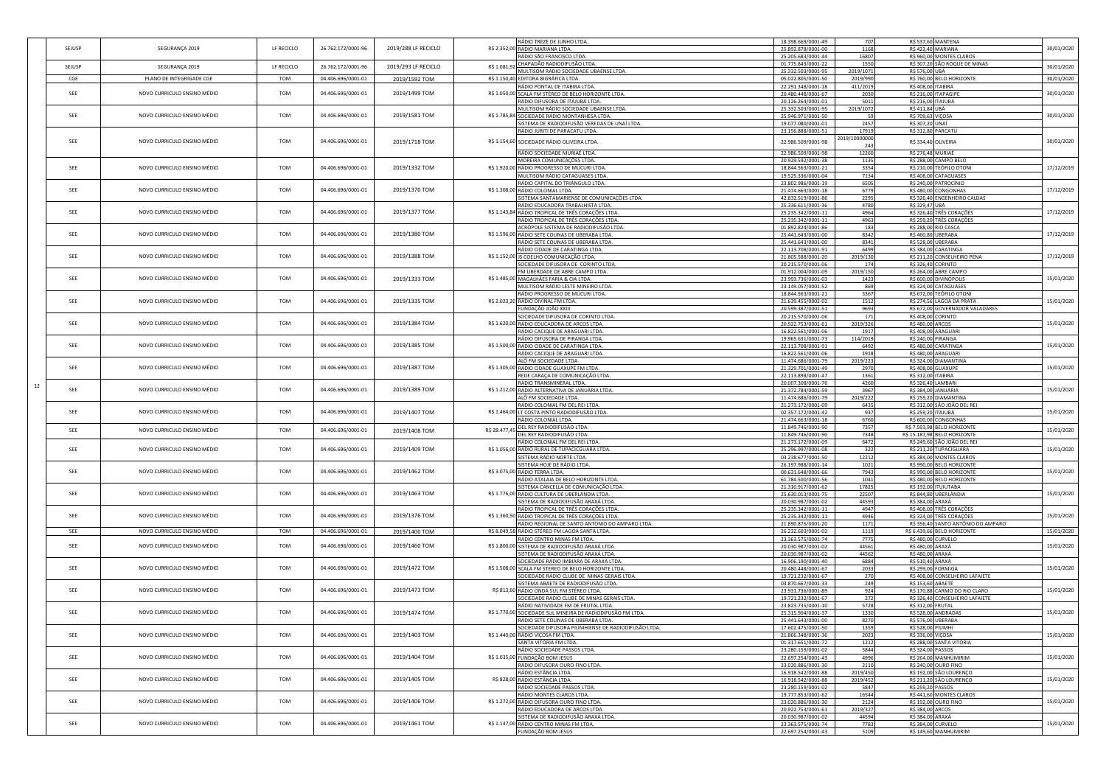|    |        |                             |            |                    |                     |               | RÁDIO TREZE DE JUNHO LTDA.                                                                         | 18.398.669/0001-49                       | 707           |                   | R\$ 537,60 MANTENA                                     |            |
|----|--------|-----------------------------|------------|--------------------|---------------------|---------------|----------------------------------------------------------------------------------------------------|------------------------------------------|---------------|-------------------|--------------------------------------------------------|------------|
|    | SEJUSP | SEGURANÇA 2019              | LF RECICLO | 26.762.172/0001-96 | 2019/288 LF RECICLO |               | R\$ 2.352,00 RÁDIO MARIANA LTDA.<br>RÁDIO SÃO FRANCISCO LTDA.                                      | 25.892.878/0001-00<br>25.205.683/0001-44 | 1168<br>16807 |                   | R\$ 422,40 MARIANA<br>R\$ 960,00 MONTES CLAROS         | 30/01/2020 |
|    |        |                             |            |                    |                     |               | R\$ 1.081,92 CHAPADÃO RADIODIFUSÃO LTDA.                                                           | 01.775.843/0001-22                       | 1550          |                   | R\$ 307,20 SÃO ROQUE DE MINAS                          |            |
|    | SEJUSP | SEGURANÇA 2019              | LF RECICLO | 26.762.172/0001-96 | 2019/293 LF RECICLO |               | MULTISOM RÁDIO SOCIEDADE UBAENSE LTDA.                                                             | 25.332.503/0001-95                       | 2019/1071     | R\$ 576,00 UBÁ    |                                                        | 30/01/2020 |
|    | CGE    | PLANO DE INTEGRIGADE CGE    | TOM        | 04.406.696/0001-01 | 2019/1592 TOM       |               | R\$ 1.150,40 EDITORA BIGRÁFICA LTDA.                                                               | 05.022.805/0001-50                       | 2019/990      |                   | R\$ 760,00 BELO HORIZONTE                              | 30/01/2020 |
|    |        |                             |            |                    |                     |               | RÁDIO PONTAL DE ITABIRA LTDA.                                                                      | 22.291.348/0001-18                       | 411/2019      |                   | R\$ 408,00 ITABIRA                                     |            |
|    | SEE    | NOVO CURRICULO ENSINO MÉDIO | TOM        | 04.406.696/0001-01 | 2019/1499 TOM       |               | R\$ 1.050,00 SCALA FM STÉREO DE BELO HORIZONTE LTDA.                                               | 20.480.448/0001-67                       | 2030          |                   | R\$ 216,00 ITAPAGIPE                                   | 30/01/2020 |
|    |        |                             |            |                    |                     |               | RÁDIO DIFUSORA DE ITAJUBÁ LTDA.                                                                    | 20.126.264/0001-01                       | 5011          |                   | R\$ 216,00 ITAJUBÁ                                     |            |
|    |        |                             |            |                    |                     |               | MULTISOM RÁDIO SOCIEDADE UBAENSE LTDA.                                                             | 25.332.503/0001-95                       | 2019/1072     | R\$ 411,84 UBÁ    |                                                        |            |
|    | SEE    | NOVO CURRICULO ENSINO MÉDIO | <b>TOM</b> | 04.406.696/0001-01 | 2019/1581 TOM       |               | R\$ 1.785,84 SOCIEDADE RÁDIO MONTANHESA LTDA.                                                      | 25.946.971/0001-50                       | 59            |                   | R\$ 709,63 VIÇOSA                                      | 30/01/2020 |
|    |        |                             |            |                    |                     |               | SISTEMA DE RADIODIFUSÃO VEREDAS DE UNAÍ LTDA.                                                      | 19.077.080/0001-01                       | 2457          | R\$ 307,20 UNAÍ   |                                                        |            |
|    |        |                             |            |                    |                     |               | RÁDIO JURITI DE PARACATU LTDA.                                                                     | 23.156.888/0001-51                       | 17919         |                   | R\$ 312,80 PARCATU                                     |            |
|    | SEE    | NOVO CURRICULO ENSINO MÉDIO | TOM        | 04.406.696/0001-01 | 2019/1718 TOM       |               | R\$ 1.154,60 SOCIEDADE RÁDIO OLIVEIRA LTDA.                                                        | 22.986.509/0001-98                       | 2019/10000000 |                   | R\$ 334,40 OLIVEIRA                                    | 30/01/2020 |
|    |        |                             |            |                    |                     |               | RÁDIO SOCIEDADE MURIAÉ LTDA.                                                                       | 22.986.509/0001-98                       | 12260         |                   | R\$ 276,48 MURIAÉ                                      |            |
|    |        |                             |            |                    |                     |               | MOREIRA COMUNICAÇÕES LTDA.                                                                         | 20.929.592/0001-38                       | 1135          |                   | R\$ 288,00 CAMPO BELO                                  |            |
|    | SEE    | NOVO CURRICULO ENSINO MÉDIO | <b>TOM</b> | 04.406.696/0001-01 | 2019/1332 TOM       |               | R\$ 1.920,00 RÁDIO PROGRESSO DE MUCURI LTDA.                                                       | 18.844.563/0001-21                       | 3354          |                   | R\$ 210,00 TEÓFILO OTONI                               | 17/12/2019 |
|    |        |                             |            |                    |                     |               | MULTISOM RÁDIO CATAGUASES LTDA                                                                     | 19.525.336/0001-04                       | 7134          |                   | R\$ 408,00 CATAGUASES                                  |            |
|    |        |                             |            |                    |                     |               | RÁDIO CAPITAL DO TRIÂNGULO LTDA.                                                                   | 23.802.986/0001-19                       | 6505          |                   | R\$ 240,00 PATROCÍNIO                                  |            |
|    | SEE    | NOVO CURRICULO ENSINO MÉDIO | <b>TOM</b> | 04.406.696/0001-01 | 2019/1370 TOM       |               | R\$ 1.308,00 RÁDIO COLONIAL LTDA.                                                                  | 21.474.663/0001-18                       | 6779          |                   | R\$ 480,00 CONGONHAS                                   | 17/12/2019 |
|    |        |                             |            |                    |                     |               | SISTEMA SANTAMARIENSE DE COMUNICAÇÕES LTDA.                                                        | 42.832.519/0001-86                       | 2295          |                   | R\$ 326,40 ENGENHEIRO CALDAS                           |            |
|    |        |                             |            |                    |                     |               | RÁDIO EDUCADORA TRABALHISTA LTDA.                                                                  | 25.336.611/0001-36                       | 4780          | R\$ 329,47 UBÁ    |                                                        |            |
|    | SEE    | NOVO CURRICULO ENSINO MÉDIO | TOM        | 04.406.696/0001-01 | 2019/1377 TOM       |               | R\$ 1.143,84 RÁDIO TROPICAL DE TRÊS CORAÇÕES LTDA.                                                 | 25.235.342/0001-11                       | 4964          |                   | R\$ 326,40 TRÊS CORAÇÕES                               | 17/12/2019 |
|    |        |                             |            |                    |                     |               | RÁDIO TROPICAL DE TRÊS CORAÇÕES LTDA.                                                              | 25.235.342/0001-11                       | 4963          |                   | R\$ 259,20 TRÊS CORAÇÕES                               |            |
|    |        |                             |            |                    |                     |               | ACRÓPOLE SISTEMA DE RADIODIFUSÃO LTDA.                                                             | 01.892.824/0001-86                       | 183           |                   | R\$ 288,00 RIO CASCA                                   |            |
|    | SEE    | NOVO CURRICULO ENSINO MÉDIO | TOM        | 04.406.696/0001-01 | 2019/1380 TOM       |               | R\$ 1.596,00 RÁDIO SETE COLINAS DE UBERABA LTDA.                                                   | 25.441.643/0001-00                       | 8342          |                   | R\$ 460,80 UBERABA                                     | 17/12/2019 |
|    |        |                             |            |                    |                     |               | RÁDIO SETE COLINAS DE UBERABA LTDA.<br>RÁDIO CIDADE DE CARATINGA LTDA.                             | 25.441.643/0001-00                       | 8341<br>6499  |                   | R\$ 528,00 UBERABA<br>R\$ 384,00 CARATINGA             |            |
|    | SEE    | NOVO CURRICULO ENSINO MÉDIO | TOM        | 04.406.696/0001-01 | 2019/1388 TOM       |               | R\$ 1.152,00 JS COELHO COMUNICAÇÃO LTDA.                                                           | 22.113.708/0001-91<br>21.805.588/0001-20 | 2019/130      |                   | R\$ 211,20 CONSELHEIRO PENA                            | 17/12/2019 |
|    |        |                             |            |                    |                     |               | SOCIEDADE DIFUSORA DE CORINTO LTDA.                                                                | 20.215.570/0001-06                       | 174           |                   | R\$ 326,40 CORINTO                                     |            |
|    |        |                             |            |                    |                     |               | FM LIBERDADE DE ABRE CAMPO LTDA                                                                    | 01.912.004/0001-09                       | 2019/150      |                   | R\$ 264,00 ABRE CAMPO                                  |            |
|    | SEE    | NOVO CURRICULO ENSINO MÉDIO | <b>TOM</b> | 04.406.696/0001-01 | 2019/1333 TOM       |               | R\$ 1.485,00 MAGALHÃES FARIA & CIA LTDA.                                                           | 23.993.736/0001-03                       | 1423          |                   | R\$ 600,00 DIVINÓPOLIS                                 | 15/01/2020 |
|    |        |                             |            |                    |                     |               | MULTISOM RÁDIO LESTE MINEIRO LTDA.                                                                 | 23.149.057/0001-52                       | 869           |                   | R\$ 324,00 CATAGUASES                                  |            |
|    |        |                             |            |                    |                     |               | RÁDIO PROGRESSO DE MUCURI LTDA.                                                                    | 18.844.563/0001-21                       | 3367          |                   | R\$ 672,00 TEÓFILO OTONI                               |            |
|    | SEE    | NOVO CURRICULO ENSINO MÉDIO | TOM        | 04.406.696/0001-01 | 2019/1335 TOM       |               | R\$ 2.023,20 RÁDIO DIVINAL FM LTDA.                                                                | 21.639.455/0002-02                       | 1512          |                   | R\$ 274,56 LAGOA DA PRATA                              | 15/01/2020 |
|    |        |                             |            |                    |                     |               | FUNDAÇÃO JOÃO XXIII                                                                                | 20.599.387/0001-51                       | 9693          |                   | R\$ 672,00 GOVERNADOR VALADARES                        |            |
|    |        |                             |            |                    |                     |               | SOCIEDADE DIFUSORA DE CORINTO LTDA.                                                                | 20.215.570/0001-06                       | 171           |                   | R\$ 408,00 CORINTO                                     |            |
|    | SEE    | NOVO CURRICULO ENSINO MÉDIO | TOM        | 04.406.696/0001-01 | 2019/1384 TOM       |               | R\$ 1.620,00 RÁDIO EDUCADORA DE ARCOS LTDA.                                                        | 20.922.753/0001-61                       | 2019/326      |                   | R\$ 480,00 ARCOS                                       | 15/01/2020 |
|    |        |                             |            |                    |                     |               | RÁDIO CACIQUE DE ARAGUARI LTDA                                                                     | 16.822.561/0001-06                       | 1917          |                   | R\$ 408,00 ARAGUARI                                    |            |
|    |        |                             |            |                    |                     |               | RÁDIO DIFUSORA DE PIRANGA LTDA.                                                                    | 19.965.631/0001-73                       | 114/2019      |                   | R\$ 240,00 PIRANGA                                     |            |
|    | SEE    | NOVO CURRICULO ENSINO MÉDIO | TOM        | 04.406.696/0001-01 | 2019/1385 TOM       |               | R\$ 1.500,00 RÁDIO CIDADE DE CARATINGA LTDA.                                                       | 22.113.708/0001-91                       | 6492          |                   | R\$ 480,00 CARATINGA                                   | 15/01/2020 |
|    |        |                             |            |                    |                     |               | RÁDIO CACIQUE DE ARAGUARI LTDA.                                                                    | 16.822.561/0001-06                       | 1918          |                   | R\$480,00 ARAGUARI                                     |            |
|    | SEE    |                             | <b>TOM</b> | 04.406.696/0001-01 | 2019/1387 TOM       |               | ALÔ FM SOCIEDADE LTDA.                                                                             | 11.474.686/0001-79                       | 2019/223      |                   | R\$ 324,00 DIAMANTINA                                  | 15/01/2020 |
|    |        | NOVO CURRICULO ENSINO MÉDIO |            |                    |                     |               | R\$ 1.305,00 RÁDIO CIDADE GUAXUPÉ FM LTDA.<br>REDE CARAÇA DE COMUNICAÇÃO LTDA.                     | 21.329.701/0001-49<br>22.113.898/0001-47 | 2970<br>1361  |                   | R\$ 408,00 GUAXUPÉ<br>R\$ 312,00 ITABIRA               |            |
|    |        |                             |            |                    |                     |               | RÁDIO TRANSMINERAL LTDA.                                                                           | 20.007.308/0001-76                       | 4260          |                   | R\$ 326,40 LAMBARI                                     |            |
| 12 | SEE    | NOVO CURRICULO ENSINO MÉDIO | <b>TOM</b> | 04.406.696/0001-01 | 2019/1389 TOM       |               | R\$ 1.212,00 RÁDIO ALTERNATIVA DE JANUÁRIA LTDA.                                                   | 21.372.784/0001-59                       | 3967          |                   | R\$ 384,00 JANUÁRIA                                    | 15/01/2020 |
|    |        |                             |            |                    |                     |               | ALÔ FM SOCIEDADE LTDA.                                                                             | 11.474.686/0001-79                       | 2019/222      |                   | R\$ 259,20 DIAMANTINA                                  |            |
|    |        |                             |            |                    |                     |               | RÁDIO COLONIAL FM DEL REI LTDA.                                                                    | 21.273.172/0001-09                       | 6435          |                   | R\$ 312,00 SÃO JOÃO DEL REI                            |            |
|    | SEE    | NOVO CURRICULO ENSINO MÉDIO | <b>TOM</b> | 04.406.696/0001-01 | 2019/1407 TOM       |               | R\$ 1.464,00 LT COSTA PINTO RADIODIFUSÃO LTDA                                                      | 02.357.172/0001-42                       | 937           |                   | R\$ 259,20 ITAJUBÁ                                     | 15/01/2020 |
|    |        |                             |            |                    |                     |               | RÁDIO COLONIAL LTDA.                                                                               | 21.474.663/0001-18                       | 6760          |                   | R\$ 600,00 CONGONHAS                                   |            |
|    | SEE    | NOVO CURRICULO ENSINO MÉDIO | <b>TOM</b> | 04.406.696/0001-01 | 2019/1408 TOM       | R\$ 28.477,45 | DEL REY RADIODIFUSÃO LTDA                                                                          | 11.849.746/0001-90                       | 7357          |                   | R\$ 7.593,98 BELO HORIZONTE                            | 15/01/2020 |
|    |        |                             |            |                    |                     |               | DEL REY RADIODIFUSÃO LTDA.                                                                         | 11.849.746/0001-90                       | 7348          |                   | R\$ 15.187,98 BELO HORIZONTE                           |            |
|    |        |                             |            |                    |                     |               | RÁDIO COLONIAL FM DEL REI LTDA                                                                     | 21.273.172/0001-09                       | 6472          |                   | R\$ 249,60 SÃO JOÃO DEL REI                            |            |
|    | SEE    | NOVO CURRICULO ENSINO MÉDIO | <b>TOM</b> | 04.406.696/0001-01 | 2019/1409 TOM       |               | R\$ 1.056,00 RÁDIO RURAL DE TUPACICGUARA LTDA.                                                     | 25.296.997/0001-08                       | 322           |                   | R\$ 211,20 TUPACIGUARA                                 | 15/01/2020 |
|    |        |                             |            |                    |                     |               | SISTEMA RÁDIO NORTE LTDA                                                                           | 03.238.677/0001-50                       | 12212         |                   | R\$ 384,00 MONTES CLAROS                               |            |
|    | SEE    | NOVO CURRICULO ENSINO MÉDIO | TOM        | 04.406.696/0001-01 | 2019/1462 TOM       |               | SISTEMA HOJE DE RÁDIO LTDA<br>R\$ 3.075,00 RÁDIO TERRA LTDA                                        | 26.197.988/0001-14                       | 1021<br>7943  |                   | R\$ 990,00 BELO HORIZONTE<br>R\$ 990,00 BELO HORIZONTE | 15/01/2020 |
|    |        |                             |            |                    |                     |               | RÁDIO ATALAIA DE BELO HORIZONTE LTDA.                                                              | 00.631.648/0001-66<br>61.784.500/0001-56 | 1041          |                   | R\$ 480,00 BELO HORIZONTE                              |            |
|    |        |                             |            |                    |                     |               | SISTEMA CANCELLA DE COMUNICAÇÃO LTDA.                                                              | 21.310.917/0001-62                       | 17825         |                   | R\$ 192,00 ITUIUTABA                                   |            |
|    | SEE    | NOVO CURRICULO ENSINO MÉDIO | <b>TOM</b> | 04.406.696/0001-01 | 2019/1463 TOM       |               | R\$ 1.776,00 RÁDIO CULTURA DE UBERLÂNDIA LTDA.                                                     | 25.630.013/0001-75                       | 22507         |                   | R\$ 844,80 UBERLÂNDIA                                  | 15/01/2020 |
|    |        |                             |            |                    |                     |               | SISTEMA DE RADIODIFUSÃO ARAXÁ LTDA.                                                                | 20.030.987/0001-02                       | 44593         |                   | R\$ 384,00 ARAXÁ                                       |            |
|    |        |                             |            |                    |                     |               | RÁDIO TROPICAL DE TRÊS CORAÇÕES LTDA.                                                              | 25.235.342/0001-11                       | 4947          |                   | R\$ 408,00 TRÊS CORAÇÕES                               |            |
|    | SEE    | NOVO CURRICULO ENSINO MÉDIO | <b>TOM</b> | 04.406.696/0001-01 | 2019/1376 TOM       |               | R\$ 1.360,50 RÁDIO TROPICAL DE TRÊS CORAÇÕES LTDA.                                                 | 25.235.342/0001-11                       | 4946          |                   | R\$ 324,00 TRÊS CORAÇÕES                               | 15/01/2020 |
|    |        |                             |            |                    |                     |               | RÁDIO REGIONAL DE SANTO ANTONIO DO AMPARO LTDA.                                                    | 21.890.876/0001-20                       | 1171          |                   | R\$ 356,40 SANTO ANTÔNIO DO AMPARO                     |            |
|    | SEE    | NOVO CURRICULO ENSINO MÉDIO | TOM        | 04.406.696/0001-01 | 2019/1400 TOM       |               | R\$ 8.049,58 RÁDIO STÉREO FM LAGOA SANTA LTDA.                                                     | 26.232.603/0001-02                       | 1119          |                   | R\$ 6.439,66 BELO HORIZONTE                            | 15/01/2020 |
|    |        |                             |            |                    |                     |               | RÁDIO CENTRO MINAS FM LTDA                                                                         | 23.363.575/0001-74                       | 7775          |                   | R\$ 480,00 CURVELO                                     |            |
|    | SEE    | NOVO CURRICULO ENSINO MÉDIO | TOM        | 04.406.696/0001-01 | 2019/1460 TOM       |               | R\$ 1.800,00 SISTEMA DE RADIODIFUSÃO ARAXÁ LTDA.                                                   | 20.030.987/0001-02                       | 44561         | R\$ 480,00 ARAXÁ  |                                                        | 15/01/2020 |
|    |        |                             |            |                    |                     |               | SISTEMA DE RADIODIFUSÃO ARAXÁ LTDA.                                                                | 20.030.987/0001-02                       | 44562         | R\$ 480,00 ARAXÁ  |                                                        |            |
|    | SEE    | NOVO CURRICULO ENSINO MÉDIO | TOM        | 04.406.696/0001-01 | 2019/1472 TOM       |               | SOCIEDADE RÁDIO IMBIARA DE ARAXÁ LTDA.                                                             | 16.906.190/0001-40                       | 6884          | R\$ 510,40 ARAXÁ  |                                                        | 15/01/2020 |
|    |        |                             |            |                    |                     |               | R\$ 1.508,00 SCALA FM STEREO DE BELO HORIZONTE LTDA<br>SOCIEDADE RÁDIO CLUBE DE MINAS GERAIS LTDA. | 20.480.448/0001-67<br>19.721.232/0001-67 | 2033<br>270   |                   | R\$ 299,00 FORMIGA<br>R\$ 408,00 CONSELHEIRO LAFAIETE  |            |
|    |        |                             |            |                    |                     |               | <u>SISTEMA ABAETE DE RADIODIFUSÃO LTDA.</u>                                                        | 03.870.667/0001-33                       | 249           |                   | R\$ 153,60 ABAETÉ                                      |            |
|    | SEE    | NOVO CURRICULO ENSINO MÉDIO | <b>TOM</b> | 04.406.696/0001-01 | 2019/1473 TOM       |               | R\$ 813,60 RÁDIO ONDA SUL FM STÉREO LTDA.                                                          | 23.931.736/0001-89                       | 924           |                   | R\$ 170,88 CARMO DO RIO CLARO                          | 15/01/2020 |
|    |        |                             |            |                    |                     |               | SOCIEDADE RÁDIO CLUBE DE MINAS GERAIS LTDA.                                                        | 19.721.232/0001-67                       | 272           |                   | R\$ 326,40 CONSELHEIRO LAFAIETE                        |            |
|    |        |                             |            |                    |                     |               | RÁDIO NATIVIDADE FM DE FRUTAL LTDA.                                                                | 23.823.735/0001-10                       | 5728          |                   | R\$ 312,00 FRUTAL                                      |            |
|    | SEE    | NOVO CURRICULO ENSINO MÉDIO | <b>TOM</b> | 04.406.696/0001-01 | 2019/1474 TOM       |               | R\$ 1.770,00 SOCIEDADE SUL MINEIRA DE RADIODIFUSÃO FM LTDA.                                        | 25.315.904/0001-37                       | 1330          |                   | R\$ 528,00 ANDRADAS                                    | 15/01/2020 |
|    |        |                             |            |                    |                     |               | RÁDIO SETE COLINAS DE UBERABA LTDA.                                                                | 25.441.643/0001-00                       | 8270          |                   | R\$ 576,00 UBERABA                                     |            |
|    |        |                             |            |                    |                     |               | SOCIEDADE DIFUSORA PIUMHIENSE DE RADIODIFUSÃO LTDA.                                                | 17.602.475/0001-50                       |               | R\$ 528,00 PIUMHI |                                                        |            |
|    | SEE    | NOVO CURRICULO ENSINO MÉDIO | TOM        | 04.406.696/0001-01 | 2019/1403 TOM       |               | R\$ 1.440,00 RÁDIO VIÇOSA FM LTDA.                                                                 | 21.866.348/0001-36                       | 2023          |                   | R\$ 336,00 VIÇOSA                                      | 15/01/2020 |
|    |        |                             |            |                    |                     |               | SANTA VITÓRIA FM LTDA.                                                                             | 01.317.651/0001-72                       | 1212          |                   | R\$ 288,00 SANTA VITÓRIA                               |            |
|    | SEE    | NOVO CURRICULO ENSINO MÉDIO | TOM        | 04.406.696/0001-01 | 2019/1404 TOM       |               | RÁDIO SOCIEDADE PASSOS LTDA.<br>R\$ 1.035,00 FUNDAÇÃO BOM JESUS                                    | 23.280.159/0001-02                       | 5844          |                   | R\$ 324,00 PASSOS                                      |            |
|    |        |                             |            |                    |                     |               | RÁDIO DIFUSORA OURO FINO LTDA.                                                                     | 22.697.254/0001-43<br>23.020.886/0001-30 | 4996<br>2110  |                   | R\$ 264,00 MANHUMIRIM<br>R\$ 240,00 OURO FINO          | 15/01/2020 |
|    |        |                             |            |                    |                     |               | RÁDIO ESTÂNCIA LTDA.                                                                               | 16.918.542/0001-88                       | 2019/450      |                   | R\$ 192,00 SÃO LOURENÇO                                |            |
|    | SEE    | NOVO CURRICULO ENSINO MÉDIO | <b>TOM</b> | 04.406.696/0001-01 | 2019/1405 TOM       |               | R\$ 828,00 RÁDIO ESTÂNCIA LTDA.                                                                    | 16.918.542/0001-88                       | 2019/452      |                   | R\$ 211,20 SÃO LOURENÇO                                | 15/01/2020 |
|    |        |                             |            |                    |                     |               | RÁDIO SOCIEDADE PASSOS LTDA.                                                                       | 23.280.159/0001-02                       | 5847          |                   | R\$ 259,20 PASSOS                                      |            |
|    |        |                             |            |                    |                     |               | RÁDIO MONTES CLAROS LTDA.                                                                          | 19.777.853/0001-62                       | 16544         |                   | R\$ 441,60 MONTES CLAROS                               |            |
|    | SEE    | NOVO CURRICULO ENSINO MÉDIO | TOM        | 04.406.696/0001-01 | 2019/1406 TOM       |               | R\$ 1.272,00 RÁDIO DIFUSORA OURO FINO LTDA                                                         | 23.020.886/0001-30                       | 2124          |                   | R\$ 192,00 OURO FINO                                   | 15/01/2020 |
|    |        |                             |            |                    |                     |               | RÁDIO EDUCADORA DE ARCOS LTDA.                                                                     | 20.922.753/0001-61                       | 2019/327      |                   | R\$ 384,00 ARCOS                                       |            |
|    |        |                             |            |                    |                     |               | SISTEMA DE RADIODIFUSÃO ARAXÁ LTDA.                                                                | 20.030.987/0001-02                       | 44594         |                   | R\$ 384,00 ARAXÁ                                       |            |
|    |        | NOVO CURRICULO ENSINO MÉDIO | TOM        | 04.406.696/0001-01 | 2019/1461 TOM       |               | R\$ 1.147,00 RÁDIO CENTRO MINAS FM LTDA.                                                           | 23.363.575/0001-74                       | 7783          |                   |                                                        | 15/01/2020 |
|    | SEE    |                             |            |                    |                     |               | FUNDAÇÃO BOM JESUS                                                                                 | 22.697.254/0001-43                       | 5109          |                   | R\$ 384,00 CURVELO<br>R\$ 149,60 MANHUMIRIM            |            |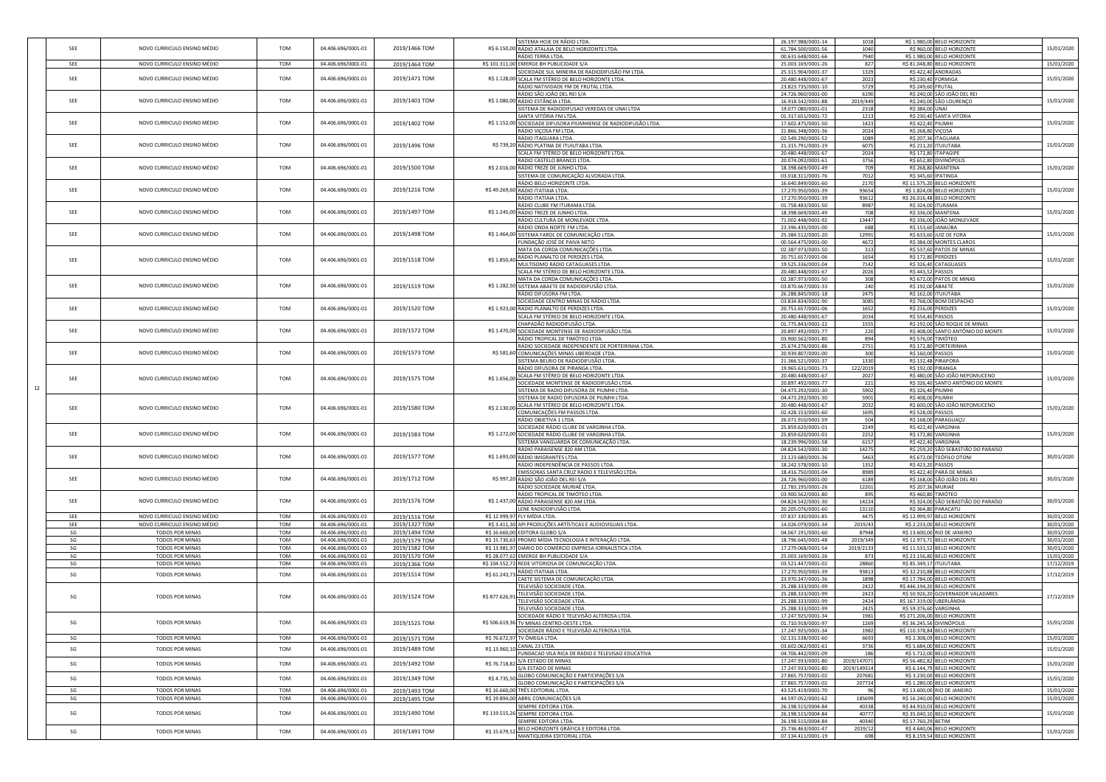|    | SEE | NOVO CURRICULO ENSINO MÉDIO                                | TOM<br>04.406.696/0001-01                       | 2019/1466 TOM |                | SISTEMA HOJE DE RÁDIO LTDA.<br>R\$ 6.150,00 RÁDIO ATALAIA DE BELO HORIZONTE LTDA.           | 26.197.988/0001-14<br>61.784.500/0001-56 | 1018<br>1040     | R\$ 1.980,00 BELO HORIZONTE<br>R\$ 960,00 BELO HORIZONTE      | 15/01/2020               |
|----|-----|------------------------------------------------------------|-------------------------------------------------|---------------|----------------|---------------------------------------------------------------------------------------------|------------------------------------------|------------------|---------------------------------------------------------------|--------------------------|
|    |     |                                                            |                                                 |               |                | RÁDIO TERRA LTDA.                                                                           | 00.631.648/0001-66                       | 7940             | R\$ 1.980,00 BELO HORIZONTE                                   |                          |
|    | SEE | NOVO CURRICULO ENSINO MÉDIO                                | TOM<br>04.406.696/0001-01                       | 2019/1464 TOM |                | R\$ 101.311,00 EMERGE BH PUBLICIDADE S/A                                                    | 25.003.169/0001-26                       | 827              | R\$ 81.048,80 BELO HORIZONTE                                  | 15/01/2020               |
|    |     |                                                            |                                                 |               |                | SOCIEDADE SUL MINEIRA DE RADIODIFUSÃO FM LTDA.                                              | 25.315.904/0001-37                       | 1329             | R\$ 422,40 ANDRADAS                                           |                          |
|    | SEE | NOVO CURRICULO ENSINO MÉDIO                                | TOM<br>04.406.696/0001-01                       | 2019/1471 TOM |                | R\$ 1.128,00 SCALA FM STÉREO DE BELO HORIZONTE LTDA.<br>RÁDIO NATIVIDADE FM DE FRUTAL LTDA. | 20.480.448/0001-67                       | 2023<br>5729     | R\$ 230,40 FORMIGA<br>R\$ 249,60 FRUTAL                       | 15/01/2020               |
|    |     |                                                            |                                                 |               |                | RÁDIO SÃO JOÃO DEL REI S/A                                                                  | 23.823.735/0001-10<br>24.726.960/0001-00 | 6190             | R\$ 240,00 SÃO JOÃO DEL REI                                   |                          |
|    | SEE | NOVO CURRICULO ENSINO MÉDIO                                | TOM<br>04.406.696/0001-01                       | 2019/1401 TOM |                | R\$ 1.080,00 RÁDIO ESTÂNCIA LTDA.                                                           | 16.918.542/0001-88                       | 2019/449         | R\$ 240,00 SÃO LOURENÇO                                       | 15/01/2020               |
|    |     |                                                            |                                                 |               |                | SISTEMA DE RADIODIFUSAO VEREDAS DE UNAI LTDA                                                | 19.077.080/0001-01                       | 2318             | R\$ 384,00 UNAÍ                                               |                          |
|    | SEE | NOVO CURRICULO ENSINO MÉDIO                                | TOM<br>04.406.696/0001-01                       |               |                | SANTA VITÓRIA FM LTDA.                                                                      | 01.317.651/0001-72                       | 1213             | R\$ 230,40 SANTA VITÓRIA                                      | 15/01/2020               |
|    |     |                                                            |                                                 | 2019/1402 TOM |                | R\$ 1.152,00 SOCIEDADE DIFUSORA PIUMHIENSE DE RADIODIFUSÃO LTDA.<br>RÁDIO VIÇOSA FM LTDA.   | 17.602.475/0001-50<br>21.866.348/0001-36 | 1423<br>2024     | R\$ 422,40 PIUMHI<br>R\$ 268,80 VIÇOSA                        |                          |
|    |     |                                                            |                                                 |               |                | RÁDIO ITAGUARA LTDA.                                                                        | 02.549.290/0001-52                       | 1089             | R\$ 207,36 ITAGUARA                                           |                          |
|    | SEE | NOVO CURRICULO ENSINO MÉDIO                                | <b>TOM</b><br>04.406.696/0001-01                | 2019/1496 TOM |                | R\$ 739,20 RÁDIO PLATINA DE ITUIUTABA LTDA.                                                 | 21.315.791/0001-19                       | 6075             | R\$ 211,20 ITUIUTABA                                          | 15/01/2020               |
|    |     |                                                            |                                                 |               |                | SCALA FM STÉREO DE BELO HORIZONTE LTDA.                                                     | 20.480.448/0001-67                       | 2024             | R\$ 172,80 ITAPAGIPE                                          |                          |
|    | SEE | NOVO CURRICULO ENSINO MÉDIO                                | TOM<br>04.406.696/0001-01                       | 2019/1500 TOM |                | RÁDIO CASTELO BRANCO LTDA                                                                   | 20.074.092/0001-61                       | 3756             | R\$ 652,80 DIVINÓPOLIS<br>R\$ 268,80 MANTENA                  |                          |
|    |     |                                                            |                                                 |               |                | R\$ 2.016,00 RÁDIO TREZE DE JUNHO LTDA.<br>SISTEMA DE COMUNICAÇÃO ALVORADA LTDA.            | 18.398.669/0001-49<br>03.018.311/0001-76 | 709<br>7012      | R\$ 345,60 IPATINGA                                           | 15/01/2020               |
|    |     |                                                            |                                                 |               |                | RÁDIO BELO HORIZONTE LTDA.                                                                  | 16.640.849/0001-60                       | 2170             | R\$ 11.575,20 BELO HORIZONTE                                  |                          |
|    | SEE | NOVO CURRICULO ENSINO MÉDIO                                | TOM<br>04.406.696/0001-01                       | 2019/1216 TOM |                | R\$ 49.269,60 RÁDIO ITATIAIA LTDA.                                                          | 17.270.950/0001-39                       | 93654            | R\$ 1.824,00 BELO HORIZONTE                                   | 15/01/2020               |
|    |     |                                                            |                                                 |               |                | RÁDIO ITATIAIA LTDA.                                                                        | 17.270.950/0001-39                       | 93612            | R\$ 26.016,48 BELO HORIZONTE                                  |                          |
|    | SEE | NOVO CURRICULO ENSINO MÉDIO                                | TOM<br>04.406.696/0001-01                       | 2019/1497 TOM |                | RÁDIO CLUBE FM ITURAMA LTDA.<br>R\$ 1.245,00 RÁDIO TREZE DE JUNHO LTDA.                     | 01.758.483/0001-50<br>18.398.669/0001-49 | 8987<br>708      | R\$ 324,00 ITURAMA<br>R\$ 336,00 MANTENA                      | 15/01/2020               |
|    |     |                                                            |                                                 |               |                | RÁDIO CULTURA DE MONLEVADE LTDA.                                                            | 71.002.448/0001-92                       | 13447            | R\$ 336,00 JOÃO MONLEVADE                                     |                          |
|    |     |                                                            |                                                 |               |                | RÁDIO ONDA NORTE FM LTDA.                                                                   | 23.396.435/0001-00                       | 688              | R\$ 153,60 JANAÚBA                                            |                          |
|    | SEE | NOVO CURRICULO ENSINO MÉDIO                                | TOM<br>04.406.696/0001-01                       | 2019/1498 TOM |                | R\$ 1.464,00 SISTEMA FAROL DE COMUNICAÇÃO LTDA.                                             | 25.384.512/0001-20                       | 12991            | R\$ 633,60 JUIZ DE FORA                                       | 15/01/2020               |
|    |     |                                                            |                                                 |               |                | FUNDAÇÃO JOSÉ DE PAIVA NETO                                                                 | 00.564.475/0001-00                       | 4672             | R\$ 384,00 MONTES CLAROS                                      |                          |
|    |     |                                                            |                                                 |               |                | MATA DA CORDA COMUNICAÇÕES LTDA.<br>R\$ 1.850,40 RÁDIO PLANALTO DE PERDIZES LTDA.           | 02.387.973/0001-50<br>20.751.657/0001-06 | 313<br>1654      | R\$ 537,60 PATOS DE MINAS<br>R\$ 172,80 PERDIZES              |                          |
|    | SEE | NOVO CURRICULO ENSINO MÉDIO                                | TOM<br>04.406.696/0001-01                       | 2019/1518 TOM |                | MULTISOMO RÁDIO CATAGUASES LTDA.                                                            | 19.525.336/0001-04                       | 7142             | R\$ 326,40 CATAGUASES                                         | 15/01/2020               |
|    |     |                                                            |                                                 |               |                | SCALA FM STÉREO DE BELO HORIZONTE LTDA.                                                     | 20.480.448/0001-67                       | 2026             | R\$ 443,52 PASSOS                                             |                          |
|    |     |                                                            |                                                 |               |                | MATA DA CORDA COMUNICAÇÕES LTDA                                                             | 02.387.973/0001-50                       | 308              | R\$ 672,00 PATOS DE MINAS                                     |                          |
|    | SEE | NOVO CURRICULO ENSINO MÉDIO                                | <b>TOM</b><br>04.406.696/0001-01                | 2019/1519 TOM |                | R\$ 1.282,50 SISTEMA ABAETE DE RADIODIFUSÃO LTDA.                                           | 03.870.667/0001-33                       | 240              | R\$ 192,00 ABAETÉ                                             | 15/01/2020               |
|    |     |                                                            |                                                 |               |                | RÁDIO DIFUSORA FM LTDA.                                                                     | 26.288.845/0001-18                       | 2475             | R\$ 162,00 ITUIUTABA                                          |                          |
|    | SEE | NOVO CURRICULO ENSINO MÉDIO                                | 04.406.696/0001-01<br><b>TOM</b>                | 2019/1520 TOM |                | SOCIEDADE CENTRO MINAS DE RÁDIO LTDA.                                                       | 03.834.834/0001-90                       | 3085             | R\$ 768,00 BOM DESPACHO                                       | 15/01/2020               |
|    |     |                                                            |                                                 |               |                | R\$ 1.923,00 RÁDIO PLANALTO DE PERDIZES LTDA.<br>SCALA FM STÉREO DE BELO HORIZONTE LTDA.    | 20.751.657/0001-06<br>20.480.448/0001-67 | 1652<br>2034     | R\$ 216,00 PERDIZES<br>R\$ 554,40 PASSOS                      |                          |
|    |     |                                                            |                                                 |               |                | <u>CHAPADÃO RADIODIFUSÃO LTDA.</u>                                                          | 01.775.843/0001-22                       | 1555             | R\$ 192,00 SÃO ROQUE DE MINAS                                 |                          |
|    | SEE | NOVO CURRICULO ENSINO MÉDIO                                | TOM<br>04.406.696/0001-01                       | 2019/1572 TOM |                | R\$ 1.470,00 SOCIEDADE MONTENSE DE RADIODIFUSÃO LTDA.                                       | 20.897.492/0001-77                       | 220              | R\$ 408,00 SANTO ANTÔNIO DO MONTE                             | 15/01/2020               |
|    |     |                                                            |                                                 |               |                | RÁDIO TROPICAL DE TIMÓTEO LTDA.                                                             | 03.900.562/0001-80                       | 894              | R\$ 576,00 TIMÓTEO                                            |                          |
|    |     |                                                            |                                                 |               |                | RÁDIO SOCIEDADE INDEPENDENTE DE PORTEIRINHA LTDA.                                           | 25.674.276/0001-86                       | 2751             | R\$ 172,80 PORTEIRINHA                                        |                          |
|    | SEE | NOVO CURRICULO ENSINO MÉDIO                                | TOM<br>04.406.696/0001-01                       | 2019/1573 TOM |                | R\$ 581,60 COMUNICAÇÕES MINAS LIBERDADE LTDA.                                               | 20.939.807/0001-00                       | 300              | R\$ 160,00 PASSOS                                             | 15/01/2020               |
|    |     |                                                            |                                                 |               |                | SISTEMA BELRIO DE RADIODIFUSÃO LTDA.<br>RÁDIO DIFUSORA DE PIRANGA LTDA.                     | 21.366.521/0001-37                       | 1330<br>122/2019 | R\$ 132,48 PIRAPORA<br>R\$ 192,00 PIRANGA                     |                          |
|    |     |                                                            |                                                 |               |                | R\$ 1.656,00 SCALA FM STÉREO DE BELO HORIZONTE LTDA.                                        | 19.965.631/0001-73<br>20.480.448/0001-67 | 2027             | R\$ 480,00 SÃO JOÃO NEPOMUCENO                                |                          |
|    | SEE | NOVO CURRICULO ENSINO MÉDIO                                | TOM<br>04.406.696/0001-01                       | 2019/1575 TOM |                | SOCIEDADE MONTENSE DE RADIODIFUSÃO LTDA                                                     | 20.897.492/0001-77                       | 221              | R\$ 326,40 SANTO ANTÔNIO DO MONTE                             | 15/01/2020               |
| 12 |     |                                                            |                                                 |               |                | SISTEMA DE RADIO DIFUSORA DE PIUMHI LTDA.                                                   | 04.473.292/0001-30                       | 5902             | R\$ 326,40 PIUMHI                                             |                          |
|    |     |                                                            |                                                 |               |                | SISTEMA DE RADIO DIFUSORA DE PIUMHI LTDA.                                                   | 04.473.292/0001-30                       | 5901             | R\$ 408,00 PIUMHI                                             |                          |
|    | SEE | NOVO CURRICULO ENSINO MÉDIO                                | TOM<br>04.406.696/0001-01                       | 2019/1580 TOM |                | R\$ 2.130,00 SCALA FM STÉREO DE BELO HORIZONTE LTDA.                                        | 20.480.448/0001-67                       | 2032             | R\$ 600,00 SÃO JOÃO NEPOMUCENO                                | 15/01/2020               |
|    |     |                                                            |                                                 |               |                | COMUNICAÇÕES FM PASSOS LTDA.<br>RÁDIO OBJETIVA 1 LTDA.                                      | 02.428.153/0001-60<br>26.071.910/0001-59 | 1695<br>504      | R\$ 528,00 PASSOS<br>R\$ 168,00 PARAGUAÇU                     |                          |
|    |     |                                                            |                                                 |               |                | SOCIEDADE RÁDIO CLUBE DE VARGINHA LTDA.                                                     | 25.859.620/0001-01                       | 2249             | R\$ 422,40 VARGINHA                                           |                          |
|    | SEE | NOVO CURRICULO ENSINO MÉDIO                                | TOM<br>04.406.696/0001-01                       | 2019/1583 TOM |                | R\$ 1.272,00 SOCIEDADE RÁDIO CLUBE DE VARGINHA LTDA                                         | 25.859.620/0001-01                       | 2252             | R\$ 172,80 VARGINHA                                           | 15/01/2020               |
|    |     |                                                            |                                                 |               |                | SISTEMA VANGUARDA DE COMUNICAÇÃO LTDA.                                                      | 18.239.996/0001-58                       | 6157             | R\$ 422,40 VARGINHA                                           |                          |
|    |     |                                                            |                                                 |               |                | RÁDIO PARAISENSE 820 AM LTDA.                                                               | 04.824.542/0001-30                       | 14275            | R\$ 259,20 SÃO SEBASTIÃO DO PARAÍSO                           |                          |
|    | SEE | NOVO CURRICULO ENSINO MÉDIO                                | TOM<br>04.406.696/0001-01                       | 2019/1577 TOM |                | R\$ 1.693,00 RÁDIO IMIGRANTES LTDA.<br>RÁDIO INDEPENDÊNCIA DE PASSOS LTDA                   | 23.123.680/0001-36<br>18.242.578/0001-10 | 5463<br>1352     | R\$ 672,00 TEÓFILO OTONI<br>R\$ 423,20 PASSOS                 | 30/01/2020               |
|    |     |                                                            |                                                 |               |                | EMISSORAS SANTA CRUZ RÁDIO E TELEVISÃO LTDA.                                                | 18.416.750/0001-04                       | 8989             | R\$ 422,40 PARÁ DE MINAS                                      |                          |
|    | SEE | NOVO CURRICULO ENSINO MÉDIO                                | TOM<br>04.406.696/0001-01                       | 2019/1712 TOM |                | R\$ 997,20 RÁDIO SÃO JOÃO DEL REI S/A                                                       | 24.726.960/0001-00                       | 6189             | R\$ 168,00 SÃO JOÃO DEL REI                                   | 30/01/2020               |
|    |     |                                                            |                                                 |               |                | RÁDIO SOCIEDADE MURIAÉ LTDA.                                                                | 22.783.195/0001-26                       | 12261            | R\$ 207,36 MURIAÉ                                             |                          |
|    |     |                                                            |                                                 |               |                | RÁDIO TROPICAL DE TIMÓTEO LTDA.                                                             | 03.900.562/0001-80                       | 895              | R\$ 460,80 TIMÓTEO                                            |                          |
|    | SEE | NOVO CURRICULO ENSINO MÉDIO                                | TOM<br>04.406.696/0001-01                       | 2019/1576 TOM |                | R\$ 1.437,00 RÁDIO PARAISENSE 820 AM LTDA.                                                  | 04.824.542/0001-30                       | 14224            | R\$ 324,00 SÃO SEBASTIÃO DO PARAÍSO                           | 30/01/2020               |
|    | SEE |                                                            | TOM                                             | 2019/1516 TOM |                | LENE RADIODIFUSÃO LTDA.                                                                     | 20.205.076/0001-60                       | 13110<br>4475    | R\$ 364,80 PARACATU                                           |                          |
|    | SEE | NOVO CURRICULO ENSINO MÉDIO<br>NOVO CURRICULO ENSINO MÉDIO | 04.406.696/0001-01<br>TOM<br>04.406.696/0001-01 | 2019/1327 TOM |                | R\$ 12.999,97 FLY MÍDIA LTDA.<br>R\$ 3.411,30 API PRODUÇÕES ARTÍSTICAS E AUDIOVISUAIS LTDA. | 07.837.330/0001-85<br>14.026.079/0001-34 | 2019/43          | R\$ 12.999,97 BELO HORIZONTE<br>R\$ 2.233,00 BELO HORIZONTE   | 30/01/2020<br>30/01/2020 |
|    | SG  | TODOS POR MINAS                                            | TOM<br>04.406.696/0001-01                       | 2019/1494 TOM |                | R\$ 16.660,00 EDITORA GLOBO S/A                                                             | 04.067.191/0001-60                       | 87948            | R\$ 13.600,00 RIO DE JANEIRO                                  | 30/01/2020               |
|    | SG  | TODOS POR MINAS                                            | TOM<br>04.406.696/0001-01                       | 2019/1579 TOM |                | R\$ 15.730,63 PROMO MÍDIA TECNOLOGIA E INTERAÇÃO LTDA.                                      | 18.796.645/0001-48                       | 2019/349         | R\$ 12.973,71 BELO HORIZONTE                                  | 30/01/2020               |
|    | SG  | TODOS POR MINAS                                            | TOM<br>04.406.696/0001-01                       | 2019/1582 TOM |                | R\$ 13.981,97 DIÁRIO DO COMÉRCIO EMPRESA JORNALÍSTICA LTDA.                                 | 17.279.068/0001-54                       | 2019/2133        | R\$ 11.531,52 BELO HORIZONTE                                  | 30/01/2020               |
|    | SG  | TODOS POR MINAS                                            | TOM<br>04.406.696/0001-01                       | 2019/1570 TOM |                | R\$ 28.077,62 EMERGE BH PUBLICIDADE S/A                                                     | 25.003.169/0001-26                       | 873              | R\$ 23.156,80 BELO HORIZONTE                                  | 15/01/2020               |
|    | SG  | TODOS POR MINAS                                            | TOM<br>04.406.696/0001-01                       | 2019/1366 TOM |                | R\$ 104.552,72 REDE VITORIOSA DE COMUNICAÇÃO LTDA.                                          | 03.521.447/0001-02                       | 28860            | R\$ 85.349,17 ITUIUTABA                                       | 17/12/2019               |
|    | SG  | <b>TODOS POR MINAS</b>                                     | TOM<br>04.406.696/0001-01                       | 2019/1514 TOM | R\$ 61.243,73  | RÁDIO ITATIAIA LTDA.                                                                        | 17.270.950/0001-39                       | 93813            | R\$32.210,88 BELO HORIZONTE                                   | 17/12/2019               |
|    |     |                                                            |                                                 |               |                | CAETE SISTEMA DE COMUNICAÇÃO LTDA.<br>TELEVISÃO SOCIEDADE LTDA.                             | 23.970.247/0001-36<br>25.288.333/0001-99 | 1898<br>2422     | R\$ 17.784,00 BELO HORIZONTE<br>R\$ 446.194,20 BELO HORIZONTE |                          |
|    |     |                                                            |                                                 |               |                | TELEVISÃO SOCIEDADE LTDA.                                                                   | 25.288.333/0001-99                       | 2423             | R\$ 50.926,20 GOVERNADOR VALADARES                            |                          |
|    | SG  | TODOS POR MINAS                                            | TOM<br>04.406.696/0001-01                       | 2019/1524 TOM | R\$ 877.626,91 | TELEVISÃO SOCIEDADE LTDA.                                                                   | 25.288.333/0001-99                       | 2424             | R\$ 167.319,00 UBERLÂNDIA                                     | 17/12/2019               |
|    |     |                                                            |                                                 |               |                | TELEVISÃO SOCIEDADE LTDA.                                                                   | 25.288.333/0001-99                       | 2425             | R\$ 59.376,60 VARGINHA                                        |                          |
|    |     |                                                            |                                                 |               |                | SOCIEDADE RÁDIO E TELEVISÃO ALTEROSA LTDA.                                                  | 17.247.925/0001-34                       | 1981             | R\$ 271.206,00 BELO HORIZONTE                                 |                          |
|    | SG  | <b>TODOS POR MINAS</b>                                     | <b>TOM</b><br>04.406.696/0001-01                | 2019/1525 TOM |                | R\$ 506.619,36 TV MINAS CENTRO-OESTE LTDA.                                                  | 01.710.918/0001-97                       | 1269             | R\$ 36.245,56 DIVINÓPOLIS                                     | 15/01/2020               |
|    | SG  | TODOS POR MINAS                                            | TOM<br>04.406.696/0001-01                       | 2019/1571 TOM |                | SOCIEDADE RÁDIO E TELEVISÃO ALTEROSA LTDA.<br>R\$ 76.672,97 TV ÔMEGA LTDA.                  | 17.247.925/0001-34<br>02.131.538/0001-60 | 1982<br>6693     | R\$ 110.378,84 BELO HORIZONTE<br>R\$ 2.308,09 BELO HORIZONTE  | 15/01/2020               |
|    |     |                                                            |                                                 |               |                | R\$ 13.960,10 CANAL 23 LTDA.                                                                | 03.602.062/0001-61                       | 3736             | R\$ 5.684,00 BELO HORIZONTE                                   |                          |
|    | SG  | TODOS POR MINAS                                            | <b>TOM</b><br>04.406.696/0001-01                | 2019/1489 TOM |                | FUNDACAO VILA RICA DE RADIO E TELEVISAO EDUCATIVA                                           | 04.706.442/0001-09                       | 186              | R\$ 5.712,00 BELO HORIZONTE                                   | 15/01/2020               |
|    | SG  | TODOS POR MINAS                                            | TOM<br>04.406.696/0001-01                       | 2019/1492 TOM |                | R\$ 76.718,82 S/A ESTADO DE MINAS                                                           | 17.247.933/0001-80                       | 2019/147071      | R\$ 56.482,82 BELO HORIZONTE                                  | 15/01/2020               |
|    |     |                                                            |                                                 |               |                | S/A ESTADO DE MINAS                                                                         | 17.247.933/0001-80                       | 2019/149314      | R\$ 6.144,79 BELO HORIZONTE                                   |                          |
|    |     | TODOS POR MINAS                                            | TOM<br>04.406.696/0001-01                       | 2019/1349 TOM | R\$ 4.735,50   | GLOBO COMUNICAÇÃO E PARTICIPAÇÕES S/A<br>GLOBO COMUNICAÇÃO E PARTICIPAÇÕES S/A              | 27.865.757/0001-02                       | 207681           | R\$ 3.230,00 BELO HORIZONTE                                   | 15/01/2020               |
|    | SG  |                                                            |                                                 |               |                |                                                                                             | 27.865.757/0001-02                       | 207724           | R\$ 1.280,00 BELO HORIZONTE                                   |                          |
|    |     |                                                            |                                                 |               |                |                                                                                             |                                          |                  |                                                               |                          |
|    | SG  | TODOS POR MINAS                                            | TOM<br>04.406.696/0001-01                       | 2019/1493 TOM |                | R\$ 16.660,00 TRÊS EDITORIAL LTDA.                                                          | 43.525.419/0001-70                       | 96               | R\$ 13.600,00 RIO DE JANEIRO                                  | 15/01/2020               |
|    | SG  | TODOS POR MINAS                                            | TOM<br>04.406.696/0001-01                       | 2019/1495 TOM |                | R\$ 19.894.00 ABRIL COMUNICACÕES S/A<br>SEMPRE EDITORA LTDA.                                | 44.597.052/0001-62<br>26.198.515/0004-84 | 185699<br>40338  | R\$ 16.240.00 BELO HORIZONTE<br>R\$ 44.910.03 BELO HORIZONTE  | 15/01/2020               |
|    | SG  | TODOS POR MINAS                                            | TOM<br>04.406.696/0001-01                       | 2019/1490 TOM |                | R\$ 119.515,26 SEMPRE EDITORA LTDA.                                                         | 26.198.515/0004-84                       | 40777            | R\$ 35.040,10 BELO HORIZONTE                                  | 15/01/2020               |
|    |     |                                                            |                                                 |               |                | SEMPRE EDITORA LTDA.                                                                        | 26.198.515/0004-84                       | 40340            | R\$ 17.760,29 BETIM                                           |                          |
|    | SG  | TODOS POR MINAS                                            | <b>TOM</b><br>04.406.696/0001-01                | 2019/1491 TOM |                | R\$ 15.679,52 BELO HORIZONTE GRÁFICA E EDITORA LTDA.<br>MANTIQUEIRA EDITORIAL LTDA.         | 25.736.463/0001-47<br>07.134.411/0001-19 | 2019/12<br>698   | R\$4.640,06 BELO HORIZONTE<br>R\$ 8.159,54 BELO HORIZONTE     | 15/01/2020               |